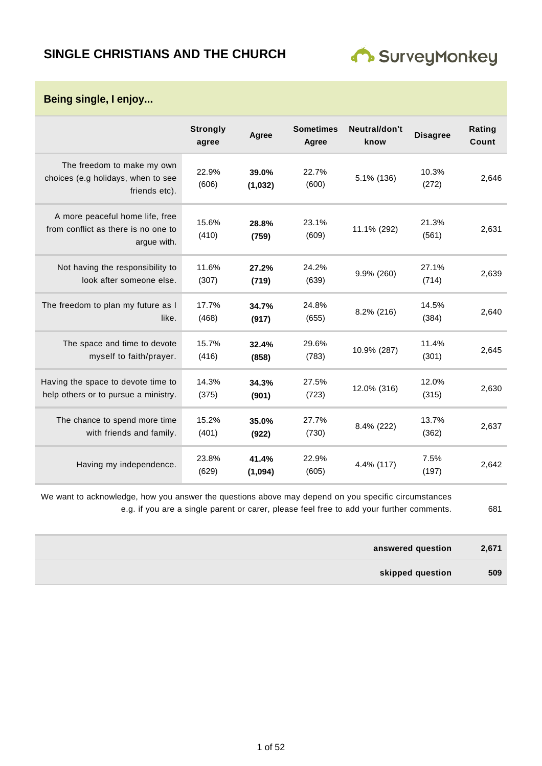## **SINGLE CHRISTIANS AND THE CHURCH**



**Being single, I enjoy...**

|                                                                                       | <b>Strongly</b><br>agree | Agree            | <b>Sometimes</b><br>Agree | Neutral/don't<br>know | <b>Disagree</b> | Rating<br>Count |
|---------------------------------------------------------------------------------------|--------------------------|------------------|---------------------------|-----------------------|-----------------|-----------------|
| The freedom to make my own<br>choices (e.g holidays, when to see<br>friends etc).     | 22.9%<br>(606)           | 39.0%<br>(1,032) | 22.7%<br>(600)            | 5.1% (136)            | 10.3%<br>(272)  | 2,646           |
| A more peaceful home life, free<br>from conflict as there is no one to<br>argue with. | 15.6%<br>(410)           | 28.8%<br>(759)   | 23.1%<br>(609)            | 11.1% (292)           | 21.3%<br>(561)  | 2,631           |
| Not having the responsibility to<br>look after someone else.                          | 11.6%<br>(307)           | 27.2%<br>(719)   | 24.2%<br>(639)            | 9.9% (260)            | 27.1%<br>(714)  | 2,639           |
| The freedom to plan my future as I<br>like.                                           | 17.7%<br>(468)           | 34.7%<br>(917)   | 24.8%<br>(655)            | 8.2% (216)            | 14.5%<br>(384)  | 2,640           |
| The space and time to devote<br>myself to faith/prayer.                               | 15.7%<br>(416)           | 32.4%<br>(858)   | 29.6%<br>(783)            | 10.9% (287)           | 11.4%<br>(301)  | 2.645           |
| Having the space to devote time to<br>help others or to pursue a ministry.            | 14.3%<br>(375)           | 34.3%<br>(901)   | 27.5%<br>(723)            | 12.0% (316)           | 12.0%<br>(315)  | 2,630           |
| The chance to spend more time<br>with friends and family.                             | 15.2%<br>(401)           | 35.0%<br>(922)   | 27.7%<br>(730)            | 8.4% (222)            | 13.7%<br>(362)  | 2,637           |
| Having my independence.                                                               | 23.8%<br>(629)           | 41.4%<br>(1,094) | 22.9%<br>(605)            | 4.4% (117)            | 7.5%<br>(197)   | 2,642           |

We want to acknowledge, how you answer the questions above may depend on you specific circumstances e.g. if you are a single parent or carer, please feel free to add your further comments. 681

| answered question | 2,671 |
|-------------------|-------|
| skipped question  | 509   |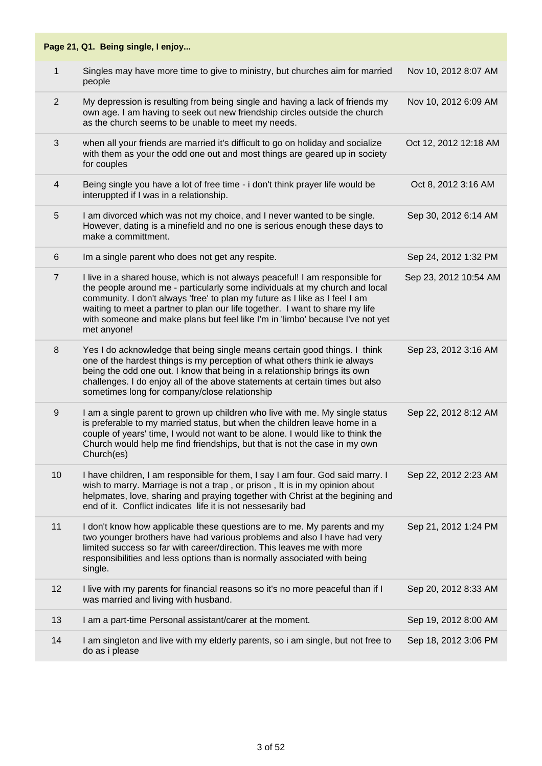| $\mathbf 1$    | Singles may have more time to give to ministry, but churches aim for married<br>people                                                                                                                                                                                                                                                                                                                                     | Nov 10, 2012 8:07 AM  |
|----------------|----------------------------------------------------------------------------------------------------------------------------------------------------------------------------------------------------------------------------------------------------------------------------------------------------------------------------------------------------------------------------------------------------------------------------|-----------------------|
| 2              | My depression is resulting from being single and having a lack of friends my<br>own age. I am having to seek out new friendship circles outside the church<br>as the church seems to be unable to meet my needs.                                                                                                                                                                                                           | Nov 10, 2012 6:09 AM  |
| 3              | when all your friends are married it's difficult to go on holiday and socialize<br>with them as your the odd one out and most things are geared up in society<br>for couples                                                                                                                                                                                                                                               | Oct 12, 2012 12:18 AM |
| 4              | Being single you have a lot of free time - i don't think prayer life would be<br>interuppted if I was in a relationship.                                                                                                                                                                                                                                                                                                   | Oct 8, 2012 3:16 AM   |
| 5              | I am divorced which was not my choice, and I never wanted to be single.<br>However, dating is a minefield and no one is serious enough these days to<br>make a committment.                                                                                                                                                                                                                                                | Sep 30, 2012 6:14 AM  |
| 6              | Im a single parent who does not get any respite.                                                                                                                                                                                                                                                                                                                                                                           | Sep 24, 2012 1:32 PM  |
| $\overline{7}$ | I live in a shared house, which is not always peaceful! I am responsible for<br>the people around me - particularly some individuals at my church and local<br>community. I don't always 'free' to plan my future as I like as I feel I am<br>waiting to meet a partner to plan our life together. I want to share my life<br>with someone and make plans but feel like I'm in 'limbo' because I've not yet<br>met anyone! | Sep 23, 2012 10:54 AM |
| 8              | Yes I do acknowledge that being single means certain good things. I think<br>one of the hardest things is my perception of what others think ie always<br>being the odd one out. I know that being in a relationship brings its own<br>challenges. I do enjoy all of the above statements at certain times but also<br>sometimes long for company/close relationship                                                       | Sep 23, 2012 3:16 AM  |
| 9              | I am a single parent to grown up children who live with me. My single status<br>is preferable to my married status, but when the children leave home in a<br>couple of years' time, I would not want to be alone. I would like to think the<br>Church would help me find friendships, but that is not the case in my own<br>Church(es)                                                                                     | Sep 22, 2012 8:12 AM  |
| 10             | I have children, I am responsible for them, I say I am four. God said marry. I<br>wish to marry. Marriage is not a trap, or prison, It is in my opinion about<br>helpmates, love, sharing and praying together with Christ at the begining and<br>end of it. Conflict indicates life it is not nessesarily bad                                                                                                             | Sep 22, 2012 2:23 AM  |
| 11             | I don't know how applicable these questions are to me. My parents and my<br>two younger brothers have had various problems and also I have had very<br>limited success so far with career/direction. This leaves me with more<br>responsibilities and less options than is normally associated with being<br>single.                                                                                                       | Sep 21, 2012 1:24 PM  |
| 12             | I live with my parents for financial reasons so it's no more peaceful than if I<br>was married and living with husband.                                                                                                                                                                                                                                                                                                    | Sep 20, 2012 8:33 AM  |
| 13             | I am a part-time Personal assistant/carer at the moment.                                                                                                                                                                                                                                                                                                                                                                   | Sep 19, 2012 8:00 AM  |
| 14             | I am singleton and live with my elderly parents, so i am single, but not free to<br>do as i please                                                                                                                                                                                                                                                                                                                         | Sep 18, 2012 3:06 PM  |
|                |                                                                                                                                                                                                                                                                                                                                                                                                                            |                       |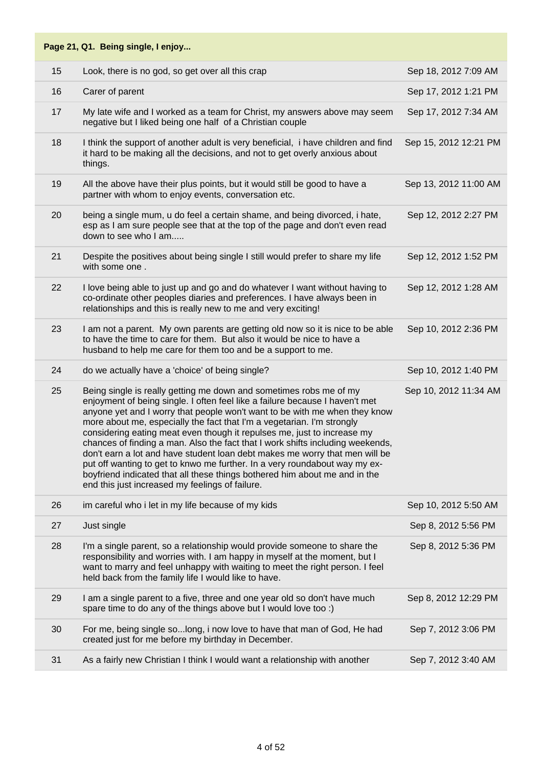| 15 | Look, there is no god, so get over all this crap                                                                                                                                                                                                                                                                                                                                                                                                                                                                                                                                                                                                                                                                                                                      | Sep 18, 2012 7:09 AM  |
|----|-----------------------------------------------------------------------------------------------------------------------------------------------------------------------------------------------------------------------------------------------------------------------------------------------------------------------------------------------------------------------------------------------------------------------------------------------------------------------------------------------------------------------------------------------------------------------------------------------------------------------------------------------------------------------------------------------------------------------------------------------------------------------|-----------------------|
| 16 | Carer of parent                                                                                                                                                                                                                                                                                                                                                                                                                                                                                                                                                                                                                                                                                                                                                       | Sep 17, 2012 1:21 PM  |
| 17 | My late wife and I worked as a team for Christ, my answers above may seem<br>negative but I liked being one half of a Christian couple                                                                                                                                                                                                                                                                                                                                                                                                                                                                                                                                                                                                                                | Sep 17, 2012 7:34 AM  |
| 18 | I think the support of another adult is very beneficial, i have children and find<br>it hard to be making all the decisions, and not to get overly anxious about<br>things.                                                                                                                                                                                                                                                                                                                                                                                                                                                                                                                                                                                           | Sep 15, 2012 12:21 PM |
| 19 | All the above have their plus points, but it would still be good to have a<br>partner with whom to enjoy events, conversation etc.                                                                                                                                                                                                                                                                                                                                                                                                                                                                                                                                                                                                                                    | Sep 13, 2012 11:00 AM |
| 20 | being a single mum, u do feel a certain shame, and being divorced, i hate,<br>esp as I am sure people see that at the top of the page and don't even read<br>down to see who I am                                                                                                                                                                                                                                                                                                                                                                                                                                                                                                                                                                                     | Sep 12, 2012 2:27 PM  |
| 21 | Despite the positives about being single I still would prefer to share my life<br>with some one.                                                                                                                                                                                                                                                                                                                                                                                                                                                                                                                                                                                                                                                                      | Sep 12, 2012 1:52 PM  |
| 22 | I love being able to just up and go and do whatever I want without having to<br>co-ordinate other peoples diaries and preferences. I have always been in<br>relationships and this is really new to me and very exciting!                                                                                                                                                                                                                                                                                                                                                                                                                                                                                                                                             | Sep 12, 2012 1:28 AM  |
| 23 | I am not a parent. My own parents are getting old now so it is nice to be able<br>to have the time to care for them. But also it would be nice to have a<br>husband to help me care for them too and be a support to me.                                                                                                                                                                                                                                                                                                                                                                                                                                                                                                                                              | Sep 10, 2012 2:36 PM  |
| 24 | do we actually have a 'choice' of being single?                                                                                                                                                                                                                                                                                                                                                                                                                                                                                                                                                                                                                                                                                                                       | Sep 10, 2012 1:40 PM  |
| 25 | Being single is really getting me down and sometimes robs me of my<br>enjoyment of being single. I often feel like a failure because I haven't met<br>anyone yet and I worry that people won't want to be with me when they know<br>more about me, especially the fact that I'm a vegetarian. I'm strongly<br>considering eating meat even though it repulses me, just to increase my<br>chances of finding a man. Also the fact that I work shifts including weekends,<br>don't earn a lot and have student loan debt makes me worry that men will be<br>put off wanting to get to knwo me further. In a very roundabout way my ex-<br>boyfriend indicated that all these things bothered him about me and in the<br>end this just increased my feelings of failure. | Sep 10, 2012 11:34 AM |
|    |                                                                                                                                                                                                                                                                                                                                                                                                                                                                                                                                                                                                                                                                                                                                                                       |                       |
| 26 | im careful who i let in my life because of my kids                                                                                                                                                                                                                                                                                                                                                                                                                                                                                                                                                                                                                                                                                                                    | Sep 10, 2012 5:50 AM  |
| 27 | Just single                                                                                                                                                                                                                                                                                                                                                                                                                                                                                                                                                                                                                                                                                                                                                           | Sep 8, 2012 5:56 PM   |
| 28 | I'm a single parent, so a relationship would provide someone to share the<br>responsibility and worries with. I am happy in myself at the moment, but I<br>want to marry and feel unhappy with waiting to meet the right person. I feel<br>held back from the family life I would like to have.                                                                                                                                                                                                                                                                                                                                                                                                                                                                       | Sep 8, 2012 5:36 PM   |
| 29 | I am a single parent to a five, three and one year old so don't have much<br>spare time to do any of the things above but I would love too :)                                                                                                                                                                                                                                                                                                                                                                                                                                                                                                                                                                                                                         | Sep 8, 2012 12:29 PM  |
| 30 | For me, being single solong, i now love to have that man of God, He had<br>created just for me before my birthday in December.                                                                                                                                                                                                                                                                                                                                                                                                                                                                                                                                                                                                                                        | Sep 7, 2012 3:06 PM   |
| 31 | As a fairly new Christian I think I would want a relationship with another                                                                                                                                                                                                                                                                                                                                                                                                                                                                                                                                                                                                                                                                                            | Sep 7, 2012 3:40 AM   |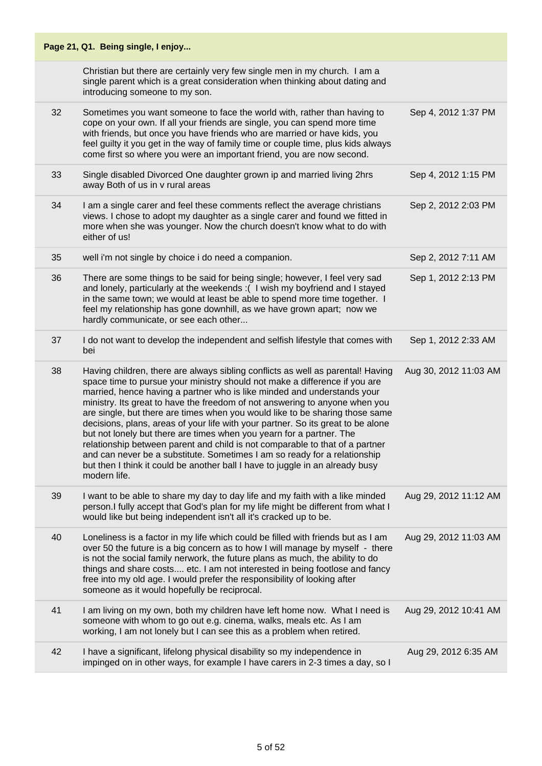| Page 21, Q1. Being single, I enjoy |                                                                                                                                                                                                                                                                                                                                                                                                                                                                                                                                                                                                                                                                                                                                                                                                                                   |                       |  |
|------------------------------------|-----------------------------------------------------------------------------------------------------------------------------------------------------------------------------------------------------------------------------------------------------------------------------------------------------------------------------------------------------------------------------------------------------------------------------------------------------------------------------------------------------------------------------------------------------------------------------------------------------------------------------------------------------------------------------------------------------------------------------------------------------------------------------------------------------------------------------------|-----------------------|--|
|                                    | Christian but there are certainly very few single men in my church. I am a<br>single parent which is a great consideration when thinking about dating and<br>introducing someone to my son.                                                                                                                                                                                                                                                                                                                                                                                                                                                                                                                                                                                                                                       |                       |  |
| 32                                 | Sometimes you want someone to face the world with, rather than having to<br>cope on your own. If all your friends are single, you can spend more time<br>with friends, but once you have friends who are married or have kids, you<br>feel guilty it you get in the way of family time or couple time, plus kids always<br>come first so where you were an important friend, you are now second.                                                                                                                                                                                                                                                                                                                                                                                                                                  | Sep 4, 2012 1:37 PM   |  |
| 33                                 | Single disabled Divorced One daughter grown ip and married living 2hrs<br>away Both of us in v rural areas                                                                                                                                                                                                                                                                                                                                                                                                                                                                                                                                                                                                                                                                                                                        | Sep 4, 2012 1:15 PM   |  |
| 34                                 | I am a single carer and feel these comments reflect the average christians<br>views. I chose to adopt my daughter as a single carer and found we fitted in<br>more when she was younger. Now the church doesn't know what to do with<br>either of us!                                                                                                                                                                                                                                                                                                                                                                                                                                                                                                                                                                             | Sep 2, 2012 2:03 PM   |  |
| 35                                 | well i'm not single by choice i do need a companion.                                                                                                                                                                                                                                                                                                                                                                                                                                                                                                                                                                                                                                                                                                                                                                              | Sep 2, 2012 7:11 AM   |  |
| 36                                 | There are some things to be said for being single; however, I feel very sad<br>and lonely, particularly at the weekends: (I wish my boyfriend and I stayed<br>in the same town; we would at least be able to spend more time together. I<br>feel my relationship has gone downhill, as we have grown apart; now we<br>hardly communicate, or see each other                                                                                                                                                                                                                                                                                                                                                                                                                                                                       | Sep 1, 2012 2:13 PM   |  |
| 37                                 | I do not want to develop the independent and selfish lifestyle that comes with<br>bei                                                                                                                                                                                                                                                                                                                                                                                                                                                                                                                                                                                                                                                                                                                                             | Sep 1, 2012 2:33 AM   |  |
| 38                                 | Having children, there are always sibling conflicts as well as parental! Having<br>space time to pursue your ministry should not make a difference if you are<br>married, hence having a partner who is like minded and understands your<br>ministry. Its great to have the freedom of not answering to anyone when you<br>are single, but there are times when you would like to be sharing those same<br>decisions, plans, areas of your life with your partner. So its great to be alone<br>but not lonely but there are times when you yearn for a partner. The<br>relationship between parent and child is not comparable to that of a partner<br>and can never be a substitute. Sometimes I am so ready for a relationship<br>but then I think it could be another ball I have to juggle in an already busy<br>modern life. | Aug 30, 2012 11:03 AM |  |
| 39                                 | I want to be able to share my day to day life and my faith with a like minded<br>person. I fully accept that God's plan for my life might be different from what I<br>would like but being independent isn't all it's cracked up to be.                                                                                                                                                                                                                                                                                                                                                                                                                                                                                                                                                                                           | Aug 29, 2012 11:12 AM |  |
| 40                                 | Loneliness is a factor in my life which could be filled with friends but as I am<br>over 50 the future is a big concern as to how I will manage by myself - there<br>is not the social family nerwork, the future plans as much, the ability to do<br>things and share costs etc. I am not interested in being footlose and fancy<br>free into my old age. I would prefer the responsibility of looking after<br>someone as it would hopefully be reciprocal.                                                                                                                                                                                                                                                                                                                                                                     | Aug 29, 2012 11:03 AM |  |
| 41                                 | I am living on my own, both my children have left home now. What I need is<br>someone with whom to go out e.g. cinema, walks, meals etc. As I am<br>working, I am not lonely but I can see this as a problem when retired.                                                                                                                                                                                                                                                                                                                                                                                                                                                                                                                                                                                                        | Aug 29, 2012 10:41 AM |  |
| 42                                 | I have a significant, lifelong physical disability so my independence in<br>impinged on in other ways, for example I have carers in 2-3 times a day, so I                                                                                                                                                                                                                                                                                                                                                                                                                                                                                                                                                                                                                                                                         | Aug 29, 2012 6:35 AM  |  |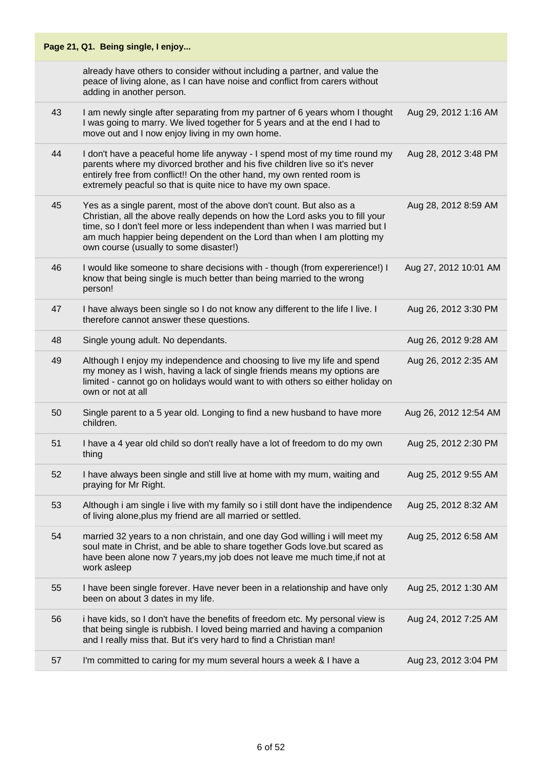|    | Page 21, Q1. Being single, I enjoy                                                                                                                                                                                                                                                                                                                        |                       |
|----|-----------------------------------------------------------------------------------------------------------------------------------------------------------------------------------------------------------------------------------------------------------------------------------------------------------------------------------------------------------|-----------------------|
|    | already have others to consider without including a partner, and value the<br>peace of living alone, as I can have noise and conflict from carers without<br>adding in another person.                                                                                                                                                                    |                       |
| 43 | I am newly single after separating from my partner of 6 years whom I thought<br>I was going to marry. We lived together for 5 years and at the end I had to<br>move out and I now enjoy living in my own home.                                                                                                                                            | Aug 29, 2012 1:16 AM  |
| 44 | I don't have a peaceful home life anyway - I spend most of my time round my<br>parents where my divorced brother and his five children live so it's never<br>entirely free from conflict!! On the other hand, my own rented room is<br>extremely peacful so that is quite nice to have my own space.                                                      | Aug 28, 2012 3:48 PM  |
| 45 | Yes as a single parent, most of the above don't count. But also as a<br>Christian, all the above really depends on how the Lord asks you to fill your<br>time, so I don't feel more or less independent than when I was married but I<br>am much happier being dependent on the Lord than when I am plotting my<br>own course (usually to some disaster!) | Aug 28, 2012 8:59 AM  |
| 46 | I would like someone to share decisions with - though (from expererience!) I<br>know that being single is much better than being married to the wrong<br>person!                                                                                                                                                                                          | Aug 27, 2012 10:01 AM |
| 47 | I have always been single so I do not know any different to the life I live. I<br>therefore cannot answer these questions.                                                                                                                                                                                                                                | Aug 26, 2012 3:30 PM  |
| 48 | Single young adult. No dependants.                                                                                                                                                                                                                                                                                                                        | Aug 26, 2012 9:28 AM  |
| 49 | Although I enjoy my independence and choosing to live my life and spend<br>my money as I wish, having a lack of single friends means my options are<br>limited - cannot go on holidays would want to with others so either holiday on<br>own or not at all                                                                                                | Aug 26, 2012 2:35 AM  |
| 50 | Single parent to a 5 year old. Longing to find a new husband to have more<br>children.                                                                                                                                                                                                                                                                    | Aug 26, 2012 12:54 AM |
| 51 | I have a 4 year old child so don't really have a lot of freedom to do my own<br>thing                                                                                                                                                                                                                                                                     | Aug 25, 2012 2:30 PM  |
| 52 | I have always been single and still live at home with my mum, waiting and<br>praying for Mr Right.                                                                                                                                                                                                                                                        | Aug 25, 2012 9:55 AM  |
| 53 | Although i am single i live with my family so i still dont have the indipendence<br>of living alone, plus my friend are all married or settled.                                                                                                                                                                                                           | Aug 25, 2012 8:32 AM  |
| 54 | married 32 years to a non christain, and one day God willing i will meet my<br>soul mate in Christ, and be able to share together Gods love.but scared as<br>have been alone now 7 years, my job does not leave me much time, if not at<br>work asleep                                                                                                    | Aug 25, 2012 6:58 AM  |
| 55 | I have been single forever. Have never been in a relationship and have only<br>been on about 3 dates in my life.                                                                                                                                                                                                                                          | Aug 25, 2012 1:30 AM  |
| 56 | i have kids, so I don't have the benefits of freedom etc. My personal view is<br>that being single is rubbish. I loved being married and having a companion<br>and I really miss that. But it's very hard to find a Christian man!                                                                                                                        | Aug 24, 2012 7:25 AM  |
| 57 | I'm committed to caring for my mum several hours a week & I have a                                                                                                                                                                                                                                                                                        | Aug 23, 2012 3:04 PM  |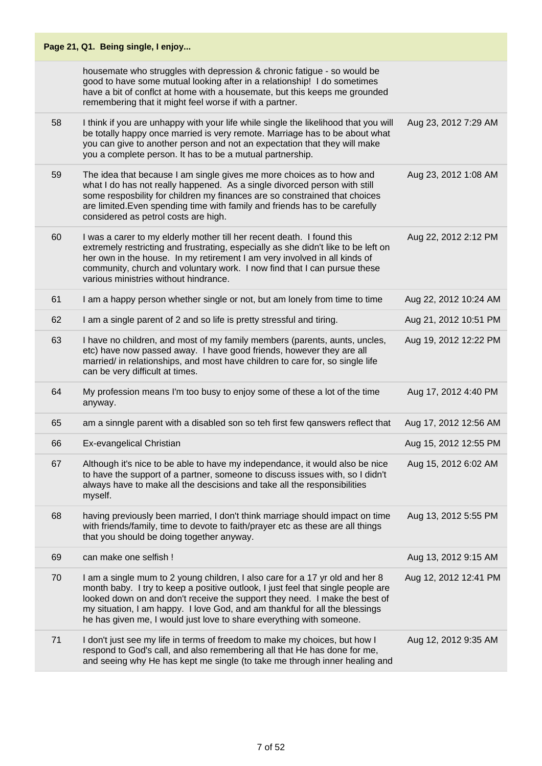| Page 21, Q1. Being single, I enjoy |                                                                                                                                                                                                                                                                                                                                                                                                       |                       |  |
|------------------------------------|-------------------------------------------------------------------------------------------------------------------------------------------------------------------------------------------------------------------------------------------------------------------------------------------------------------------------------------------------------------------------------------------------------|-----------------------|--|
|                                    | housemate who struggles with depression & chronic fatigue - so would be<br>good to have some mutual looking after in a relationship! I do sometimes<br>have a bit of conflct at home with a housemate, but this keeps me grounded<br>remembering that it might feel worse if with a partner.                                                                                                          |                       |  |
| 58                                 | I think if you are unhappy with your life while single the likelihood that you will<br>be totally happy once married is very remote. Marriage has to be about what<br>you can give to another person and not an expectation that they will make<br>you a complete person. It has to be a mutual partnership.                                                                                          | Aug 23, 2012 7:29 AM  |  |
| 59                                 | The idea that because I am single gives me more choices as to how and<br>what I do has not really happened. As a single divorced person with still<br>some resposbility for children my finances are so constrained that choices<br>are limited. Even spending time with family and friends has to be carefully<br>considered as petrol costs are high.                                               | Aug 23, 2012 1:08 AM  |  |
| 60                                 | I was a carer to my elderly mother till her recent death. I found this<br>extremely restricting and frustrating, especially as she didn't like to be left on<br>her own in the house. In my retirement I am very involved in all kinds of<br>community, church and voluntary work. I now find that I can pursue these<br>various ministries without hindrance.                                        | Aug 22, 2012 2:12 PM  |  |
| 61                                 | I am a happy person whether single or not, but am lonely from time to time                                                                                                                                                                                                                                                                                                                            | Aug 22, 2012 10:24 AM |  |
| 62                                 | I am a single parent of 2 and so life is pretty stressful and tiring.                                                                                                                                                                                                                                                                                                                                 | Aug 21, 2012 10:51 PM |  |
| 63                                 | I have no children, and most of my family members (parents, aunts, uncles,<br>etc) have now passed away. I have good friends, however they are all<br>married/ in relationships, and most have children to care for, so single life<br>can be very difficult at times.                                                                                                                                | Aug 19, 2012 12:22 PM |  |
| 64                                 | My profession means I'm too busy to enjoy some of these a lot of the time<br>anyway.                                                                                                                                                                                                                                                                                                                  | Aug 17, 2012 4:40 PM  |  |
| 65                                 | am a sinngle parent with a disabled son so teh first few qanswers reflect that                                                                                                                                                                                                                                                                                                                        | Aug 17, 2012 12:56 AM |  |
| 66                                 | Ex-evangelical Christian                                                                                                                                                                                                                                                                                                                                                                              | Aug 15, 2012 12:55 PM |  |
| 67                                 | Although it's nice to be able to have my independance, it would also be nice<br>to have the support of a partner, someone to discuss issues with, so I didn't<br>always have to make all the descisions and take all the responsibilities<br>myself.                                                                                                                                                  | Aug 15, 2012 6:02 AM  |  |
| 68                                 | having previously been married, I don't think marriage should impact on time<br>with friends/family, time to devote to faith/prayer etc as these are all things<br>that you should be doing together anyway.                                                                                                                                                                                          | Aug 13, 2012 5:55 PM  |  |
| 69                                 | can make one selfish !                                                                                                                                                                                                                                                                                                                                                                                | Aug 13, 2012 9:15 AM  |  |
| 70                                 | I am a single mum to 2 young children, I also care for a 17 yr old and her 8<br>month baby. I try to keep a positive outlook, I just feel that single people are<br>looked down on and don't receive the support they need. I make the best of<br>my situation, I am happy. I love God, and am thankful for all the blessings<br>he has given me, I would just love to share everything with someone. | Aug 12, 2012 12:41 PM |  |
| 71                                 | I don't just see my life in terms of freedom to make my choices, but how I<br>respond to God's call, and also remembering all that He has done for me,<br>and seeing why He has kept me single (to take me through inner healing and                                                                                                                                                                  | Aug 12, 2012 9:35 AM  |  |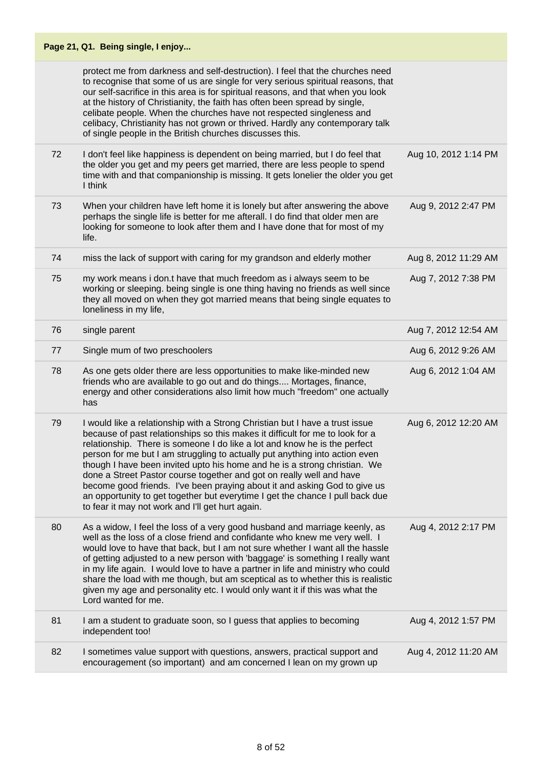| Page 21, Q1. Being single, I enjoy |                                                                                                                                                                                                                                                                                                                                                                                                                                                                                                                                                                                                                                                                                                  |                      |  |
|------------------------------------|--------------------------------------------------------------------------------------------------------------------------------------------------------------------------------------------------------------------------------------------------------------------------------------------------------------------------------------------------------------------------------------------------------------------------------------------------------------------------------------------------------------------------------------------------------------------------------------------------------------------------------------------------------------------------------------------------|----------------------|--|
|                                    | protect me from darkness and self-destruction). I feel that the churches need<br>to recognise that some of us are single for very serious spiritual reasons, that<br>our self-sacrifice in this area is for spiritual reasons, and that when you look<br>at the history of Christianity, the faith has often been spread by single,<br>celibate people. When the churches have not respected singleness and<br>celibacy, Christianity has not grown or thrived. Hardly any contemporary talk<br>of single people in the British churches discusses this.                                                                                                                                         |                      |  |
| 72                                 | I don't feel like happiness is dependent on being married, but I do feel that<br>the older you get and my peers get married, there are less people to spend<br>time with and that companionship is missing. It gets lonelier the older you get<br>I think                                                                                                                                                                                                                                                                                                                                                                                                                                        | Aug 10, 2012 1:14 PM |  |
| 73                                 | When your children have left home it is lonely but after answering the above<br>perhaps the single life is better for me afterall. I do find that older men are<br>looking for someone to look after them and I have done that for most of my<br>life.                                                                                                                                                                                                                                                                                                                                                                                                                                           | Aug 9, 2012 2:47 PM  |  |
| 74                                 | miss the lack of support with caring for my grandson and elderly mother                                                                                                                                                                                                                                                                                                                                                                                                                                                                                                                                                                                                                          | Aug 8, 2012 11:29 AM |  |
| 75                                 | my work means i don.t have that much freedom as i always seem to be<br>working or sleeping. being single is one thing having no friends as well since<br>they all moved on when they got married means that being single equates to<br>loneliness in my life,                                                                                                                                                                                                                                                                                                                                                                                                                                    | Aug 7, 2012 7:38 PM  |  |
| 76                                 | single parent                                                                                                                                                                                                                                                                                                                                                                                                                                                                                                                                                                                                                                                                                    | Aug 7, 2012 12:54 AM |  |
| 77                                 | Single mum of two preschoolers                                                                                                                                                                                                                                                                                                                                                                                                                                                                                                                                                                                                                                                                   | Aug 6, 2012 9:26 AM  |  |
| 78                                 | As one gets older there are less opportunities to make like-minded new<br>friends who are available to go out and do things Mortages, finance,<br>energy and other considerations also limit how much "freedom" one actually<br>has                                                                                                                                                                                                                                                                                                                                                                                                                                                              | Aug 6, 2012 1:04 AM  |  |
| 79                                 | I would like a relationship with a Strong Christian but I have a trust issue<br>because of past relationships so this makes it difficult for me to look for a<br>relationship. There is someone I do like a lot and know he is the perfect<br>person for me but I am struggling to actually put anything into action even<br>though I have been invited upto his home and he is a strong christian. We<br>done a Street Pastor course together and got on really well and have<br>become good friends. I've been praying about it and asking God to give us<br>an opportunity to get together but everytime I get the chance I pull back due<br>to fear it may not work and I'll get hurt again. | Aug 6, 2012 12:20 AM |  |
| 80                                 | As a widow, I feel the loss of a very good husband and marriage keenly, as<br>well as the loss of a close friend and confidante who knew me very well. I<br>would love to have that back, but I am not sure whether I want all the hassle<br>of getting adjusted to a new person with 'baggage' is something I really want<br>in my life again. I would love to have a partner in life and ministry who could<br>share the load with me though, but am sceptical as to whether this is realistic<br>given my age and personality etc. I would only want it if this was what the<br>Lord wanted for me.                                                                                           | Aug 4, 2012 2:17 PM  |  |
| 81                                 | I am a student to graduate soon, so I guess that applies to becoming<br>independent too!                                                                                                                                                                                                                                                                                                                                                                                                                                                                                                                                                                                                         | Aug 4, 2012 1:57 PM  |  |
| 82                                 | I sometimes value support with questions, answers, practical support and<br>encouragement (so important) and am concerned I lean on my grown up                                                                                                                                                                                                                                                                                                                                                                                                                                                                                                                                                  | Aug 4, 2012 11:20 AM |  |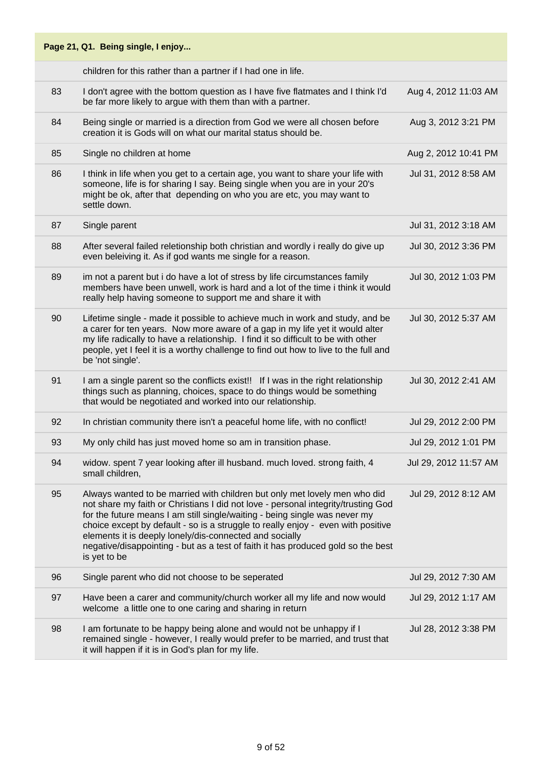|    | Page 21, Q1. Being single, I enjoy                                                                                                                                                                                                                                                                                                                                                                                                                                                              |                       |
|----|-------------------------------------------------------------------------------------------------------------------------------------------------------------------------------------------------------------------------------------------------------------------------------------------------------------------------------------------------------------------------------------------------------------------------------------------------------------------------------------------------|-----------------------|
|    | children for this rather than a partner if I had one in life.                                                                                                                                                                                                                                                                                                                                                                                                                                   |                       |
| 83 | I don't agree with the bottom question as I have five flatmates and I think I'd<br>be far more likely to argue with them than with a partner.                                                                                                                                                                                                                                                                                                                                                   | Aug 4, 2012 11:03 AM  |
| 84 | Being single or married is a direction from God we were all chosen before<br>creation it is Gods will on what our marital status should be.                                                                                                                                                                                                                                                                                                                                                     | Aug 3, 2012 3:21 PM   |
| 85 | Single no children at home                                                                                                                                                                                                                                                                                                                                                                                                                                                                      | Aug 2, 2012 10:41 PM  |
| 86 | I think in life when you get to a certain age, you want to share your life with<br>someone, life is for sharing I say. Being single when you are in your 20's<br>might be ok, after that depending on who you are etc, you may want to<br>settle down.                                                                                                                                                                                                                                          | Jul 31, 2012 8:58 AM  |
| 87 | Single parent                                                                                                                                                                                                                                                                                                                                                                                                                                                                                   | Jul 31, 2012 3:18 AM  |
| 88 | After several failed reletionship both christian and wordly i really do give up<br>even beleiving it. As if god wants me single for a reason.                                                                                                                                                                                                                                                                                                                                                   | Jul 30, 2012 3:36 PM  |
| 89 | im not a parent but i do have a lot of stress by life circumstances family<br>members have been unwell, work is hard and a lot of the time i think it would<br>really help having someone to support me and share it with                                                                                                                                                                                                                                                                       | Jul 30, 2012 1:03 PM  |
| 90 | Lifetime single - made it possible to achieve much in work and study, and be<br>a carer for ten years. Now more aware of a gap in my life yet it would alter<br>my life radically to have a relationship. I find it so difficult to be with other<br>people, yet I feel it is a worthy challenge to find out how to live to the full and<br>be 'not single'.                                                                                                                                    | Jul 30, 2012 5:37 AM  |
| 91 | I am a single parent so the conflicts exist!! If I was in the right relationship<br>things such as planning, choices, space to do things would be something<br>that would be negotiated and worked into our relationship.                                                                                                                                                                                                                                                                       | Jul 30, 2012 2:41 AM  |
| 92 | In christian community there isn't a peaceful home life, with no conflict!                                                                                                                                                                                                                                                                                                                                                                                                                      | Jul 29, 2012 2:00 PM  |
| 93 | My only child has just moved home so am in transition phase.                                                                                                                                                                                                                                                                                                                                                                                                                                    | Jul 29, 2012 1:01 PM  |
| 94 | widow. spent 7 year looking after ill husband. much loved. strong faith, 4<br>small children,                                                                                                                                                                                                                                                                                                                                                                                                   | Jul 29, 2012 11:57 AM |
| 95 | Always wanted to be married with children but only met lovely men who did<br>not share my faith or Christians I did not love - personal integrity/trusting God<br>for the future means I am still single/waiting - being single was never my<br>choice except by default - so is a struggle to really enjoy - even with positive<br>elements it is deeply lonely/dis-connected and socially<br>negative/disappointing - but as a test of faith it has produced gold so the best<br>is yet to be | Jul 29, 2012 8:12 AM  |
| 96 | Single parent who did not choose to be seperated                                                                                                                                                                                                                                                                                                                                                                                                                                                | Jul 29, 2012 7:30 AM  |
| 97 | Have been a carer and community/church worker all my life and now would<br>welcome a little one to one caring and sharing in return                                                                                                                                                                                                                                                                                                                                                             | Jul 29, 2012 1:17 AM  |
| 98 | I am fortunate to be happy being alone and would not be unhappy if I<br>remained single - however, I really would prefer to be married, and trust that<br>it will happen if it is in God's plan for my life.                                                                                                                                                                                                                                                                                    | Jul 28, 2012 3:38 PM  |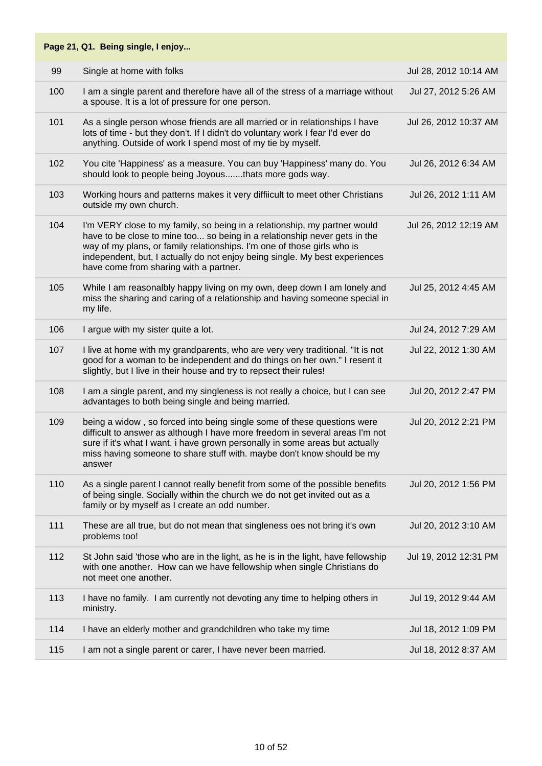|     | Page 21, Q1. Being single, I enjoy                                                                                                                                                                                                                                                                                                                         |                       |
|-----|------------------------------------------------------------------------------------------------------------------------------------------------------------------------------------------------------------------------------------------------------------------------------------------------------------------------------------------------------------|-----------------------|
| 99  | Single at home with folks                                                                                                                                                                                                                                                                                                                                  | Jul 28, 2012 10:14 AM |
| 100 | I am a single parent and therefore have all of the stress of a marriage without<br>a spouse. It is a lot of pressure for one person.                                                                                                                                                                                                                       | Jul 27, 2012 5:26 AM  |
| 101 | As a single person whose friends are all married or in relationships I have<br>lots of time - but they don't. If I didn't do voluntary work I fear I'd ever do<br>anything. Outside of work I spend most of my tie by myself.                                                                                                                              | Jul 26, 2012 10:37 AM |
| 102 | You cite 'Happiness' as a measure. You can buy 'Happiness' many do. You<br>should look to people being Joyousthats more gods way.                                                                                                                                                                                                                          | Jul 26, 2012 6:34 AM  |
| 103 | Working hours and patterns makes it very diffiicult to meet other Christians<br>outside my own church.                                                                                                                                                                                                                                                     | Jul 26, 2012 1:11 AM  |
| 104 | I'm VERY close to my family, so being in a relationship, my partner would<br>have to be close to mine too so being in a relationship never gets in the<br>way of my plans, or family relationships. I'm one of those girls who is<br>independent, but, I actually do not enjoy being single. My best experiences<br>have come from sharing with a partner. | Jul 26, 2012 12:19 AM |
| 105 | While I am reasonalbly happy living on my own, deep down I am lonely and<br>miss the sharing and caring of a relationship and having someone special in<br>my life.                                                                                                                                                                                        | Jul 25, 2012 4:45 AM  |
| 106 | I argue with my sister quite a lot.                                                                                                                                                                                                                                                                                                                        | Jul 24, 2012 7:29 AM  |
| 107 | I live at home with my grandparents, who are very very traditional. "It is not<br>good for a woman to be independent and do things on her own." I resent it<br>slightly, but I live in their house and try to repsect their rules!                                                                                                                         | Jul 22, 2012 1:30 AM  |
| 108 | I am a single parent, and my singleness is not really a choice, but I can see<br>advantages to both being single and being married.                                                                                                                                                                                                                        | Jul 20, 2012 2:47 PM  |
| 109 | being a widow, so forced into being single some of these questions were<br>difficult to answer as although I have more freedom in several areas I'm not<br>sure if it's what I want. i have grown personally in some areas but actually<br>miss having someone to share stuff with. maybe don't know should be my<br>answer                                | Jul 20, 2012 2:21 PM  |
| 110 | As a single parent I cannot really benefit from some of the possible benefits<br>of being single. Socially within the church we do not get invited out as a<br>family or by myself as I create an odd number.                                                                                                                                              | Jul 20, 2012 1:56 PM  |
| 111 | These are all true, but do not mean that singleness oes not bring it's own<br>problems too!                                                                                                                                                                                                                                                                | Jul 20, 2012 3:10 AM  |
| 112 | St John said 'those who are in the light, as he is in the light, have fellowship<br>with one another. How can we have fellowship when single Christians do<br>not meet one another.                                                                                                                                                                        | Jul 19, 2012 12:31 PM |
| 113 | I have no family. I am currently not devoting any time to helping others in<br>ministry.                                                                                                                                                                                                                                                                   | Jul 19, 2012 9:44 AM  |
| 114 | I have an elderly mother and grandchildren who take my time                                                                                                                                                                                                                                                                                                | Jul 18, 2012 1:09 PM  |
| 115 | I am not a single parent or carer, I have never been married.                                                                                                                                                                                                                                                                                              | Jul 18, 2012 8:37 AM  |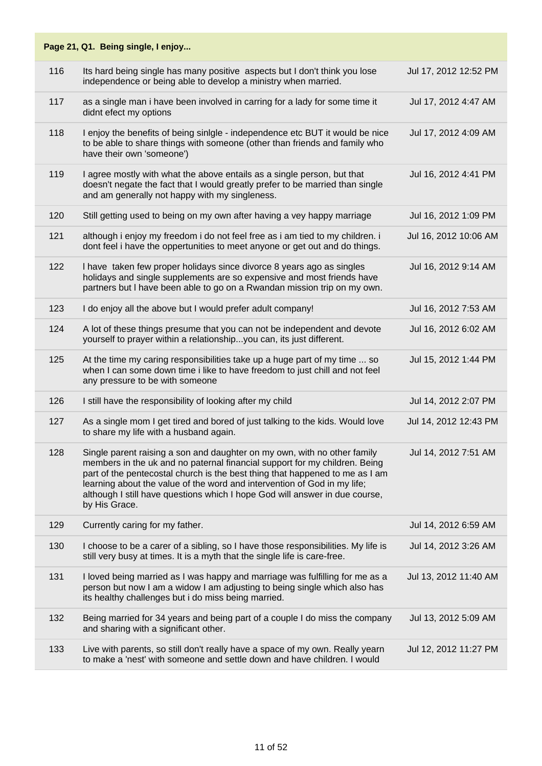|     | Page 21, Q1. Being single, I enjoy                                                                                                                                                                                                                                                                                                                                                                                 |                       |
|-----|--------------------------------------------------------------------------------------------------------------------------------------------------------------------------------------------------------------------------------------------------------------------------------------------------------------------------------------------------------------------------------------------------------------------|-----------------------|
| 116 | Its hard being single has many positive aspects but I don't think you lose<br>independence or being able to develop a ministry when married.                                                                                                                                                                                                                                                                       | Jul 17, 2012 12:52 PM |
| 117 | as a single man i have been involved in carring for a lady for some time it<br>didnt efect my options                                                                                                                                                                                                                                                                                                              | Jul 17, 2012 4:47 AM  |
| 118 | I enjoy the benefits of being sinIgle - independence etc BUT it would be nice<br>to be able to share things with someone (other than friends and family who<br>have their own 'someone')                                                                                                                                                                                                                           | Jul 17, 2012 4:09 AM  |
| 119 | I agree mostly with what the above entails as a single person, but that<br>doesn't negate the fact that I would greatly prefer to be married than single<br>and am generally not happy with my singleness.                                                                                                                                                                                                         | Jul 16, 2012 4:41 PM  |
| 120 | Still getting used to being on my own after having a vey happy marriage                                                                                                                                                                                                                                                                                                                                            | Jul 16, 2012 1:09 PM  |
| 121 | although i enjoy my freedom i do not feel free as i am tied to my children. i<br>dont feel i have the oppertunities to meet anyone or get out and do things.                                                                                                                                                                                                                                                       | Jul 16, 2012 10:06 AM |
| 122 | I have taken few proper holidays since divorce 8 years ago as singles<br>holidays and single supplements are so expensive and most friends have<br>partners but I have been able to go on a Rwandan mission trip on my own.                                                                                                                                                                                        | Jul 16, 2012 9:14 AM  |
| 123 | I do enjoy all the above but I would prefer adult company!                                                                                                                                                                                                                                                                                                                                                         | Jul 16, 2012 7:53 AM  |
| 124 | A lot of these things presume that you can not be independent and devote<br>yourself to prayer within a relationshipyou can, its just different.                                                                                                                                                                                                                                                                   | Jul 16, 2012 6:02 AM  |
| 125 | At the time my caring responsibilities take up a huge part of my time  so<br>when I can some down time i like to have freedom to just chill and not feel<br>any pressure to be with someone                                                                                                                                                                                                                        | Jul 15, 2012 1:44 PM  |
| 126 | I still have the responsibility of looking after my child                                                                                                                                                                                                                                                                                                                                                          | Jul 14, 2012 2:07 PM  |
| 127 | As a single mom I get tired and bored of just talking to the kids. Would love<br>to share my life with a husband again.                                                                                                                                                                                                                                                                                            | Jul 14, 2012 12:43 PM |
| 128 | Single parent raising a son and daughter on my own, with no other family<br>members in the uk and no paternal financial support for my children. Being<br>part of the pentecostal church is the best thing that happened to me as I am<br>learning about the value of the word and intervention of God in my life;<br>although I still have questions which I hope God will answer in due course,<br>by His Grace. | Jul 14, 2012 7:51 AM  |
| 129 | Currently caring for my father.                                                                                                                                                                                                                                                                                                                                                                                    | Jul 14, 2012 6:59 AM  |
| 130 | I choose to be a carer of a sibling, so I have those responsibilities. My life is<br>still very busy at times. It is a myth that the single life is care-free.                                                                                                                                                                                                                                                     | Jul 14, 2012 3:26 AM  |
| 131 | I loved being married as I was happy and marriage was fulfilling for me as a<br>person but now I am a widow I am adjusting to being single which also has<br>its healthy challenges but i do miss being married.                                                                                                                                                                                                   | Jul 13, 2012 11:40 AM |
| 132 | Being married for 34 years and being part of a couple I do miss the company<br>and sharing with a significant other.                                                                                                                                                                                                                                                                                               | Jul 13, 2012 5:09 AM  |
| 133 | Live with parents, so still don't really have a space of my own. Really yearn<br>to make a 'nest' with someone and settle down and have children. I would                                                                                                                                                                                                                                                          | Jul 12, 2012 11:27 PM |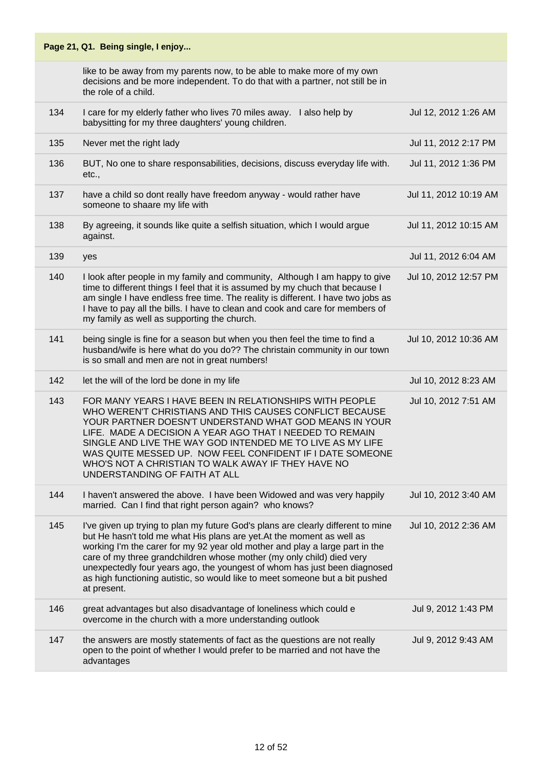|     | Page 21, Q1. Being single, I enjoy                                                                                                                                                                                                                                                                                                                                                                                                                                                              |                       |
|-----|-------------------------------------------------------------------------------------------------------------------------------------------------------------------------------------------------------------------------------------------------------------------------------------------------------------------------------------------------------------------------------------------------------------------------------------------------------------------------------------------------|-----------------------|
|     | like to be away from my parents now, to be able to make more of my own<br>decisions and be more independent. To do that with a partner, not still be in<br>the role of a child.                                                                                                                                                                                                                                                                                                                 |                       |
| 134 | I care for my elderly father who lives 70 miles away. I also help by<br>babysitting for my three daughters' young children.                                                                                                                                                                                                                                                                                                                                                                     | Jul 12, 2012 1:26 AM  |
| 135 | Never met the right lady                                                                                                                                                                                                                                                                                                                                                                                                                                                                        | Jul 11, 2012 2:17 PM  |
| 136 | BUT, No one to share responsabilities, decisions, discuss everyday life with.<br>etc.,                                                                                                                                                                                                                                                                                                                                                                                                          | Jul 11, 2012 1:36 PM  |
| 137 | have a child so dont really have freedom anyway - would rather have<br>someone to shaare my life with                                                                                                                                                                                                                                                                                                                                                                                           | Jul 11, 2012 10:19 AM |
| 138 | By agreeing, it sounds like quite a selfish situation, which I would argue<br>against.                                                                                                                                                                                                                                                                                                                                                                                                          | Jul 11, 2012 10:15 AM |
| 139 | yes                                                                                                                                                                                                                                                                                                                                                                                                                                                                                             | Jul 11, 2012 6:04 AM  |
| 140 | I look after people in my family and community, Although I am happy to give<br>time to different things I feel that it is assumed by my chuch that because I<br>am single I have endless free time. The reality is different. I have two jobs as<br>I have to pay all the bills. I have to clean and cook and care for members of<br>my family as well as supporting the church.                                                                                                                | Jul 10, 2012 12:57 PM |
| 141 | being single is fine for a season but when you then feel the time to find a<br>husband/wife is here what do you do?? The christain community in our town<br>is so small and men are not in great numbers!                                                                                                                                                                                                                                                                                       | Jul 10, 2012 10:36 AM |
| 142 | let the will of the lord be done in my life                                                                                                                                                                                                                                                                                                                                                                                                                                                     | Jul 10, 2012 8:23 AM  |
| 143 | FOR MANY YEARS I HAVE BEEN IN RELATIONSHIPS WITH PEOPLE<br>WHO WEREN'T CHRISTIANS AND THIS CAUSES CONFLICT BECAUSE<br>YOUR PARTNER DOESN'T UNDERSTAND WHAT GOD MEANS IN YOUR<br>LIFE. MADE A DECISION A YEAR AGO THAT I NEEDED TO REMAIN<br>SINGLE AND LIVE THE WAY GOD INTENDED ME TO LIVE AS MY LIFE<br>WAS QUITE MESSED UP. NOW FEEL CONFIDENT IF I DATE SOMEONE<br>WHO'S NOT A CHRISTIAN TO WALK AWAY IF THEY HAVE NO<br>UNDERSTANDING OF FAITH AT ALL                                      | Jul 10, 2012 7:51 AM  |
| 144 | I haven't answered the above. I have been Widowed and was very happily<br>married. Can I find that right person again? who knows?                                                                                                                                                                                                                                                                                                                                                               | Jul 10, 2012 3:40 AM  |
| 145 | I've given up trying to plan my future God's plans are clearly different to mine<br>but He hasn't told me what His plans are yet. At the moment as well as<br>working I'm the carer for my 92 year old mother and play a large part in the<br>care of my three grandchildren whose mother (my only child) died very<br>unexpectedly four years ago, the youngest of whom has just been diagnosed<br>as high functioning autistic, so would like to meet someone but a bit pushed<br>at present. | Jul 10, 2012 2:36 AM  |
| 146 | great advantages but also disadvantage of loneliness which could e<br>overcome in the church with a more understanding outlook                                                                                                                                                                                                                                                                                                                                                                  | Jul 9, 2012 1:43 PM   |
| 147 | the answers are mostly statements of fact as the questions are not really<br>open to the point of whether I would prefer to be married and not have the<br>advantages                                                                                                                                                                                                                                                                                                                           | Jul 9, 2012 9:43 AM   |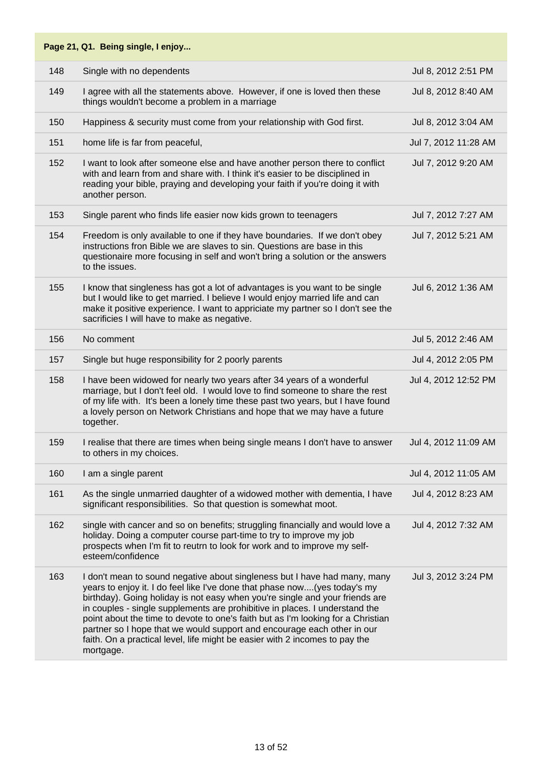|     | Page 21, Q1. Being single, I enjoy                                                                                                                                                                                                                                                                                                                                                                                                                                                                                                                                               |                      |
|-----|----------------------------------------------------------------------------------------------------------------------------------------------------------------------------------------------------------------------------------------------------------------------------------------------------------------------------------------------------------------------------------------------------------------------------------------------------------------------------------------------------------------------------------------------------------------------------------|----------------------|
| 148 | Single with no dependents                                                                                                                                                                                                                                                                                                                                                                                                                                                                                                                                                        | Jul 8, 2012 2:51 PM  |
| 149 | I agree with all the statements above. However, if one is loved then these<br>things wouldn't become a problem in a marriage                                                                                                                                                                                                                                                                                                                                                                                                                                                     | Jul 8, 2012 8:40 AM  |
| 150 | Happiness & security must come from your relationship with God first.                                                                                                                                                                                                                                                                                                                                                                                                                                                                                                            | Jul 8, 2012 3:04 AM  |
| 151 | home life is far from peaceful,                                                                                                                                                                                                                                                                                                                                                                                                                                                                                                                                                  | Jul 7, 2012 11:28 AM |
| 152 | I want to look after someone else and have another person there to conflict<br>with and learn from and share with. I think it's easier to be disciplined in<br>reading your bible, praying and developing your faith if you're doing it with<br>another person.                                                                                                                                                                                                                                                                                                                  | Jul 7, 2012 9:20 AM  |
| 153 | Single parent who finds life easier now kids grown to teenagers                                                                                                                                                                                                                                                                                                                                                                                                                                                                                                                  | Jul 7, 2012 7:27 AM  |
| 154 | Freedom is only available to one if they have boundaries. If we don't obey<br>instructions fron Bible we are slaves to sin. Questions are base in this<br>questionaire more focusing in self and won't bring a solution or the answers<br>to the issues.                                                                                                                                                                                                                                                                                                                         | Jul 7, 2012 5:21 AM  |
| 155 | I know that singleness has got a lot of advantages is you want to be single<br>but I would like to get married. I believe I would enjoy married life and can<br>make it positive experience. I want to appriciate my partner so I don't see the<br>sacrificies I will have to make as negative.                                                                                                                                                                                                                                                                                  | Jul 6, 2012 1:36 AM  |
| 156 | No comment                                                                                                                                                                                                                                                                                                                                                                                                                                                                                                                                                                       | Jul 5, 2012 2:46 AM  |
| 157 | Single but huge responsibility for 2 poorly parents                                                                                                                                                                                                                                                                                                                                                                                                                                                                                                                              | Jul 4, 2012 2:05 PM  |
| 158 | I have been widowed for nearly two years after 34 years of a wonderful<br>marriage, but I don't feel old. I would love to find someone to share the rest<br>of my life with. It's been a lonely time these past two years, but I have found<br>a lovely person on Network Christians and hope that we may have a future<br>together.                                                                                                                                                                                                                                             | Jul 4, 2012 12:52 PM |
| 159 | I realise that there are times when being single means I don't have to answer<br>to others in my choices.                                                                                                                                                                                                                                                                                                                                                                                                                                                                        | Jul 4, 2012 11:09 AM |
| 160 | I am a single parent                                                                                                                                                                                                                                                                                                                                                                                                                                                                                                                                                             | Jul 4, 2012 11:05 AM |
| 161 | As the single unmarried daughter of a widowed mother with dementia, I have<br>significant responsibilities. So that question is somewhat moot.                                                                                                                                                                                                                                                                                                                                                                                                                                   | Jul 4, 2012 8:23 AM  |
| 162 | single with cancer and so on benefits; struggling financially and would love a<br>holiday. Doing a computer course part-time to try to improve my job<br>prospects when I'm fit to reutrn to look for work and to improve my self-<br>esteem/confidence                                                                                                                                                                                                                                                                                                                          | Jul 4, 2012 7:32 AM  |
| 163 | I don't mean to sound negative about singleness but I have had many, many<br>years to enjoy it. I do feel like I've done that phase now(yes today's my<br>birthday). Going holiday is not easy when you're single and your friends are<br>in couples - single supplements are prohibitive in places. I understand the<br>point about the time to devote to one's faith but as I'm looking for a Christian<br>partner so I hope that we would support and encourage each other in our<br>faith. On a practical level, life might be easier with 2 incomes to pay the<br>mortgage. | Jul 3, 2012 3:24 PM  |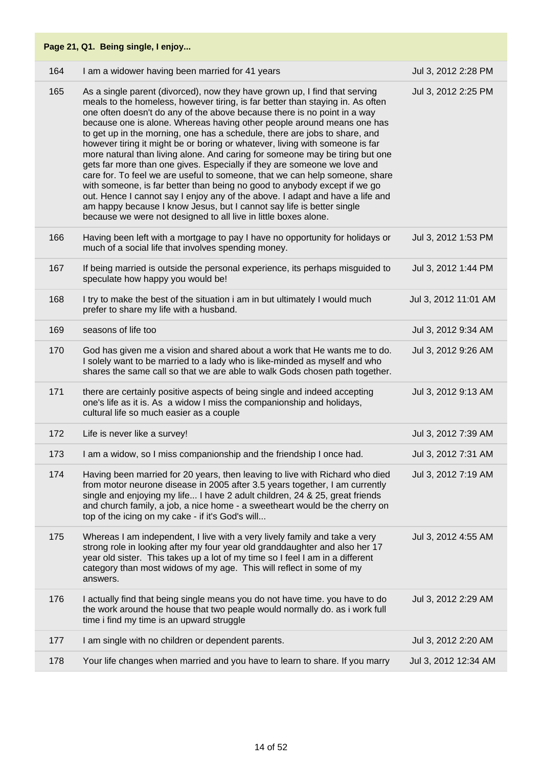| Page 21, Q1. Being single, I enjoy |                                                                                                                                                                                                                                                                                                                                                                                                                                                                                                                                                                                                                                                                                                                                                                                                                                                                                                                                                                                                                                       |                      |
|------------------------------------|---------------------------------------------------------------------------------------------------------------------------------------------------------------------------------------------------------------------------------------------------------------------------------------------------------------------------------------------------------------------------------------------------------------------------------------------------------------------------------------------------------------------------------------------------------------------------------------------------------------------------------------------------------------------------------------------------------------------------------------------------------------------------------------------------------------------------------------------------------------------------------------------------------------------------------------------------------------------------------------------------------------------------------------|----------------------|
| 164                                | I am a widower having been married for 41 years                                                                                                                                                                                                                                                                                                                                                                                                                                                                                                                                                                                                                                                                                                                                                                                                                                                                                                                                                                                       | Jul 3, 2012 2:28 PM  |
| 165                                | As a single parent (divorced), now they have grown up, I find that serving<br>meals to the homeless, however tiring, is far better than staying in. As often<br>one often doesn't do any of the above because there is no point in a way<br>because one is alone. Whereas having other people around means one has<br>to get up in the morning, one has a schedule, there are jobs to share, and<br>however tiring it might be or boring or whatever, living with someone is far<br>more natural than living alone. And caring for someone may be tiring but one<br>gets far more than one gives. Especially if they are someone we love and<br>care for. To feel we are useful to someone, that we can help someone, share<br>with someone, is far better than being no good to anybody except if we go<br>out. Hence I cannot say I enjoy any of the above. I adapt and have a life and<br>am happy because I know Jesus, but I cannot say life is better single<br>because we were not designed to all live in little boxes alone. | Jul 3, 2012 2:25 PM  |
| 166                                | Having been left with a mortgage to pay I have no opportunity for holidays or<br>much of a social life that involves spending money.                                                                                                                                                                                                                                                                                                                                                                                                                                                                                                                                                                                                                                                                                                                                                                                                                                                                                                  | Jul 3, 2012 1:53 PM  |
| 167                                | If being married is outside the personal experience, its perhaps misguided to<br>speculate how happy you would be!                                                                                                                                                                                                                                                                                                                                                                                                                                                                                                                                                                                                                                                                                                                                                                                                                                                                                                                    | Jul 3, 2012 1:44 PM  |
| 168                                | I try to make the best of the situation i am in but ultimately I would much<br>prefer to share my life with a husband.                                                                                                                                                                                                                                                                                                                                                                                                                                                                                                                                                                                                                                                                                                                                                                                                                                                                                                                | Jul 3, 2012 11:01 AM |
| 169                                | seasons of life too                                                                                                                                                                                                                                                                                                                                                                                                                                                                                                                                                                                                                                                                                                                                                                                                                                                                                                                                                                                                                   | Jul 3, 2012 9:34 AM  |
| 170                                | God has given me a vision and shared about a work that He wants me to do.<br>I solely want to be married to a lady who is like-minded as myself and who<br>shares the same call so that we are able to walk Gods chosen path together.                                                                                                                                                                                                                                                                                                                                                                                                                                                                                                                                                                                                                                                                                                                                                                                                | Jul 3, 2012 9:26 AM  |
| 171                                | there are certainly positive aspects of being single and indeed accepting<br>one's life as it is. As a widow I miss the companionship and holidays,<br>cultural life so much easier as a couple                                                                                                                                                                                                                                                                                                                                                                                                                                                                                                                                                                                                                                                                                                                                                                                                                                       | Jul 3, 2012 9:13 AM  |
| 172                                | Life is never like a survey!                                                                                                                                                                                                                                                                                                                                                                                                                                                                                                                                                                                                                                                                                                                                                                                                                                                                                                                                                                                                          | Jul 3, 2012 7:39 AM  |
| 173                                | I am a widow, so I miss companionship and the friendship I once had.                                                                                                                                                                                                                                                                                                                                                                                                                                                                                                                                                                                                                                                                                                                                                                                                                                                                                                                                                                  | Jul 3, 2012 7:31 AM  |
| 174                                | Having been married for 20 years, then leaving to live with Richard who died<br>from motor neurone disease in 2005 after 3.5 years together, I am currently<br>single and enjoying my life I have 2 adult children, 24 & 25, great friends<br>and church family, a job, a nice home - a sweetheart would be the cherry on<br>top of the icing on my cake - if it's God's will                                                                                                                                                                                                                                                                                                                                                                                                                                                                                                                                                                                                                                                         | Jul 3, 2012 7:19 AM  |
| 175                                | Whereas I am independent, I live with a very lively family and take a very<br>strong role in looking after my four year old granddaughter and also her 17<br>year old sister. This takes up a lot of my time so I feel I am in a different<br>category than most widows of my age. This will reflect in some of my<br>answers.                                                                                                                                                                                                                                                                                                                                                                                                                                                                                                                                                                                                                                                                                                        | Jul 3, 2012 4:55 AM  |
| 176                                | I actually find that being single means you do not have time. you have to do<br>the work around the house that two peaple would normally do. as i work full<br>time i find my time is an upward struggle                                                                                                                                                                                                                                                                                                                                                                                                                                                                                                                                                                                                                                                                                                                                                                                                                              | Jul 3, 2012 2:29 AM  |
| 177                                | I am single with no children or dependent parents.                                                                                                                                                                                                                                                                                                                                                                                                                                                                                                                                                                                                                                                                                                                                                                                                                                                                                                                                                                                    | Jul 3, 2012 2:20 AM  |
| 178                                | Your life changes when married and you have to learn to share. If you marry                                                                                                                                                                                                                                                                                                                                                                                                                                                                                                                                                                                                                                                                                                                                                                                                                                                                                                                                                           | Jul 3, 2012 12:34 AM |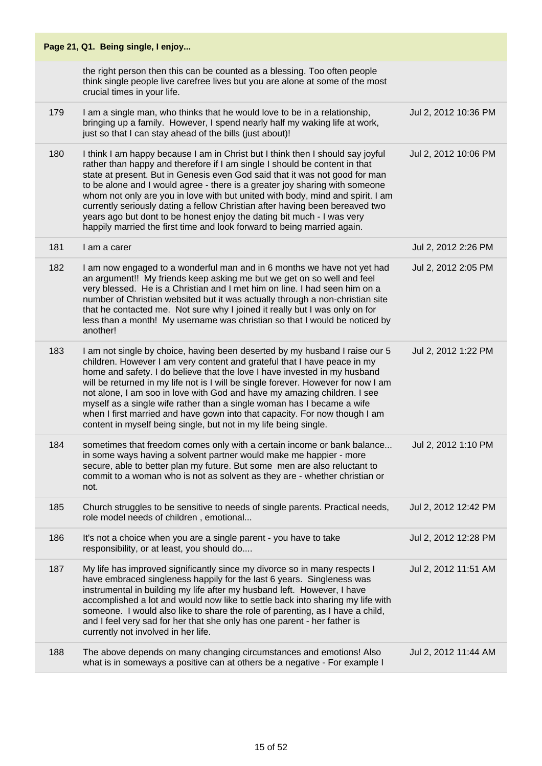|     | Page 21, Q1. Being single, I enjoy                                                                                                                                                                                                                                                                                                                                                                                                                                                                                                                                                                                                                |                      |
|-----|---------------------------------------------------------------------------------------------------------------------------------------------------------------------------------------------------------------------------------------------------------------------------------------------------------------------------------------------------------------------------------------------------------------------------------------------------------------------------------------------------------------------------------------------------------------------------------------------------------------------------------------------------|----------------------|
|     | the right person then this can be counted as a blessing. Too often people<br>think single people live carefree lives but you are alone at some of the most<br>crucial times in your life.                                                                                                                                                                                                                                                                                                                                                                                                                                                         |                      |
| 179 | I am a single man, who thinks that he would love to be in a relationship,<br>bringing up a family. However, I spend nearly half my waking life at work,<br>just so that I can stay ahead of the bills (just about)!                                                                                                                                                                                                                                                                                                                                                                                                                               | Jul 2, 2012 10:36 PM |
| 180 | I think I am happy because I am in Christ but I think then I should say joyful<br>rather than happy and therefore if I am single I should be content in that<br>state at present. But in Genesis even God said that it was not good for man<br>to be alone and I would agree - there is a greater joy sharing with someone<br>whom not only are you in love with but united with body, mind and spirit. I am<br>currently seriously dating a fellow Christian after having been bereaved two<br>years ago but dont to be honest enjoy the dating bit much - I was very<br>happily married the first time and look forward to being married again. | Jul 2, 2012 10:06 PM |
| 181 | I am a carer                                                                                                                                                                                                                                                                                                                                                                                                                                                                                                                                                                                                                                      | Jul 2, 2012 2:26 PM  |
| 182 | I am now engaged to a wonderful man and in 6 months we have not yet had<br>an argument!! My friends keep asking me but we get on so well and feel<br>very blessed. He is a Christian and I met him on line. I had seen him on a<br>number of Christian websited but it was actually through a non-christian site<br>that he contacted me. Not sure why I joined it really but I was only on for<br>less than a month! My username was christian so that I would be noticed by<br>another!                                                                                                                                                         | Jul 2, 2012 2:05 PM  |
| 183 | I am not single by choice, having been deserted by my husband I raise our 5<br>children. However I am very content and grateful that I have peace in my<br>home and safety. I do believe that the love I have invested in my husband<br>will be returned in my life not is I will be single forever. However for now I am<br>not alone, I am soo in love with God and have my amazing children. I see<br>myself as a single wife rather than a single woman has I became a wife<br>when I first married and have gown into that capacity. For now though I am<br>content in myself being single, but not in my life being single.                 | Jul 2, 2012 1:22 PM  |
| 184 | sometimes that freedom comes only with a certain income or bank balance<br>in some ways having a solvent partner would make me happier - more<br>secure, able to better plan my future. But some men are also reluctant to<br>commit to a woman who is not as solvent as they are - whether christian or<br>not.                                                                                                                                                                                                                                                                                                                                  | Jul 2, 2012 1:10 PM  |
| 185 | Church struggles to be sensitive to needs of single parents. Practical needs,<br>role model needs of children, emotional                                                                                                                                                                                                                                                                                                                                                                                                                                                                                                                          | Jul 2, 2012 12:42 PM |
| 186 | It's not a choice when you are a single parent - you have to take<br>responsibility, or at least, you should do                                                                                                                                                                                                                                                                                                                                                                                                                                                                                                                                   | Jul 2, 2012 12:28 PM |
| 187 | My life has improved significantly since my divorce so in many respects I<br>have embraced singleness happily for the last 6 years. Singleness was<br>instrumental in building my life after my husband left. However, I have<br>accomplished a lot and would now like to settle back into sharing my life with<br>someone. I would also like to share the role of parenting, as I have a child,<br>and I feel very sad for her that she only has one parent - her father is<br>currently not involved in her life.                                                                                                                               | Jul 2, 2012 11:51 AM |
| 188 | The above depends on many changing circumstances and emotions! Also<br>what is in someways a positive can at others be a negative - For example I                                                                                                                                                                                                                                                                                                                                                                                                                                                                                                 | Jul 2, 2012 11:44 AM |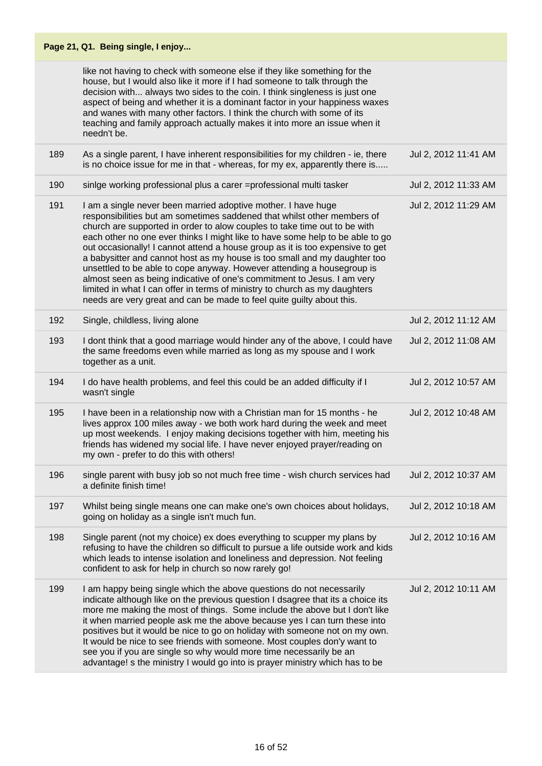like not having to check with someone else if they like something for the house, but I would also like it more if I had someone to talk through the decision with... always two sides to the coin. I think singleness is just one aspect of being and whether it is a dominant factor in your happiness waxes and wanes with many other factors. I think the church with some of its teaching and family approach actually makes it into more an issue when it needn't be.

| 189 | As a single parent, I have inherent responsibilities for my children - ie, there<br>is no choice issue for me in that - whereas, for my ex, apparently there is                                                                                                                                                                                                                                                                                                                                                                                                                                                                                                                                                                                                                  | Jul 2, 2012 11:41 AM |
|-----|----------------------------------------------------------------------------------------------------------------------------------------------------------------------------------------------------------------------------------------------------------------------------------------------------------------------------------------------------------------------------------------------------------------------------------------------------------------------------------------------------------------------------------------------------------------------------------------------------------------------------------------------------------------------------------------------------------------------------------------------------------------------------------|----------------------|
| 190 | sinige working professional plus a carer =professional multi tasker                                                                                                                                                                                                                                                                                                                                                                                                                                                                                                                                                                                                                                                                                                              | Jul 2, 2012 11:33 AM |
| 191 | I am a single never been married adoptive mother. I have huge<br>responsibilities but am sometimes saddened that whilst other members of<br>church are supported in order to alow couples to take time out to be with<br>each other no one ever thinks I might like to have some help to be able to go<br>out occasionally! I cannot attend a house group as it is too expensive to get<br>a babysitter and cannot host as my house is too small and my daughter too<br>unsettled to be able to cope anyway. However attending a housegroup is<br>almost seen as being indicative of one's commitment to Jesus. I am very<br>limited in what I can offer in terms of ministry to church as my daughters<br>needs are very great and can be made to feel quite guilty about this. | Jul 2, 2012 11:29 AM |
| 192 | Single, childless, living alone                                                                                                                                                                                                                                                                                                                                                                                                                                                                                                                                                                                                                                                                                                                                                  | Jul 2, 2012 11:12 AM |
| 193 | I dont think that a good marriage would hinder any of the above, I could have<br>the same freedoms even while married as long as my spouse and I work<br>together as a unit.                                                                                                                                                                                                                                                                                                                                                                                                                                                                                                                                                                                                     | Jul 2, 2012 11:08 AM |
| 194 | I do have health problems, and feel this could be an added difficulty if I<br>wasn't single                                                                                                                                                                                                                                                                                                                                                                                                                                                                                                                                                                                                                                                                                      | Jul 2, 2012 10:57 AM |
| 195 | I have been in a relationship now with a Christian man for 15 months - he<br>lives approx 100 miles away - we both work hard during the week and meet<br>up most weekends. I enjoy making decisions together with him, meeting his<br>friends has widened my social life. I have never enjoyed prayer/reading on<br>my own - prefer to do this with others!                                                                                                                                                                                                                                                                                                                                                                                                                      | Jul 2, 2012 10:48 AM |
| 196 | single parent with busy job so not much free time - wish church services had<br>a definite finish time!                                                                                                                                                                                                                                                                                                                                                                                                                                                                                                                                                                                                                                                                          | Jul 2, 2012 10:37 AM |
| 197 | Whilst being single means one can make one's own choices about holidays,<br>going on holiday as a single isn't much fun.                                                                                                                                                                                                                                                                                                                                                                                                                                                                                                                                                                                                                                                         | Jul 2, 2012 10:18 AM |
| 198 | Single parent (not my choice) ex does everything to scupper my plans by<br>refusing to have the children so difficult to pursue a life outside work and kids<br>which leads to intense isolation and loneliness and depression. Not feeling<br>confident to ask for help in church so now rarely go!                                                                                                                                                                                                                                                                                                                                                                                                                                                                             | Jul 2, 2012 10:16 AM |
| 199 | I am happy being single which the above questions do not necessarily<br>indicate although like on the previous question I dsagree that its a choice its<br>more me making the most of things. Some include the above but I don't like<br>it when married people ask me the above because yes I can turn these into<br>positives but it would be nice to go on holiday with someone not on my own.<br>It would be nice to see friends with someone. Most couples don'y want to<br>see you if you are single so why would more time necessarily be an<br>advantage! s the ministry I would go into is prayer ministry which has to be                                                                                                                                              | Jul 2, 2012 10:11 AM |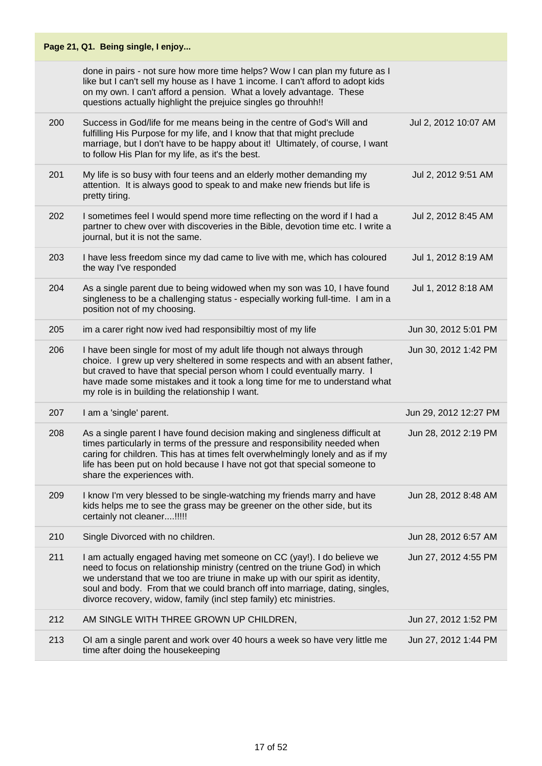|     | Page 21, Q1. Being single, I enjoy                                                                                                                                                                                                                                                                                                                                                          |                       |
|-----|---------------------------------------------------------------------------------------------------------------------------------------------------------------------------------------------------------------------------------------------------------------------------------------------------------------------------------------------------------------------------------------------|-----------------------|
|     | done in pairs - not sure how more time helps? Wow I can plan my future as I<br>like but I can't sell my house as I have 1 income. I can't afford to adopt kids<br>on my own. I can't afford a pension. What a lovely advantage. These<br>questions actually highlight the prejuice singles go throuhh!!                                                                                     |                       |
| 200 | Success in God/life for me means being in the centre of God's Will and<br>fulfilling His Purpose for my life, and I know that that might preclude<br>marriage, but I don't have to be happy about it! Ultimately, of course, I want<br>to follow His Plan for my life, as it's the best.                                                                                                    | Jul 2, 2012 10:07 AM  |
| 201 | My life is so busy with four teens and an elderly mother demanding my<br>attention. It is always good to speak to and make new friends but life is<br>pretty tiring.                                                                                                                                                                                                                        | Jul 2, 2012 9:51 AM   |
| 202 | I sometimes feel I would spend more time reflecting on the word if I had a<br>partner to chew over with discoveries in the Bible, devotion time etc. I write a<br>journal, but it is not the same.                                                                                                                                                                                          | Jul 2, 2012 8:45 AM   |
| 203 | I have less freedom since my dad came to live with me, which has coloured<br>the way I've responded                                                                                                                                                                                                                                                                                         | Jul 1, 2012 8:19 AM   |
| 204 | As a single parent due to being widowed when my son was 10, I have found<br>singleness to be a challenging status - especially working full-time. I am in a<br>position not of my choosing.                                                                                                                                                                                                 | Jul 1, 2012 8:18 AM   |
| 205 | im a carer right now ived had responsibiltiy most of my life                                                                                                                                                                                                                                                                                                                                | Jun 30, 2012 5:01 PM  |
| 206 | I have been single for most of my adult life though not always through<br>choice. I grew up very sheltered in some respects and with an absent father,<br>but craved to have that special person whom I could eventually marry. I<br>have made some mistakes and it took a long time for me to understand what<br>my role is in building the relationship I want.                           | Jun 30, 2012 1:42 PM  |
| 207 | I am a 'single' parent.                                                                                                                                                                                                                                                                                                                                                                     | Jun 29, 2012 12:27 PM |
| 208 | As a single parent I have found decision making and singleness difficult at<br>times particularly in terms of the pressure and responsibility needed when<br>caring for children. This has at times felt overwhelmingly lonely and as if my<br>life has been put on hold because I have not got that special someone to<br>share the experiences with.                                      | Jun 28, 2012 2:19 PM  |
| 209 | I know I'm very blessed to be single-watching my friends marry and have<br>kids helps me to see the grass may be greener on the other side, but its<br>certainly not cleaner!!!!!                                                                                                                                                                                                           | Jun 28, 2012 8:48 AM  |
| 210 | Single Divorced with no children.                                                                                                                                                                                                                                                                                                                                                           | Jun 28, 2012 6:57 AM  |
| 211 | I am actually engaged having met someone on CC (yay!). I do believe we<br>need to focus on relationship ministry (centred on the triune God) in which<br>we understand that we too are triune in make up with our spirit as identity,<br>soul and body. From that we could branch off into marriage, dating, singles,<br>divorce recovery, widow, family (incl step family) etc ministries. | Jun 27, 2012 4:55 PM  |
| 212 | AM SINGLE WITH THREE GROWN UP CHILDREN,                                                                                                                                                                                                                                                                                                                                                     | Jun 27, 2012 1:52 PM  |
| 213 | OI am a single parent and work over 40 hours a week so have very little me<br>time after doing the housekeeping                                                                                                                                                                                                                                                                             | Jun 27, 2012 1:44 PM  |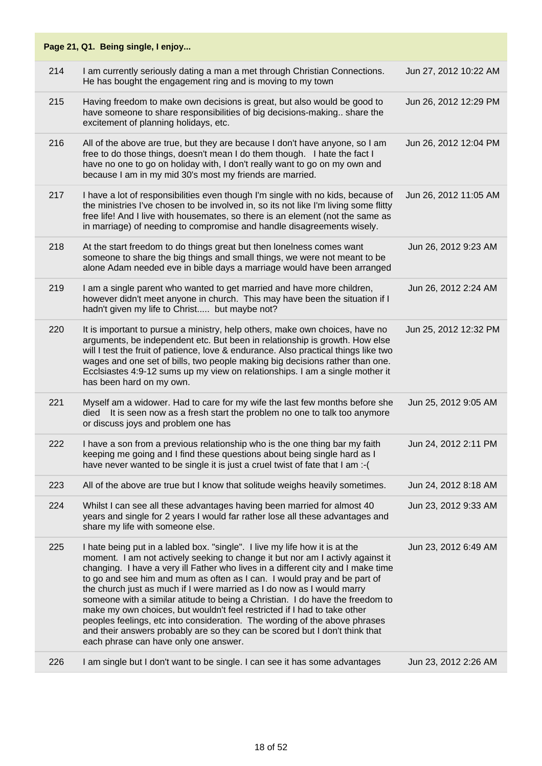|     | Page 21, Q1. Being single, I enjoy                                                                                                                                                                                                                                                                                                                                                                                                                                                                                                                                                                                                                                                                                                                                         |                       |
|-----|----------------------------------------------------------------------------------------------------------------------------------------------------------------------------------------------------------------------------------------------------------------------------------------------------------------------------------------------------------------------------------------------------------------------------------------------------------------------------------------------------------------------------------------------------------------------------------------------------------------------------------------------------------------------------------------------------------------------------------------------------------------------------|-----------------------|
| 214 | I am currently seriously dating a man a met through Christian Connections.<br>He has bought the engagement ring and is moving to my town                                                                                                                                                                                                                                                                                                                                                                                                                                                                                                                                                                                                                                   | Jun 27, 2012 10:22 AM |
| 215 | Having freedom to make own decisions is great, but also would be good to<br>have someone to share responsibilities of big decisions-making share the<br>excitement of planning holidays, etc.                                                                                                                                                                                                                                                                                                                                                                                                                                                                                                                                                                              | Jun 26, 2012 12:29 PM |
| 216 | All of the above are true, but they are because I don't have anyone, so I am<br>free to do those things, doesn't mean I do them though. I hate the fact I<br>have no one to go on holiday with, I don't really want to go on my own and<br>because I am in my mid 30's most my friends are married.                                                                                                                                                                                                                                                                                                                                                                                                                                                                        | Jun 26, 2012 12:04 PM |
| 217 | I have a lot of responsibilities even though I'm single with no kids, because of<br>the ministries I've chosen to be involved in, so its not like I'm living some flitty<br>free life! And I live with housemates, so there is an element (not the same as<br>in marriage) of needing to compromise and handle disagreements wisely.                                                                                                                                                                                                                                                                                                                                                                                                                                       | Jun 26, 2012 11:05 AM |
| 218 | At the start freedom to do things great but then lonelness comes want<br>someone to share the big things and small things, we were not meant to be<br>alone Adam needed eve in bible days a marriage would have been arranged                                                                                                                                                                                                                                                                                                                                                                                                                                                                                                                                              | Jun 26, 2012 9:23 AM  |
| 219 | I am a single parent who wanted to get married and have more children,<br>however didn't meet anyone in church. This may have been the situation if I<br>hadn't given my life to Christ but maybe not?                                                                                                                                                                                                                                                                                                                                                                                                                                                                                                                                                                     | Jun 26, 2012 2:24 AM  |
| 220 | It is important to pursue a ministry, help others, make own choices, have no<br>arguments, be independent etc. But been in relationship is growth. How else<br>will I test the fruit of patience, love & endurance. Also practical things like two<br>wages and one set of bills, two people making big decisions rather than one.<br>Ecclsiastes 4:9-12 sums up my view on relationships. I am a single mother it<br>has been hard on my own.                                                                                                                                                                                                                                                                                                                             | Jun 25, 2012 12:32 PM |
| 221 | Myself am a widower. Had to care for my wife the last few months before she<br>died It is seen now as a fresh start the problem no one to talk too anymore<br>or discuss joys and problem one has                                                                                                                                                                                                                                                                                                                                                                                                                                                                                                                                                                          | Jun 25, 2012 9:05 AM  |
| 222 | I have a son from a previous relationship who is the one thing bar my faith<br>keeping me going and I find these questions about being single hard as I<br>have never wanted to be single it is just a cruel twist of fate that I am :- (                                                                                                                                                                                                                                                                                                                                                                                                                                                                                                                                  | Jun 24, 2012 2:11 PM  |
| 223 | All of the above are true but I know that solitude weighs heavily sometimes.                                                                                                                                                                                                                                                                                                                                                                                                                                                                                                                                                                                                                                                                                               | Jun 24, 2012 8:18 AM  |
| 224 | Whilst I can see all these advantages having been married for almost 40<br>years and single for 2 years I would far rather lose all these advantages and<br>share my life with someone else.                                                                                                                                                                                                                                                                                                                                                                                                                                                                                                                                                                               | Jun 23, 2012 9:33 AM  |
| 225 | I hate being put in a labled box. "single". I live my life how it is at the<br>moment. I am not actively seeking to change it but nor am I activly against it<br>changing. I have a very ill Father who lives in a different city and I make time<br>to go and see him and mum as often as I can. I would pray and be part of<br>the church just as much if I were married as I do now as I would marry<br>someone with a similar atitude to being a Christian. I do have the freedom to<br>make my own choices, but wouldn't feel restricted if I had to take other<br>peoples feelings, etc into consideration. The wording of the above phrases<br>and their answers probably are so they can be scored but I don't think that<br>each phrase can have only one answer. | Jun 23, 2012 6:49 AM  |
| 226 | I am single but I don't want to be single. I can see it has some advantages                                                                                                                                                                                                                                                                                                                                                                                                                                                                                                                                                                                                                                                                                                | Jun 23, 2012 2:26 AM  |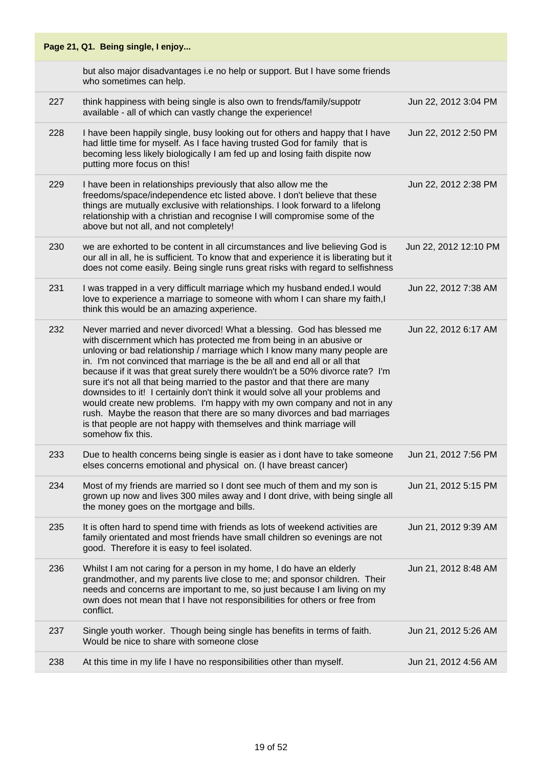| Page 21, Q1. Being single, I enjoy |                                                                                                                                                                                                                                                                                                                                                                                                                                                                                                                                                                                                                                                                                                                                                                                                            |                       |
|------------------------------------|------------------------------------------------------------------------------------------------------------------------------------------------------------------------------------------------------------------------------------------------------------------------------------------------------------------------------------------------------------------------------------------------------------------------------------------------------------------------------------------------------------------------------------------------------------------------------------------------------------------------------------------------------------------------------------------------------------------------------------------------------------------------------------------------------------|-----------------------|
|                                    | but also major disadvantages i.e no help or support. But I have some friends<br>who sometimes can help.                                                                                                                                                                                                                                                                                                                                                                                                                                                                                                                                                                                                                                                                                                    |                       |
| 227                                | think happiness with being single is also own to frends/family/suppotr<br>available - all of which can vastly change the experience!                                                                                                                                                                                                                                                                                                                                                                                                                                                                                                                                                                                                                                                                       | Jun 22, 2012 3:04 PM  |
| 228                                | I have been happily single, busy looking out for others and happy that I have<br>had little time for myself. As I face having trusted God for family that is<br>becoming less likely biologically I am fed up and losing faith dispite now<br>putting more focus on this!                                                                                                                                                                                                                                                                                                                                                                                                                                                                                                                                  | Jun 22, 2012 2:50 PM  |
| 229                                | I have been in relationships previously that also allow me the<br>freedoms/space/independence etc listed above. I don't believe that these<br>things are mutually exclusive with relationships. I look forward to a lifelong<br>relationship with a christian and recognise I will compromise some of the<br>above but not all, and not completely!                                                                                                                                                                                                                                                                                                                                                                                                                                                        | Jun 22, 2012 2:38 PM  |
| 230                                | we are exhorted to be content in all circumstances and live believing God is<br>our all in all, he is sufficient. To know that and experience it is liberating but it<br>does not come easily. Being single runs great risks with regard to selfishness                                                                                                                                                                                                                                                                                                                                                                                                                                                                                                                                                    | Jun 22, 2012 12:10 PM |
| 231                                | I was trapped in a very difficult marriage which my husband ended.I would<br>love to experience a marriage to someone with whom I can share my faith, I<br>think this would be an amazing axperience.                                                                                                                                                                                                                                                                                                                                                                                                                                                                                                                                                                                                      | Jun 22, 2012 7:38 AM  |
| 232                                | Never married and never divorced! What a blessing. God has blessed me<br>with discernment which has protected me from being in an abusive or<br>unloving or bad relationship / marriage which I know many many people are<br>in. I'm not convinced that marriage is the be all and end all or all that<br>because if it was that great surely there wouldn't be a 50% divorce rate? I'm<br>sure it's not all that being married to the pastor and that there are many<br>downsides to it! I certainly don't think it would solve all your problems and<br>would create new problems. I'm happy with my own company and not in any<br>rush. Maybe the reason that there are so many divorces and bad marriages<br>is that people are not happy with themselves and think marriage will<br>somehow fix this. | Jun 22, 2012 6:17 AM  |
| 233                                | Due to health concerns being single is easier as i dont have to take someone<br>elses concerns emotional and physical on. (I have breast cancer)                                                                                                                                                                                                                                                                                                                                                                                                                                                                                                                                                                                                                                                           | Jun 21, 2012 7:56 PM  |
| 234                                | Most of my friends are married so I dont see much of them and my son is<br>grown up now and lives 300 miles away and I dont drive, with being single all<br>the money goes on the mortgage and bills.                                                                                                                                                                                                                                                                                                                                                                                                                                                                                                                                                                                                      | Jun 21, 2012 5:15 PM  |
| 235                                | It is often hard to spend time with friends as lots of weekend activities are<br>family orientated and most friends have small children so evenings are not<br>good. Therefore it is easy to feel isolated.                                                                                                                                                                                                                                                                                                                                                                                                                                                                                                                                                                                                | Jun 21, 2012 9:39 AM  |
| 236                                | Whilst I am not caring for a person in my home, I do have an elderly<br>grandmother, and my parents live close to me; and sponsor children. Their<br>needs and concerns are important to me, so just because I am living on my<br>own does not mean that I have not responsibilities for others or free from<br>conflict.                                                                                                                                                                                                                                                                                                                                                                                                                                                                                  | Jun 21, 2012 8:48 AM  |
| 237                                | Single youth worker. Though being single has benefits in terms of faith.<br>Would be nice to share with someone close                                                                                                                                                                                                                                                                                                                                                                                                                                                                                                                                                                                                                                                                                      | Jun 21, 2012 5:26 AM  |
| 238                                | At this time in my life I have no responsibilities other than myself.                                                                                                                                                                                                                                                                                                                                                                                                                                                                                                                                                                                                                                                                                                                                      | Jun 21, 2012 4:56 AM  |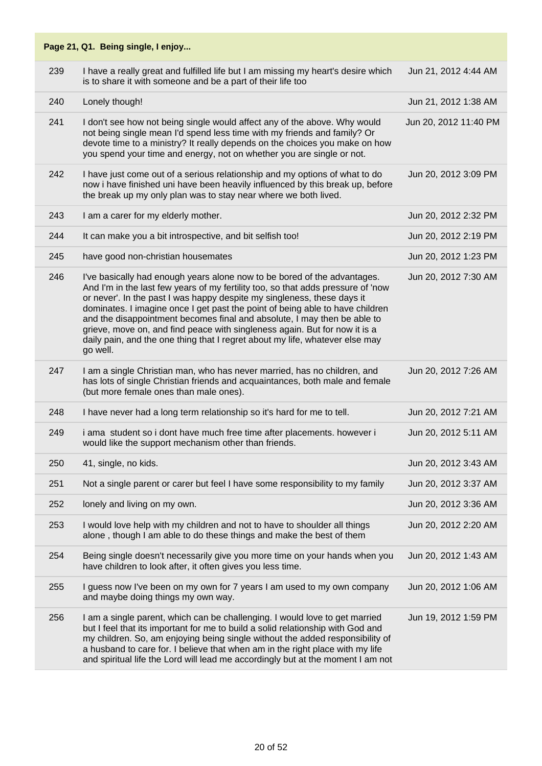| 239 | I have a really great and fulfilled life but I am missing my heart's desire which<br>is to share it with someone and be a part of their life too                                                                                                                                                                                                                                                                                                                                                                                                                               | Jun 21, 2012 4:44 AM  |
|-----|--------------------------------------------------------------------------------------------------------------------------------------------------------------------------------------------------------------------------------------------------------------------------------------------------------------------------------------------------------------------------------------------------------------------------------------------------------------------------------------------------------------------------------------------------------------------------------|-----------------------|
| 240 | Lonely though!                                                                                                                                                                                                                                                                                                                                                                                                                                                                                                                                                                 | Jun 21, 2012 1:38 AM  |
| 241 | I don't see how not being single would affect any of the above. Why would<br>not being single mean I'd spend less time with my friends and family? Or<br>devote time to a ministry? It really depends on the choices you make on how<br>you spend your time and energy, not on whether you are single or not.                                                                                                                                                                                                                                                                  | Jun 20, 2012 11:40 PM |
| 242 | I have just come out of a serious relationship and my options of what to do<br>now i have finished uni have been heavily influenced by this break up, before<br>the break up my only plan was to stay near where we both lived.                                                                                                                                                                                                                                                                                                                                                | Jun 20, 2012 3:09 PM  |
| 243 | I am a carer for my elderly mother.                                                                                                                                                                                                                                                                                                                                                                                                                                                                                                                                            | Jun 20, 2012 2:32 PM  |
| 244 | It can make you a bit introspective, and bit selfish too!                                                                                                                                                                                                                                                                                                                                                                                                                                                                                                                      | Jun 20, 2012 2:19 PM  |
| 245 | have good non-christian housemates                                                                                                                                                                                                                                                                                                                                                                                                                                                                                                                                             | Jun 20, 2012 1:23 PM  |
| 246 | I've basically had enough years alone now to be bored of the advantages.<br>And I'm in the last few years of my fertility too, so that adds pressure of 'now<br>or never'. In the past I was happy despite my singleness, these days it<br>dominates. I imagine once I get past the point of being able to have children<br>and the disappointment becomes final and absolute, I may then be able to<br>grieve, move on, and find peace with singleness again. But for now it is a<br>daily pain, and the one thing that I regret about my life, whatever else may<br>go well. | Jun 20, 2012 7:30 AM  |
| 247 | I am a single Christian man, who has never married, has no children, and<br>has lots of single Christian friends and acquaintances, both male and female<br>(but more female ones than male ones).                                                                                                                                                                                                                                                                                                                                                                             | Jun 20, 2012 7:26 AM  |
| 248 | I have never had a long term relationship so it's hard for me to tell.                                                                                                                                                                                                                                                                                                                                                                                                                                                                                                         | Jun 20, 2012 7:21 AM  |
| 249 | i ama student so i dont have much free time after placements. however i<br>would like the support mechanism other than friends.                                                                                                                                                                                                                                                                                                                                                                                                                                                | Jun 20, 2012 5:11 AM  |
| 250 | 41, single, no kids.                                                                                                                                                                                                                                                                                                                                                                                                                                                                                                                                                           | Jun 20, 2012 3:43 AM  |
| 251 | Not a single parent or carer but feel I have some responsibility to my family                                                                                                                                                                                                                                                                                                                                                                                                                                                                                                  | Jun 20, 2012 3:37 AM  |
| 252 | lonely and living on my own.                                                                                                                                                                                                                                                                                                                                                                                                                                                                                                                                                   | Jun 20, 2012 3:36 AM  |
| 253 | I would love help with my children and not to have to shoulder all things<br>alone, though I am able to do these things and make the best of them                                                                                                                                                                                                                                                                                                                                                                                                                              | Jun 20, 2012 2:20 AM  |
| 254 | Being single doesn't necessarily give you more time on your hands when you<br>have children to look after, it often gives you less time.                                                                                                                                                                                                                                                                                                                                                                                                                                       | Jun 20, 2012 1:43 AM  |
| 255 | I guess now I've been on my own for 7 years I am used to my own company<br>and maybe doing things my own way.                                                                                                                                                                                                                                                                                                                                                                                                                                                                  | Jun 20, 2012 1:06 AM  |
| 256 | I am a single parent, which can be challenging. I would love to get married<br>but I feel that its important for me to build a solid relationship with God and<br>my children. So, am enjoying being single without the added responsibility of<br>a husband to care for. I believe that when am in the right place with my life<br>and spiritual life the Lord will lead me accordingly but at the moment I am not                                                                                                                                                            | Jun 19, 2012 1:59 PM  |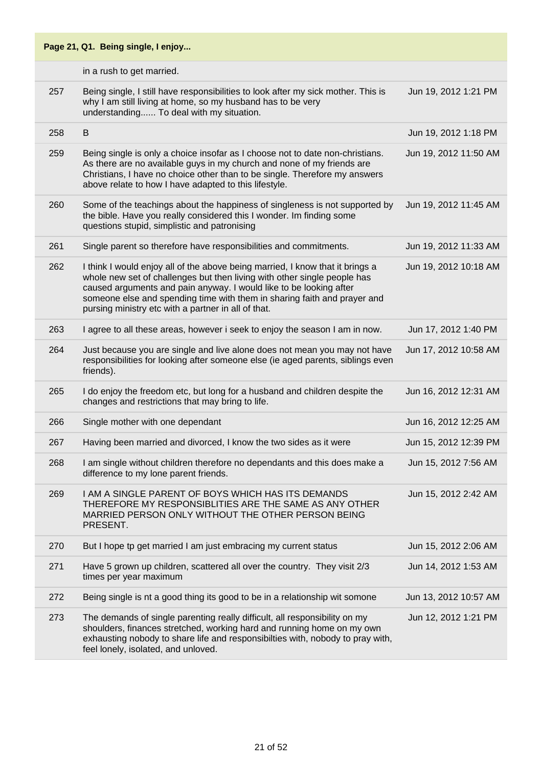|     | Page 21, Q1. Being single, I enjoy                                                                                                                                                                                                                                                                                                                                 |                       |
|-----|--------------------------------------------------------------------------------------------------------------------------------------------------------------------------------------------------------------------------------------------------------------------------------------------------------------------------------------------------------------------|-----------------------|
|     | in a rush to get married.                                                                                                                                                                                                                                                                                                                                          |                       |
| 257 | Being single, I still have responsibilities to look after my sick mother. This is<br>why I am still living at home, so my husband has to be very<br>understanding To deal with my situation.                                                                                                                                                                       | Jun 19, 2012 1:21 PM  |
| 258 | B                                                                                                                                                                                                                                                                                                                                                                  | Jun 19, 2012 1:18 PM  |
| 259 | Being single is only a choice insofar as I choose not to date non-christians.<br>As there are no available guys in my church and none of my friends are<br>Christians, I have no choice other than to be single. Therefore my answers<br>above relate to how I have adapted to this lifestyle.                                                                     | Jun 19, 2012 11:50 AM |
| 260 | Some of the teachings about the happiness of singleness is not supported by<br>the bible. Have you really considered this I wonder. Im finding some<br>questions stupid, simplistic and patronising                                                                                                                                                                | Jun 19, 2012 11:45 AM |
| 261 | Single parent so therefore have responsibilities and commitments.                                                                                                                                                                                                                                                                                                  | Jun 19, 2012 11:33 AM |
| 262 | I think I would enjoy all of the above being married, I know that it brings a<br>whole new set of challenges but then living with other single people has<br>caused arguments and pain anyway. I would like to be looking after<br>someone else and spending time with them in sharing faith and prayer and<br>pursing ministry etc with a partner in all of that. | Jun 19, 2012 10:18 AM |
| 263 | I agree to all these areas, however i seek to enjoy the season I am in now.                                                                                                                                                                                                                                                                                        | Jun 17, 2012 1:40 PM  |
| 264 | Just because you are single and live alone does not mean you may not have<br>responsibilities for looking after someone else (ie aged parents, siblings even<br>friends).                                                                                                                                                                                          | Jun 17, 2012 10:58 AM |
| 265 | I do enjoy the freedom etc, but long for a husband and children despite the<br>changes and restrictions that may bring to life.                                                                                                                                                                                                                                    | Jun 16, 2012 12:31 AM |
| 266 | Single mother with one dependant                                                                                                                                                                                                                                                                                                                                   | Jun 16, 2012 12:25 AM |
| 267 | Having been married and divorced, I know the two sides as it were                                                                                                                                                                                                                                                                                                  | Jun 15, 2012 12:39 PM |
| 268 | I am single without children therefore no dependants and this does make a<br>difference to my lone parent friends.                                                                                                                                                                                                                                                 | Jun 15, 2012 7:56 AM  |
| 269 | I AM A SINGLE PARENT OF BOYS WHICH HAS ITS DEMANDS<br>THEREFORE MY RESPONSIBLITIES ARE THE SAME AS ANY OTHER<br>MARRIED PERSON ONLY WITHOUT THE OTHER PERSON BEING<br>PRESENT.                                                                                                                                                                                     | Jun 15, 2012 2:42 AM  |
| 270 | But I hope tp get married I am just embracing my current status                                                                                                                                                                                                                                                                                                    | Jun 15, 2012 2:06 AM  |
| 271 | Have 5 grown up children, scattered all over the country. They visit 2/3<br>times per year maximum                                                                                                                                                                                                                                                                 | Jun 14, 2012 1:53 AM  |
| 272 | Being single is nt a good thing its good to be in a relationship wit somone                                                                                                                                                                                                                                                                                        | Jun 13, 2012 10:57 AM |
| 273 | The demands of single parenting really difficult, all responsibility on my<br>shoulders, finances stretched, working hard and running home on my own<br>exhausting nobody to share life and responsibilties with, nobody to pray with,<br>feel lonely, isolated, and unloved.                                                                                      | Jun 12, 2012 1:21 PM  |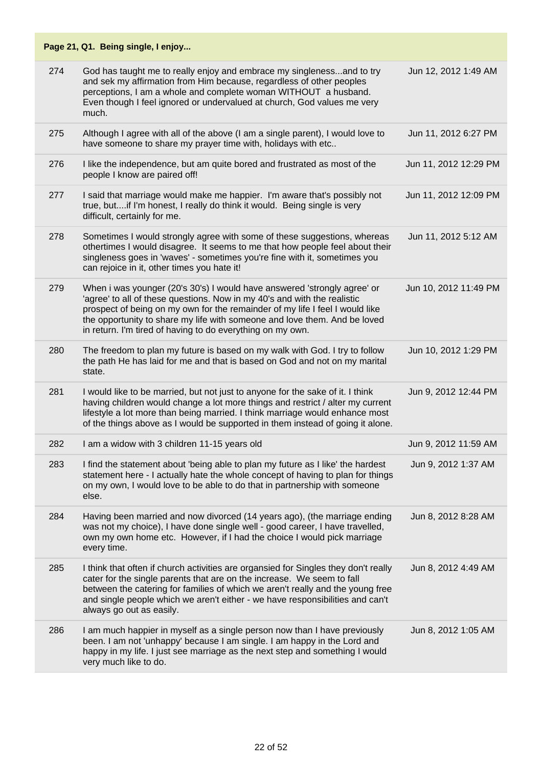|     | Page 21, Q1. Being single, I enjoy                                                                                                                                                                                                                                                                                                                                              |                       |
|-----|---------------------------------------------------------------------------------------------------------------------------------------------------------------------------------------------------------------------------------------------------------------------------------------------------------------------------------------------------------------------------------|-----------------------|
| 274 | God has taught me to really enjoy and embrace my singleness and to try<br>and sek my affirmation from Him because, regardless of other peoples<br>perceptions, I am a whole and complete woman WITHOUT a husband.<br>Even though I feel ignored or undervalued at church, God values me very<br>much.                                                                           | Jun 12, 2012 1:49 AM  |
| 275 | Although I agree with all of the above (I am a single parent), I would love to<br>have someone to share my prayer time with, holidays with etc                                                                                                                                                                                                                                  | Jun 11, 2012 6:27 PM  |
| 276 | I like the independence, but am quite bored and frustrated as most of the<br>people I know are paired off!                                                                                                                                                                                                                                                                      | Jun 11, 2012 12:29 PM |
| 277 | I said that marriage would make me happier. I'm aware that's possibly not<br>true, butif I'm honest, I really do think it would. Being single is very<br>difficult, certainly for me.                                                                                                                                                                                           | Jun 11, 2012 12:09 PM |
| 278 | Sometimes I would strongly agree with some of these suggestions, whereas<br>othertimes I would disagree. It seems to me that how people feel about their<br>singleness goes in 'waves' - sometimes you're fine with it, sometimes you<br>can rejoice in it, other times you hate it!                                                                                            | Jun 11, 2012 5:12 AM  |
| 279 | When i was younger (20's 30's) I would have answered 'strongly agree' or<br>'agree' to all of these questions. Now in my 40's and with the realistic<br>prospect of being on my own for the remainder of my life I feel I would like<br>the opportunity to share my life with someone and love them. And be loved<br>in return. I'm tired of having to do everything on my own. | Jun 10, 2012 11:49 PM |
| 280 | The freedom to plan my future is based on my walk with God. I try to follow<br>the path He has laid for me and that is based on God and not on my marital<br>state.                                                                                                                                                                                                             | Jun 10, 2012 1:29 PM  |
| 281 | I would like to be married, but not just to anyone for the sake of it. I think<br>having children would change a lot more things and restrict / alter my current<br>lifestyle a lot more than being married. I think marriage would enhance most<br>of the things above as I would be supported in them instead of going it alone.                                              | Jun 9, 2012 12:44 PM  |
| 282 | I am a widow with 3 children 11-15 years old                                                                                                                                                                                                                                                                                                                                    | Jun 9, 2012 11:59 AM  |
| 283 | I find the statement about 'being able to plan my future as I like' the hardest<br>statement here - I actually hate the whole concept of having to plan for things<br>on my own, I would love to be able to do that in partnership with someone<br>else.                                                                                                                        | Jun 9, 2012 1:37 AM   |
| 284 | Having been married and now divorced (14 years ago), (the marriage ending<br>was not my choice), I have done single well - good career, I have travelled,<br>own my own home etc. However, if I had the choice I would pick marriage<br>every time.                                                                                                                             | Jun 8, 2012 8:28 AM   |
| 285 | I think that often if church activities are organsied for Singles they don't really<br>cater for the single parents that are on the increase. We seem to fall<br>between the catering for families of which we aren't really and the young free<br>and single people which we aren't either - we have responsibilities and can't<br>always go out as easily.                    | Jun 8, 2012 4:49 AM   |
| 286 | I am much happier in myself as a single person now than I have previously<br>been. I am not 'unhappy' because I am single. I am happy in the Lord and<br>happy in my life. I just see marriage as the next step and something I would<br>very much like to do.                                                                                                                  | Jun 8, 2012 1:05 AM   |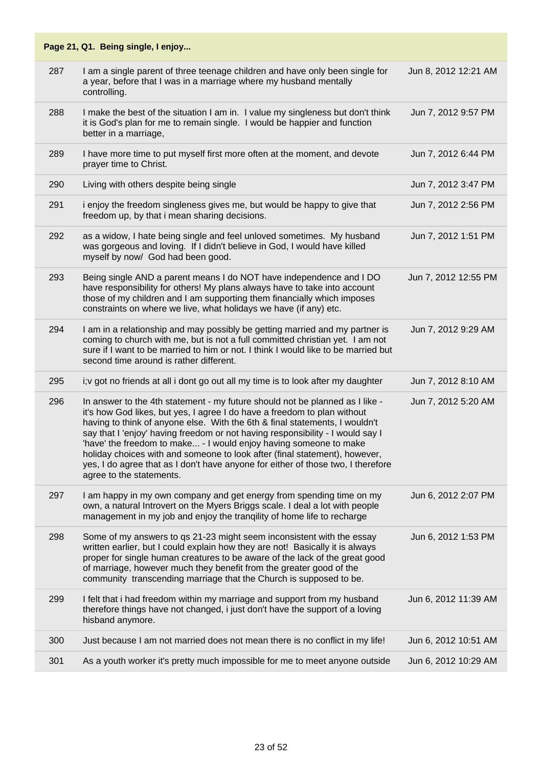|     | Page 21, Q1. Being single, I enjoy                                                                                                                                                                                                                                                                                                                                                                                                                                                                                                                                                           |                      |
|-----|----------------------------------------------------------------------------------------------------------------------------------------------------------------------------------------------------------------------------------------------------------------------------------------------------------------------------------------------------------------------------------------------------------------------------------------------------------------------------------------------------------------------------------------------------------------------------------------------|----------------------|
| 287 | I am a single parent of three teenage children and have only been single for<br>a year, before that I was in a marriage where my husband mentally<br>controlling.                                                                                                                                                                                                                                                                                                                                                                                                                            | Jun 8, 2012 12:21 AM |
| 288 | I make the best of the situation I am in. I value my singleness but don't think<br>it is God's plan for me to remain single. I would be happier and function<br>better in a marriage,                                                                                                                                                                                                                                                                                                                                                                                                        | Jun 7, 2012 9:57 PM  |
| 289 | I have more time to put myself first more often at the moment, and devote<br>prayer time to Christ.                                                                                                                                                                                                                                                                                                                                                                                                                                                                                          | Jun 7, 2012 6:44 PM  |
| 290 | Living with others despite being single                                                                                                                                                                                                                                                                                                                                                                                                                                                                                                                                                      | Jun 7, 2012 3:47 PM  |
| 291 | i enjoy the freedom singleness gives me, but would be happy to give that<br>freedom up, by that i mean sharing decisions.                                                                                                                                                                                                                                                                                                                                                                                                                                                                    | Jun 7, 2012 2:56 PM  |
| 292 | as a widow, I hate being single and feel unloved sometimes. My husband<br>was gorgeous and loving. If I didn't believe in God, I would have killed<br>myself by now/ God had been good.                                                                                                                                                                                                                                                                                                                                                                                                      | Jun 7, 2012 1:51 PM  |
| 293 | Being single AND a parent means I do NOT have independence and I DO<br>have responsibility for others! My plans always have to take into account<br>those of my children and I am supporting them financially which imposes<br>constraints on where we live, what holidays we have (if any) etc.                                                                                                                                                                                                                                                                                             | Jun 7, 2012 12:55 PM |
| 294 | I am in a relationship and may possibly be getting married and my partner is<br>coming to church with me, but is not a full committed christian yet. I am not<br>sure if I want to be married to him or not. I think I would like to be married but<br>second time around is rather different.                                                                                                                                                                                                                                                                                               | Jun 7, 2012 9:29 AM  |
| 295 | i; v got no friends at all i dont go out all my time is to look after my daughter                                                                                                                                                                                                                                                                                                                                                                                                                                                                                                            | Jun 7, 2012 8:10 AM  |
| 296 | In answer to the 4th statement - my future should not be planned as I like -<br>it's how God likes, but yes, I agree I do have a freedom to plan without<br>having to think of anyone else. With the 6th & final statements, I wouldn't<br>say that I 'enjoy' having freedom or not having responsibility - I would say I<br>'have' the freedom to make - I would enjoy having someone to make<br>holiday choices with and someone to look after (final statement), however,<br>yes, I do agree that as I don't have anyone for either of those two, I therefore<br>agree to the statements. | Jun 7, 2012 5:20 AM  |
| 297 | I am happy in my own company and get energy from spending time on my<br>own, a natural Introvert on the Myers Briggs scale. I deal a lot with people<br>management in my job and enjoy the trangility of home life to recharge                                                                                                                                                                                                                                                                                                                                                               | Jun 6, 2012 2:07 PM  |
| 298 | Some of my answers to qs 21-23 might seem inconsistent with the essay<br>written earlier, but I could explain how they are not! Basically it is always<br>proper for single human creatures to be aware of the lack of the great good<br>of marriage, however much they benefit from the greater good of the<br>community transcending marriage that the Church is supposed to be.                                                                                                                                                                                                           | Jun 6, 2012 1:53 PM  |
| 299 | I felt that i had freedom within my marriage and support from my husband<br>therefore things have not changed, i just don't have the support of a loving<br>hisband anymore.                                                                                                                                                                                                                                                                                                                                                                                                                 | Jun 6, 2012 11:39 AM |
| 300 | Just because I am not married does not mean there is no conflict in my life!                                                                                                                                                                                                                                                                                                                                                                                                                                                                                                                 | Jun 6, 2012 10:51 AM |
| 301 | As a youth worker it's pretty much impossible for me to meet anyone outside                                                                                                                                                                                                                                                                                                                                                                                                                                                                                                                  | Jun 6, 2012 10:29 AM |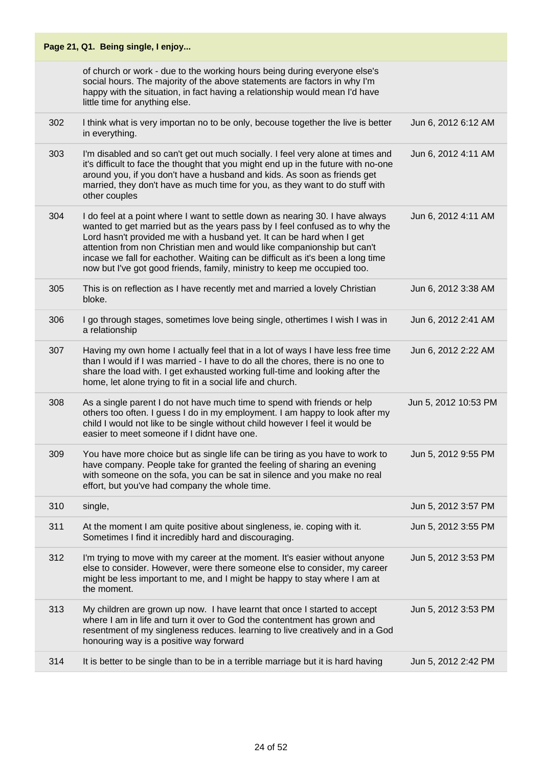|     | Page 21, Q1. Being single, I enjoy                                                                                                                                                                                                                                                                                                                                                                                                                                               |                      |
|-----|----------------------------------------------------------------------------------------------------------------------------------------------------------------------------------------------------------------------------------------------------------------------------------------------------------------------------------------------------------------------------------------------------------------------------------------------------------------------------------|----------------------|
|     | of church or work - due to the working hours being during everyone else's<br>social hours. The majority of the above statements are factors in why I'm<br>happy with the situation, in fact having a relationship would mean I'd have<br>little time for anything else.                                                                                                                                                                                                          |                      |
| 302 | I think what is very importan no to be only, becouse together the live is better<br>in everything.                                                                                                                                                                                                                                                                                                                                                                               | Jun 6, 2012 6:12 AM  |
| 303 | I'm disabled and so can't get out much socially. I feel very alone at times and<br>it's difficult to face the thought that you might end up in the future with no-one<br>around you, if you don't have a husband and kids. As soon as friends get<br>married, they don't have as much time for you, as they want to do stuff with<br>other couples                                                                                                                               | Jun 6, 2012 4:11 AM  |
| 304 | I do feel at a point where I want to settle down as nearing 30. I have always<br>wanted to get married but as the years pass by I feel confused as to why the<br>Lord hasn't provided me with a husband yet. It can be hard when I get<br>attention from non Christian men and would like companionship but can't<br>incase we fall for eachother. Waiting can be difficult as it's been a long time<br>now but I've got good friends, family, ministry to keep me occupied too. | Jun 6, 2012 4:11 AM  |
| 305 | This is on reflection as I have recently met and married a lovely Christian<br>bloke.                                                                                                                                                                                                                                                                                                                                                                                            | Jun 6, 2012 3:38 AM  |
| 306 | I go through stages, sometimes love being single, othertimes I wish I was in<br>a relationship                                                                                                                                                                                                                                                                                                                                                                                   | Jun 6, 2012 2:41 AM  |
| 307 | Having my own home I actually feel that in a lot of ways I have less free time<br>than I would if I was married - I have to do all the chores, there is no one to<br>share the load with. I get exhausted working full-time and looking after the<br>home, let alone trying to fit in a social life and church.                                                                                                                                                                  | Jun 6, 2012 2:22 AM  |
| 308 | As a single parent I do not have much time to spend with friends or help<br>others too often. I guess I do in my employment. I am happy to look after my<br>child I would not like to be single without child however I feel it would be<br>easier to meet someone if I didnt have one.                                                                                                                                                                                          | Jun 5, 2012 10:53 PM |
| 309 | You have more choice but as single life can be tiring as you have to work to<br>have company. People take for granted the feeling of sharing an evening<br>with someone on the sofa, you can be sat in silence and you make no real<br>effort, but you've had company the whole time.                                                                                                                                                                                            | Jun 5, 2012 9:55 PM  |
| 310 | single,                                                                                                                                                                                                                                                                                                                                                                                                                                                                          | Jun 5, 2012 3:57 PM  |
| 311 | At the moment I am quite positive about singleness, ie. coping with it.<br>Sometimes I find it incredibly hard and discouraging.                                                                                                                                                                                                                                                                                                                                                 | Jun 5, 2012 3:55 PM  |
| 312 | I'm trying to move with my career at the moment. It's easier without anyone<br>else to consider. However, were there someone else to consider, my career<br>might be less important to me, and I might be happy to stay where I am at<br>the moment.                                                                                                                                                                                                                             | Jun 5, 2012 3:53 PM  |
| 313 | My children are grown up now. I have learnt that once I started to accept<br>where I am in life and turn it over to God the contentment has grown and<br>resentment of my singleness reduces. learning to live creatively and in a God<br>honouring way is a positive way forward                                                                                                                                                                                                | Jun 5, 2012 3:53 PM  |
| 314 | It is better to be single than to be in a terrible marriage but it is hard having                                                                                                                                                                                                                                                                                                                                                                                                | Jun 5, 2012 2:42 PM  |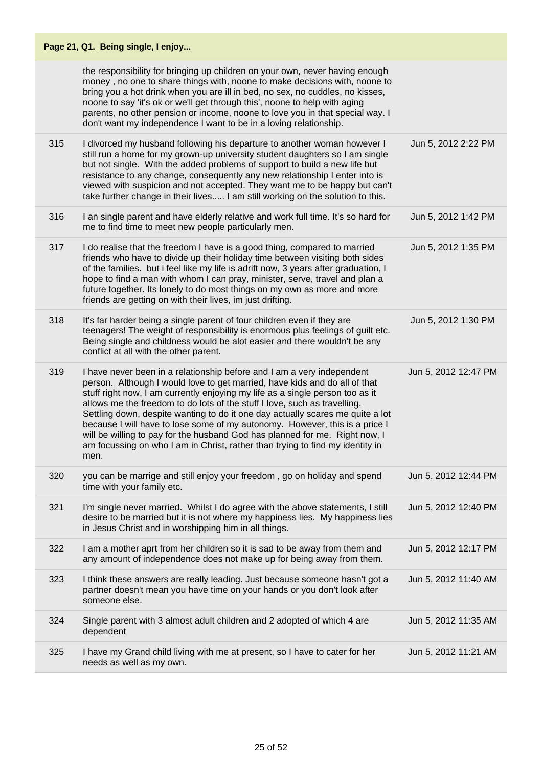|     | Page 21, Q1. Being single, I enjoy                                                                                                                                                                                                                                                                                                                                                                                                                                                                                                                                                                                                                          |                      |
|-----|-------------------------------------------------------------------------------------------------------------------------------------------------------------------------------------------------------------------------------------------------------------------------------------------------------------------------------------------------------------------------------------------------------------------------------------------------------------------------------------------------------------------------------------------------------------------------------------------------------------------------------------------------------------|----------------------|
|     | the responsibility for bringing up children on your own, never having enough<br>money, no one to share things with, noone to make decisions with, noone to<br>bring you a hot drink when you are ill in bed, no sex, no cuddles, no kisses,<br>noone to say 'it's ok or we'll get through this', noone to help with aging<br>parents, no other pension or income, noone to love you in that special way. I<br>don't want my independence I want to be in a loving relationship.                                                                                                                                                                             |                      |
| 315 | I divorced my husband following his departure to another woman however I<br>still run a home for my grown-up university student daughters so I am single<br>but not single. With the added problems of support to build a new life but<br>resistance to any change, consequently any new relationship I enter into is<br>viewed with suspicion and not accepted. They want me to be happy but can't<br>take further change in their lives I am still working on the solution to this.                                                                                                                                                                       | Jun 5, 2012 2:22 PM  |
| 316 | I an single parent and have elderly relative and work full time. It's so hard for<br>me to find time to meet new people particularly men.                                                                                                                                                                                                                                                                                                                                                                                                                                                                                                                   | Jun 5, 2012 1:42 PM  |
| 317 | I do realise that the freedom I have is a good thing, compared to married<br>friends who have to divide up their holiday time between visiting both sides<br>of the families. but i feel like my life is adrift now, 3 years after graduation, I<br>hope to find a man with whom I can pray, minister, serve, travel and plan a<br>future together. Its lonely to do most things on my own as more and more<br>friends are getting on with their lives, im just drifting.                                                                                                                                                                                   | Jun 5, 2012 1:35 PM  |
| 318 | It's far harder being a single parent of four children even if they are<br>teenagers! The weight of responsibility is enormous plus feelings of guilt etc.<br>Being single and childness would be alot easier and there wouldn't be any<br>conflict at all with the other parent.                                                                                                                                                                                                                                                                                                                                                                           | Jun 5, 2012 1:30 PM  |
| 319 | I have never been in a relationship before and I am a very independent<br>person. Although I would love to get married, have kids and do all of that<br>stuff right now, I am currently enjoying my life as a single person too as it<br>allows me the freedom to do lots of the stuff I love, such as travelling.<br>Settling down, despite wanting to do it one day actually scares me quite a lot<br>because I will have to lose some of my autonomy. However, this is a price I<br>will be willing to pay for the husband God has planned for me. Right now, I<br>am focussing on who I am in Christ, rather than trying to find my identity in<br>men. | Jun 5, 2012 12:47 PM |
| 320 | you can be marrige and still enjoy your freedom, go on holiday and spend<br>time with your family etc.                                                                                                                                                                                                                                                                                                                                                                                                                                                                                                                                                      | Jun 5, 2012 12:44 PM |
| 321 | I'm single never married. Whilst I do agree with the above statements, I still<br>desire to be married but it is not where my happiness lies. My happiness lies<br>in Jesus Christ and in worshipping him in all things.                                                                                                                                                                                                                                                                                                                                                                                                                                    | Jun 5, 2012 12:40 PM |
| 322 | I am a mother aprt from her children so it is sad to be away from them and<br>any amount of independence does not make up for being away from them.                                                                                                                                                                                                                                                                                                                                                                                                                                                                                                         | Jun 5, 2012 12:17 PM |
| 323 | I think these answers are really leading. Just because someone hasn't got a<br>partner doesn't mean you have time on your hands or you don't look after<br>someone else.                                                                                                                                                                                                                                                                                                                                                                                                                                                                                    | Jun 5, 2012 11:40 AM |
| 324 | Single parent with 3 almost adult children and 2 adopted of which 4 are<br>dependent                                                                                                                                                                                                                                                                                                                                                                                                                                                                                                                                                                        | Jun 5, 2012 11:35 AM |
| 325 | I have my Grand child living with me at present, so I have to cater for her<br>needs as well as my own.                                                                                                                                                                                                                                                                                                                                                                                                                                                                                                                                                     | Jun 5, 2012 11:21 AM |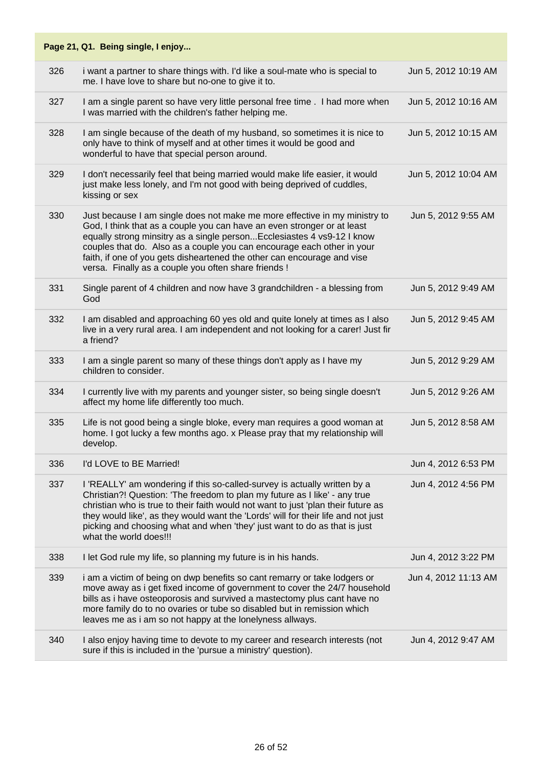|     | Page 21, Q1. Being single, I enjoy                                                                                                                                                                                                                                                                                                                                                                                                            |                      |
|-----|-----------------------------------------------------------------------------------------------------------------------------------------------------------------------------------------------------------------------------------------------------------------------------------------------------------------------------------------------------------------------------------------------------------------------------------------------|----------------------|
| 326 | i want a partner to share things with. I'd like a soul-mate who is special to<br>me. I have love to share but no-one to give it to.                                                                                                                                                                                                                                                                                                           | Jun 5, 2012 10:19 AM |
| 327 | I am a single parent so have very little personal free time . I had more when<br>I was married with the children's father helping me.                                                                                                                                                                                                                                                                                                         | Jun 5, 2012 10:16 AM |
| 328 | I am single because of the death of my husband, so sometimes it is nice to<br>only have to think of myself and at other times it would be good and<br>wonderful to have that special person around.                                                                                                                                                                                                                                           | Jun 5, 2012 10:15 AM |
| 329 | I don't necessarily feel that being married would make life easier, it would<br>just make less lonely, and I'm not good with being deprived of cuddles,<br>kissing or sex                                                                                                                                                                                                                                                                     | Jun 5, 2012 10:04 AM |
| 330 | Just because I am single does not make me more effective in my ministry to<br>God, I think that as a couple you can have an even stronger or at least<br>equally strong minsitry as a single person Ecclesiastes 4 vs9-12 I know<br>couples that do. Also as a couple you can encourage each other in your<br>faith, if one of you gets disheartened the other can encourage and vise<br>versa. Finally as a couple you often share friends ! | Jun 5, 2012 9:55 AM  |
| 331 | Single parent of 4 children and now have 3 grandchildren - a blessing from<br>God                                                                                                                                                                                                                                                                                                                                                             | Jun 5, 2012 9:49 AM  |
| 332 | I am disabled and approaching 60 yes old and quite lonely at times as I also<br>live in a very rural area. I am independent and not looking for a carer! Just fir<br>a friend?                                                                                                                                                                                                                                                                | Jun 5, 2012 9:45 AM  |
| 333 | I am a single parent so many of these things don't apply as I have my<br>children to consider.                                                                                                                                                                                                                                                                                                                                                | Jun 5, 2012 9:29 AM  |
| 334 | I currently live with my parents and younger sister, so being single doesn't<br>affect my home life differently too much.                                                                                                                                                                                                                                                                                                                     | Jun 5, 2012 9:26 AM  |
| 335 | Life is not good being a single bloke, every man requires a good woman at<br>home. I got lucky a few months ago. x Please pray that my relationship will<br>develop.                                                                                                                                                                                                                                                                          | Jun 5, 2012 8:58 AM  |
| 336 | I'd LOVE to BE Married!                                                                                                                                                                                                                                                                                                                                                                                                                       | Jun 4, 2012 6:53 PM  |
| 337 | I 'REALLY' am wondering if this so-called-survey is actually written by a<br>Christian?! Question: 'The freedom to plan my future as I like' - any true<br>christian who is true to their faith would not want to just 'plan their future as<br>they would like', as they would want the 'Lords' will for their life and not just<br>picking and choosing what and when 'they' just want to do as that is just<br>what the world does!!!      | Jun 4, 2012 4:56 PM  |
| 338 | I let God rule my life, so planning my future is in his hands.                                                                                                                                                                                                                                                                                                                                                                                | Jun 4, 2012 3:22 PM  |
| 339 | i am a victim of being on dwp benefits so cant remarry or take lodgers or<br>move away as i get fixed income of government to cover the 24/7 household<br>bills as i have osteoporosis and survived a mastectomy plus cant have no<br>more family do to no ovaries or tube so disabled but in remission which<br>leaves me as i am so not happy at the lonelyness allways.                                                                    | Jun 4, 2012 11:13 AM |
| 340 | I also enjoy having time to devote to my career and research interests (not<br>sure if this is included in the 'pursue a ministry' question).                                                                                                                                                                                                                                                                                                 | Jun 4, 2012 9:47 AM  |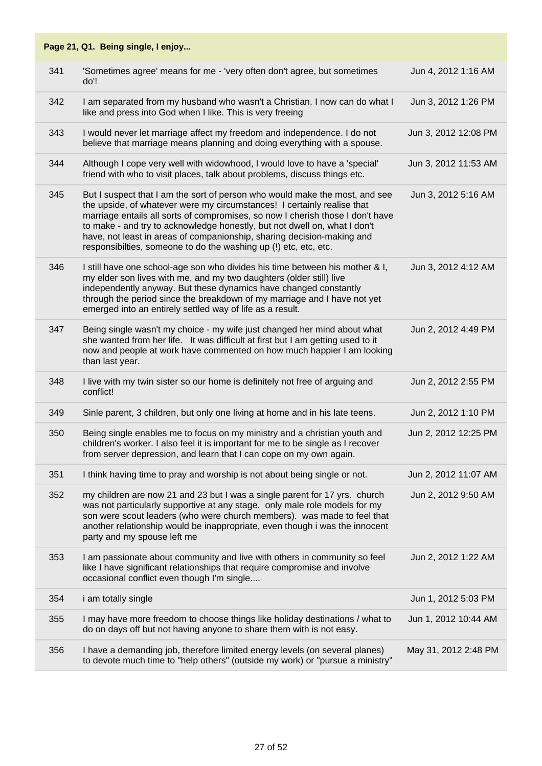#### **Page 21, Q1. Being single, I enjoy...** 341 'Sometimes agree' means for me - 'very often don't agree, but sometimes do'! Jun 4, 2012 1:16 AM 342 I am separated from my husband who wasn't a Christian. I now can do what I like and press into God when I like. This is very freeing Jun 3, 2012 1:26 PM 343 I would never let marriage affect my freedom and independence. I do not believe that marriage means planning and doing everything with a spouse. Jun 3, 2012 12:08 PM 344 Although I cope very well with widowhood, I would love to have a 'special' friend with who to visit places, talk about problems, discuss things etc. Jun 3, 2012 11:53 AM 345 But I suspect that I am the sort of person who would make the most, and see the upside, of whatever were my circumstances! I certainly realise that marriage entails all sorts of compromises, so now I cherish those I don't have to make - and try to acknowledge honestly, but not dwell on, what I don't have, not least in areas of companionship, sharing decision-making and responsibilties, someone to do the washing up (!) etc, etc, etc. Jun 3, 2012 5:16 AM 346 I still have one school-age son who divides his time between his mother & I, my elder son lives with me, and my two daughters (older still) live independently anyway. But these dynamics have changed constantly through the period since the breakdown of my marriage and I have not yet emerged into an entirely settled way of life as a result. Jun 3, 2012 4:12 AM 347 Being single wasn't my choice - my wife just changed her mind about what she wanted from her life. It was difficult at first but I am getting used to it now and people at work have commented on how much happier I am looking than last year. Jun 2, 2012 4:49 PM 348 I live with my twin sister so our home is definitely not free of arguing and conflict! Jun 2, 2012 2:55 PM 349 Sinle parent, 3 children, but only one living at home and in his late teens. Jun 2, 2012 1:10 PM 350 Being single enables me to focus on my ministry and a christian youth and children's worker. I also feel it is important for me to be single as I recover from server depression, and learn that I can cope on my own again. Jun 2, 2012 12:25 PM 351 I think having time to pray and worship is not about being single or not. Jun 2, 2012 11:07 AM 352 my children are now 21 and 23 but I was a single parent for 17 yrs. church was not particularly supportive at any stage. only male role models for my son were scout leaders (who were church members). was made to feel that another relationship would be inappropriate, even though i was the innocent party and my spouse left me Jun 2, 2012 9:50 AM 353 I am passionate about community and live with others in community so feel like I have significant relationships that require compromise and involve occasional conflict even though I'm single.... Jun 2, 2012 1:22 AM 354 i am totally single Jun 1, 2012 5:03 PM 355 I may have more freedom to choose things like holiday destinations / what to do on days off but not having anyone to share them with is not easy. Jun 1, 2012 10:44 AM 356 I have a demanding job, therefore limited energy levels (on several planes) to devote much time to "help others" (outside my work) or "pursue a ministry" May 31, 2012 2:48 PM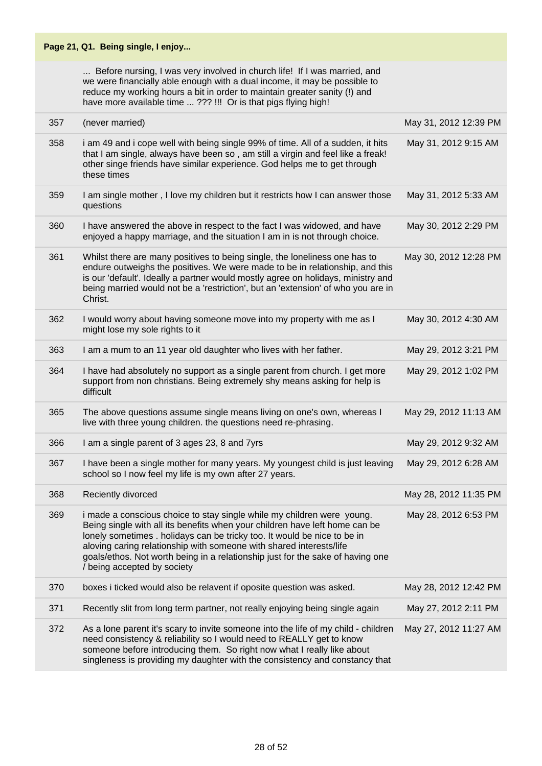|     | Page 21, Q1. Being single, I enjoy                                                                                                                                                                                                                                                                                                                                                                                        |                       |
|-----|---------------------------------------------------------------------------------------------------------------------------------------------------------------------------------------------------------------------------------------------------------------------------------------------------------------------------------------------------------------------------------------------------------------------------|-----------------------|
|     | Before nursing, I was very involved in church life! If I was married, and<br>we were financially able enough with a dual income, it may be possible to<br>reduce my working hours a bit in order to maintain greater sanity (!) and<br>have more available time  ??? !!! Or is that pigs flying high!                                                                                                                     |                       |
| 357 | (never married)                                                                                                                                                                                                                                                                                                                                                                                                           | May 31, 2012 12:39 PM |
| 358 | i am 49 and i cope well with being single 99% of time. All of a sudden, it hits<br>that I am single, always have been so, am still a virgin and feel like a freak!<br>other singe friends have similar experience. God helps me to get through<br>these times                                                                                                                                                             | May 31, 2012 9:15 AM  |
| 359 | I am single mother, I love my children but it restricts how I can answer those<br>questions                                                                                                                                                                                                                                                                                                                               | May 31, 2012 5:33 AM  |
| 360 | I have answered the above in respect to the fact I was widowed, and have<br>enjoyed a happy marriage, and the situation I am in is not through choice.                                                                                                                                                                                                                                                                    | May 30, 2012 2:29 PM  |
| 361 | Whilst there are many positives to being single, the loneliness one has to<br>endure outweighs the positives. We were made to be in relationship, and this<br>is our 'default'. Ideally a partner would mostly agree on holidays, ministry and<br>being married would not be a 'restriction', but an 'extension' of who you are in<br>Christ.                                                                             | May 30, 2012 12:28 PM |
| 362 | I would worry about having someone move into my property with me as I<br>might lose my sole rights to it                                                                                                                                                                                                                                                                                                                  | May 30, 2012 4:30 AM  |
| 363 | I am a mum to an 11 year old daughter who lives with her father.                                                                                                                                                                                                                                                                                                                                                          | May 29, 2012 3:21 PM  |
| 364 | I have had absolutely no support as a single parent from church. I get more<br>support from non christians. Being extremely shy means asking for help is<br>difficult                                                                                                                                                                                                                                                     | May 29, 2012 1:02 PM  |
| 365 | The above questions assume single means living on one's own, whereas I<br>live with three young children. the questions need re-phrasing.                                                                                                                                                                                                                                                                                 | May 29, 2012 11:13 AM |
| 366 | I am a single parent of 3 ages 23, 8 and 7yrs                                                                                                                                                                                                                                                                                                                                                                             | May 29, 2012 9:32 AM  |
| 367 | I have been a single mother for many years. My youngest child is just leaving<br>school so I now feel my life is my own after 27 years.                                                                                                                                                                                                                                                                                   | May 29, 2012 6:28 AM  |
| 368 | Reciently divorced                                                                                                                                                                                                                                                                                                                                                                                                        | May 28, 2012 11:35 PM |
| 369 | i made a conscious choice to stay single while my children were young.<br>Being single with all its benefits when your children have left home can be<br>lonely sometimes . holidays can be tricky too. It would be nice to be in<br>aloving caring relationship with someone with shared interests/life<br>goals/ethos. Not worth being in a relationship just for the sake of having one<br>/ being accepted by society | May 28, 2012 6:53 PM  |
| 370 | boxes i ticked would also be relavent if oposite question was asked.                                                                                                                                                                                                                                                                                                                                                      | May 28, 2012 12:42 PM |
| 371 | Recently slit from long term partner, not really enjoying being single again                                                                                                                                                                                                                                                                                                                                              | May 27, 2012 2:11 PM  |
| 372 | As a lone parent it's scary to invite someone into the life of my child - children<br>need consistency & reliability so I would need to REALLY get to know<br>someone before introducing them. So right now what I really like about<br>singleness is providing my daughter with the consistency and constancy that                                                                                                       | May 27, 2012 11:27 AM |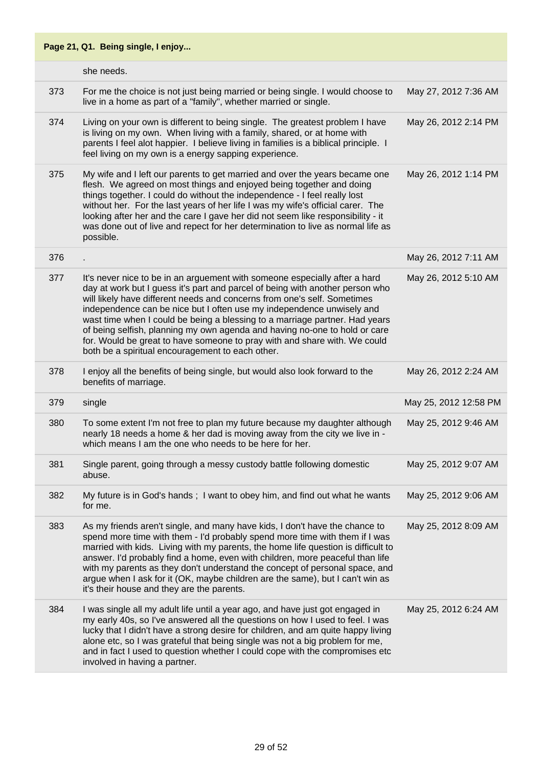|     | Page 21, Q1. Being single, I enjoy                                                                                                                                                                                                                                                                                                                                                                                                                                                                                                                                                                             |                       |
|-----|----------------------------------------------------------------------------------------------------------------------------------------------------------------------------------------------------------------------------------------------------------------------------------------------------------------------------------------------------------------------------------------------------------------------------------------------------------------------------------------------------------------------------------------------------------------------------------------------------------------|-----------------------|
|     | she needs.                                                                                                                                                                                                                                                                                                                                                                                                                                                                                                                                                                                                     |                       |
| 373 | For me the choice is not just being married or being single. I would choose to<br>live in a home as part of a "family", whether married or single.                                                                                                                                                                                                                                                                                                                                                                                                                                                             | May 27, 2012 7:36 AM  |
| 374 | Living on your own is different to being single. The greatest problem I have<br>is living on my own. When living with a family, shared, or at home with<br>parents I feel alot happier. I believe living in families is a biblical principle. I<br>feel living on my own is a energy sapping experience.                                                                                                                                                                                                                                                                                                       | May 26, 2012 2:14 PM  |
| 375 | My wife and I left our parents to get married and over the years became one<br>flesh. We agreed on most things and enjoyed being together and doing<br>things together. I could do without the independence - I feel really lost<br>without her. For the last years of her life I was my wife's official carer. The<br>looking after her and the care I gave her did not seem like responsibility - it<br>was done out of live and repect for her determination to live as normal life as<br>possible.                                                                                                         | May 26, 2012 1:14 PM  |
| 376 |                                                                                                                                                                                                                                                                                                                                                                                                                                                                                                                                                                                                                | May 26, 2012 7:11 AM  |
| 377 | It's never nice to be in an arguement with someone especially after a hard<br>day at work but I guess it's part and parcel of being with another person who<br>will likely have different needs and concerns from one's self. Sometimes<br>independence can be nice but I often use my independence unwisely and<br>wast time when I could be being a blessing to a marriage partner. Had years<br>of being selfish, planning my own agenda and having no-one to hold or care<br>for. Would be great to have someone to pray with and share with. We could<br>both be a spiritual encouragement to each other. | May 26, 2012 5:10 AM  |
| 378 | I enjoy all the benefits of being single, but would also look forward to the<br>benefits of marriage.                                                                                                                                                                                                                                                                                                                                                                                                                                                                                                          | May 26, 2012 2:24 AM  |
| 379 | single                                                                                                                                                                                                                                                                                                                                                                                                                                                                                                                                                                                                         | May 25, 2012 12:58 PM |
| 380 | To some extent I'm not free to plan my future because my daughter although<br>nearly 18 needs a home & her dad is moving away from the city we live in -<br>which means I am the one who needs to be here for her.                                                                                                                                                                                                                                                                                                                                                                                             | May 25, 2012 9:46 AM  |
| 381 | Single parent, going through a messy custody battle following domestic<br>abuse.                                                                                                                                                                                                                                                                                                                                                                                                                                                                                                                               | May 25, 2012 9:07 AM  |
| 382 | My future is in God's hands; I want to obey him, and find out what he wants<br>for me.                                                                                                                                                                                                                                                                                                                                                                                                                                                                                                                         | May 25, 2012 9:06 AM  |
| 383 | As my friends aren't single, and many have kids, I don't have the chance to<br>spend more time with them - I'd probably spend more time with them if I was<br>married with kids. Living with my parents, the home life question is difficult to<br>answer. I'd probably find a home, even with children, more peaceful than life<br>with my parents as they don't understand the concept of personal space, and<br>argue when I ask for it (OK, maybe children are the same), but I can't win as<br>it's their house and they are the parents.                                                                 | May 25, 2012 8:09 AM  |
| 384 | I was single all my adult life until a year ago, and have just got engaged in<br>my early 40s, so I've answered all the questions on how I used to feel. I was<br>lucky that I didn't have a strong desire for children, and am quite happy living<br>alone etc, so I was grateful that being single was not a big problem for me,<br>and in fact I used to question whether I could cope with the compromises etc<br>involved in having a partner.                                                                                                                                                            | May 25, 2012 6:24 AM  |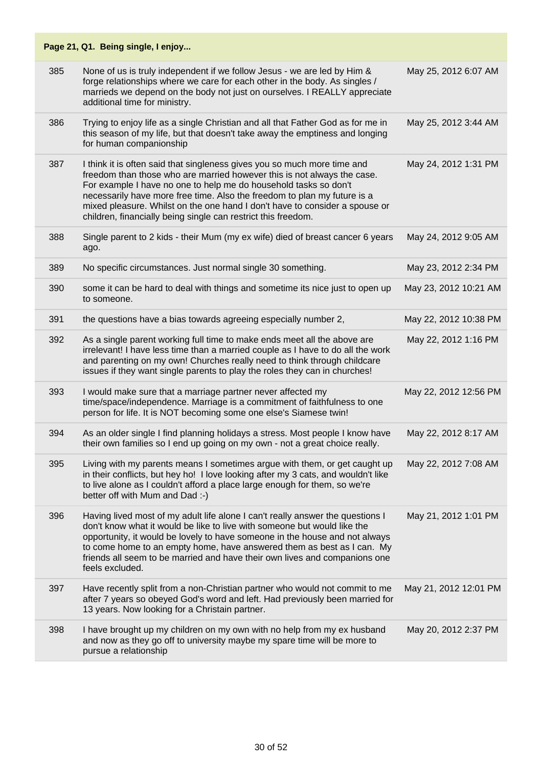|     | Page 21, Q1. Being single, I enjoy                                                                                                                                                                                                                                                                                                                                                                                                                  |                       |
|-----|-----------------------------------------------------------------------------------------------------------------------------------------------------------------------------------------------------------------------------------------------------------------------------------------------------------------------------------------------------------------------------------------------------------------------------------------------------|-----------------------|
| 385 | None of us is truly independent if we follow Jesus - we are led by Him &<br>forge relationships where we care for each other in the body. As singles /<br>marrieds we depend on the body not just on ourselves. I REALLY appreciate<br>additional time for ministry.                                                                                                                                                                                | May 25, 2012 6:07 AM  |
| 386 | Trying to enjoy life as a single Christian and all that Father God as for me in<br>this season of my life, but that doesn't take away the emptiness and longing<br>for human companionship                                                                                                                                                                                                                                                          | May 25, 2012 3:44 AM  |
| 387 | I think it is often said that singleness gives you so much more time and<br>freedom than those who are married however this is not always the case.<br>For example I have no one to help me do household tasks so don't<br>necessarily have more free time. Also the freedom to plan my future is a<br>mixed pleasure. Whilst on the one hand I don't have to consider a spouse or<br>children, financially being single can restrict this freedom. | May 24, 2012 1:31 PM  |
| 388 | Single parent to 2 kids - their Mum (my ex wife) died of breast cancer 6 years<br>ago.                                                                                                                                                                                                                                                                                                                                                              | May 24, 2012 9:05 AM  |
| 389 | No specific circumstances. Just normal single 30 something.                                                                                                                                                                                                                                                                                                                                                                                         | May 23, 2012 2:34 PM  |
| 390 | some it can be hard to deal with things and sometime its nice just to open up<br>to someone.                                                                                                                                                                                                                                                                                                                                                        | May 23, 2012 10:21 AM |
| 391 | the questions have a bias towards agreeing especially number 2,                                                                                                                                                                                                                                                                                                                                                                                     | May 22, 2012 10:38 PM |
| 392 | As a single parent working full time to make ends meet all the above are<br>irrelevant! I have less time than a married couple as I have to do all the work<br>and parenting on my own! Churches really need to think through childcare<br>issues if they want single parents to play the roles they can in churches!                                                                                                                               | May 22, 2012 1:16 PM  |
| 393 | I would make sure that a marriage partner never affected my<br>time/space/independence. Marriage is a commitment of faithfulness to one<br>person for life. It is NOT becoming some one else's Siamese twin!                                                                                                                                                                                                                                        | May 22, 2012 12:56 PM |
| 394 | As an older single I find planning holidays a stress. Most people I know have<br>their own families so I end up going on my own - not a great choice really.                                                                                                                                                                                                                                                                                        | May 22, 2012 8:17 AM  |
| 395 | Living with my parents means I sometimes argue with them, or get caught up<br>in their conflicts, but hey ho! I love looking after my 3 cats, and wouldn't like<br>to live alone as I couldn't afford a place large enough for them, so we're<br>better off with Mum and Dad :-)                                                                                                                                                                    | May 22, 2012 7:08 AM  |
| 396 | Having lived most of my adult life alone I can't really answer the questions I<br>don't know what it would be like to live with someone but would like the<br>opportunity, it would be lovely to have someone in the house and not always<br>to come home to an empty home, have answered them as best as I can. My<br>friends all seem to be married and have their own lives and companions one<br>feels excluded.                                | May 21, 2012 1:01 PM  |
| 397 | Have recently split from a non-Christian partner who would not commit to me<br>after 7 years so obeyed God's word and left. Had previously been married for<br>13 years. Now looking for a Christain partner.                                                                                                                                                                                                                                       | May 21, 2012 12:01 PM |
| 398 | I have brought up my children on my own with no help from my ex husband<br>and now as they go off to university maybe my spare time will be more to<br>pursue a relationship                                                                                                                                                                                                                                                                        | May 20, 2012 2:37 PM  |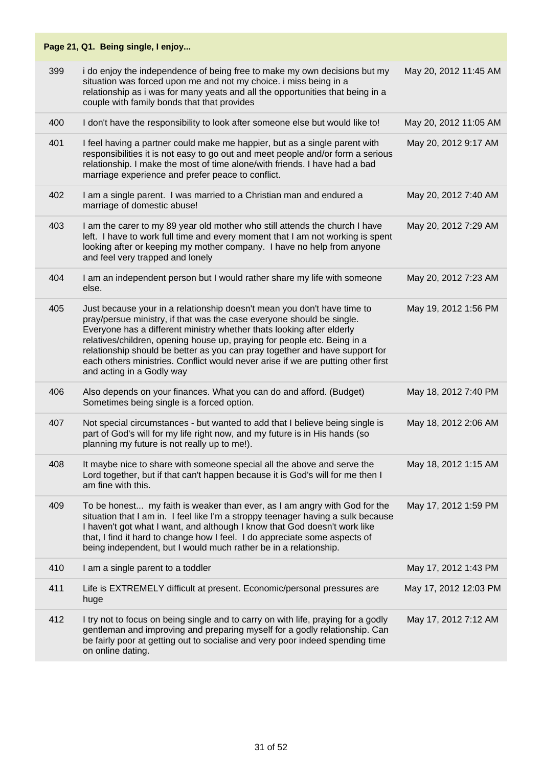|     | Page 21, Q1. Being single, I enjoy                                                                                                                                                                                                                                                                                                                                                                                                                                                                    |                       |
|-----|-------------------------------------------------------------------------------------------------------------------------------------------------------------------------------------------------------------------------------------------------------------------------------------------------------------------------------------------------------------------------------------------------------------------------------------------------------------------------------------------------------|-----------------------|
| 399 | i do enjoy the independence of being free to make my own decisions but my<br>situation was forced upon me and not my choice. i miss being in a<br>relationship as i was for many yeats and all the opportunities that being in a<br>couple with family bonds that that provides                                                                                                                                                                                                                       | May 20, 2012 11:45 AM |
| 400 | I don't have the responsibility to look after someone else but would like to!                                                                                                                                                                                                                                                                                                                                                                                                                         | May 20, 2012 11:05 AM |
| 401 | I feel having a partner could make me happier, but as a single parent with<br>responsibilities it is not easy to go out and meet people and/or form a serious<br>relationship. I make the most of time alone/with friends. I have had a bad<br>marriage experience and prefer peace to conflict.                                                                                                                                                                                                      | May 20, 2012 9:17 AM  |
| 402 | I am a single parent. I was married to a Christian man and endured a<br>marriage of domestic abuse!                                                                                                                                                                                                                                                                                                                                                                                                   | May 20, 2012 7:40 AM  |
| 403 | I am the carer to my 89 year old mother who still attends the church I have<br>left. I have to work full time and every moment that I am not working is spent<br>looking after or keeping my mother company. I have no help from anyone<br>and feel very trapped and lonely                                                                                                                                                                                                                           | May 20, 2012 7:29 AM  |
| 404 | I am an independent person but I would rather share my life with someone<br>else.                                                                                                                                                                                                                                                                                                                                                                                                                     | May 20, 2012 7:23 AM  |
| 405 | Just because your in a relationship doesn't mean you don't have time to<br>pray/persue ministry, if that was the case everyone should be single.<br>Everyone has a different ministry whether thats looking after elderly<br>relatives/children, opening house up, praying for people etc. Being in a<br>relationship should be better as you can pray together and have support for<br>each others ministries. Conflict would never arise if we are putting other first<br>and acting in a Godly way | May 19, 2012 1:56 PM  |
| 406 | Also depends on your finances. What you can do and afford. (Budget)<br>Sometimes being single is a forced option.                                                                                                                                                                                                                                                                                                                                                                                     | May 18, 2012 7:40 PM  |
| 407 | Not special circumstances - but wanted to add that I believe being single is<br>part of God's will for my life right now, and my future is in His hands (so<br>planning my future is not really up to me!).                                                                                                                                                                                                                                                                                           | May 18, 2012 2:06 AM  |
| 408 | It maybe nice to share with someone special all the above and serve the<br>Lord together, but if that can't happen because it is God's will for me then I<br>am fine with this.                                                                                                                                                                                                                                                                                                                       | May 18, 2012 1:15 AM  |
| 409 | To be honest my faith is weaker than ever, as I am angry with God for the<br>situation that I am in. I feel like I'm a stroppy teenager having a sulk because<br>I haven't got what I want, and although I know that God doesn't work like<br>that, I find it hard to change how I feel. I do appreciate some aspects of<br>being independent, but I would much rather be in a relationship.                                                                                                          | May 17, 2012 1:59 PM  |
| 410 | I am a single parent to a toddler                                                                                                                                                                                                                                                                                                                                                                                                                                                                     | May 17, 2012 1:43 PM  |
| 411 | Life is EXTREMELY difficult at present. Economic/personal pressures are<br>huge                                                                                                                                                                                                                                                                                                                                                                                                                       | May 17, 2012 12:03 PM |
| 412 | I try not to focus on being single and to carry on with life, praying for a godly<br>gentleman and improving and preparing myself for a godly relationship. Can<br>be fairly poor at getting out to socialise and very poor indeed spending time<br>on online dating.                                                                                                                                                                                                                                 | May 17, 2012 7:12 AM  |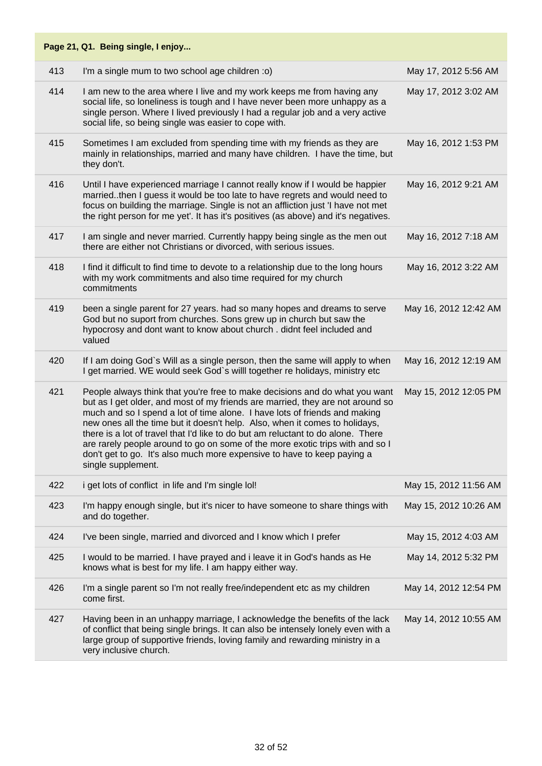|     | Page 21, Q1. Being single, I enjoy                                                                                                                                                                                                                                                                                                                                                                                                                                                                                                                                                               |                       |
|-----|--------------------------------------------------------------------------------------------------------------------------------------------------------------------------------------------------------------------------------------------------------------------------------------------------------------------------------------------------------------------------------------------------------------------------------------------------------------------------------------------------------------------------------------------------------------------------------------------------|-----------------------|
| 413 | I'm a single mum to two school age children :o)                                                                                                                                                                                                                                                                                                                                                                                                                                                                                                                                                  | May 17, 2012 5:56 AM  |
| 414 | I am new to the area where I live and my work keeps me from having any<br>social life, so loneliness is tough and I have never been more unhappy as a<br>single person. Where I lived previously I had a regular job and a very active<br>social life, so being single was easier to cope with.                                                                                                                                                                                                                                                                                                  | May 17, 2012 3:02 AM  |
| 415 | Sometimes I am excluded from spending time with my friends as they are<br>mainly in relationships, married and many have children. I have the time, but<br>they don't.                                                                                                                                                                                                                                                                                                                                                                                                                           | May 16, 2012 1:53 PM  |
| 416 | Until I have experienced marriage I cannot really know if I would be happier<br>marriedthen I guess it would be too late to have regrets and would need to<br>focus on building the marriage. Single is not an affliction just 'I have not met<br>the right person for me yet'. It has it's positives (as above) and it's negatives.                                                                                                                                                                                                                                                             | May 16, 2012 9:21 AM  |
| 417 | I am single and never married. Currently happy being single as the men out<br>there are either not Christians or divorced, with serious issues.                                                                                                                                                                                                                                                                                                                                                                                                                                                  | May 16, 2012 7:18 AM  |
| 418 | I find it difficult to find time to devote to a relationship due to the long hours<br>with my work commitments and also time required for my church<br>commitments                                                                                                                                                                                                                                                                                                                                                                                                                               | May 16, 2012 3:22 AM  |
| 419 | been a single parent for 27 years. had so many hopes and dreams to serve<br>God but no suport from churches. Sons grew up in church but saw the<br>hypocrosy and dont want to know about church. didnt feel included and<br>valued                                                                                                                                                                                                                                                                                                                                                               | May 16, 2012 12:42 AM |
| 420 | If I am doing God's Will as a single person, then the same will apply to when<br>I get married. WE would seek God's willl together re holidays, ministry etc                                                                                                                                                                                                                                                                                                                                                                                                                                     | May 16, 2012 12:19 AM |
| 421 | People always think that you're free to make decisions and do what you want<br>but as I get older, and most of my friends are married, they are not around so<br>much and so I spend a lot of time alone. I have lots of friends and making<br>new ones all the time but it doesn't help. Also, when it comes to holidays,<br>there is a lot of travel that I'd like to do but am reluctant to do alone. There<br>are rarely people around to go on some of the more exotic trips with and so I<br>don't get to go. It's also much more expensive to have to keep paying a<br>single supplement. | May 15, 2012 12:05 PM |
| 422 | i get lots of conflict in life and I'm single lol!                                                                                                                                                                                                                                                                                                                                                                                                                                                                                                                                               | May 15, 2012 11:56 AM |
| 423 | I'm happy enough single, but it's nicer to have someone to share things with<br>and do together.                                                                                                                                                                                                                                                                                                                                                                                                                                                                                                 | May 15, 2012 10:26 AM |
| 424 | I've been single, married and divorced and I know which I prefer                                                                                                                                                                                                                                                                                                                                                                                                                                                                                                                                 | May 15, 2012 4:03 AM  |
| 425 | I would to be married. I have prayed and i leave it in God's hands as He<br>knows what is best for my life. I am happy either way.                                                                                                                                                                                                                                                                                                                                                                                                                                                               | May 14, 2012 5:32 PM  |
| 426 | I'm a single parent so I'm not really free/independent etc as my children<br>come first.                                                                                                                                                                                                                                                                                                                                                                                                                                                                                                         | May 14, 2012 12:54 PM |
| 427 | Having been in an unhappy marriage, I acknowledge the benefits of the lack<br>of conflict that being single brings. It can also be intensely lonely even with a<br>large group of supportive friends, loving family and rewarding ministry in a<br>very inclusive church.                                                                                                                                                                                                                                                                                                                        | May 14, 2012 10:55 AM |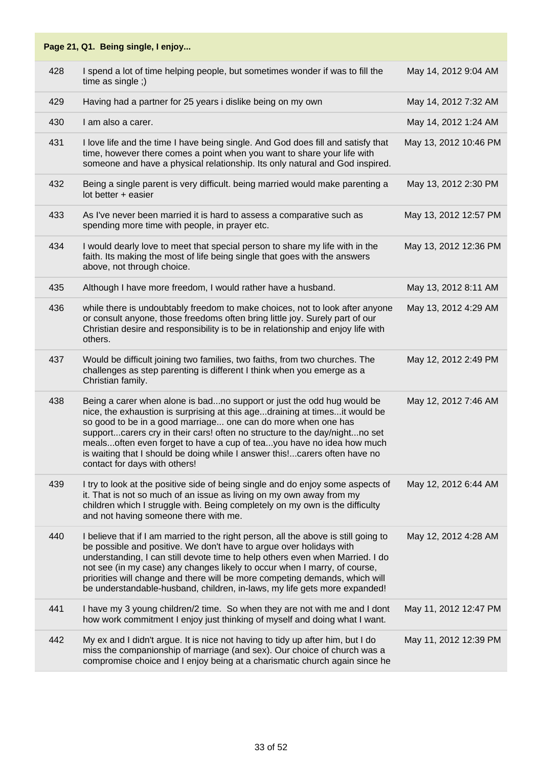|     | Page 21, Q1. Being single, I enjoy                                                                                                                                                                                                                                                                                                                                                                                                                                                           |                       |
|-----|----------------------------------------------------------------------------------------------------------------------------------------------------------------------------------------------------------------------------------------------------------------------------------------------------------------------------------------------------------------------------------------------------------------------------------------------------------------------------------------------|-----------------------|
| 428 | I spend a lot of time helping people, but sometimes wonder if was to fill the<br>time as single;)                                                                                                                                                                                                                                                                                                                                                                                            | May 14, 2012 9:04 AM  |
| 429 | Having had a partner for 25 years i dislike being on my own                                                                                                                                                                                                                                                                                                                                                                                                                                  | May 14, 2012 7:32 AM  |
| 430 | I am also a carer.                                                                                                                                                                                                                                                                                                                                                                                                                                                                           | May 14, 2012 1:24 AM  |
| 431 | I love life and the time I have being single. And God does fill and satisfy that<br>time, however there comes a point when you want to share your life with<br>someone and have a physical relationship. Its only natural and God inspired.                                                                                                                                                                                                                                                  | May 13, 2012 10:46 PM |
| 432 | Being a single parent is very difficult. being married would make parenting a<br>lot better + easier                                                                                                                                                                                                                                                                                                                                                                                         | May 13, 2012 2:30 PM  |
| 433 | As I've never been married it is hard to assess a comparative such as<br>spending more time with people, in prayer etc.                                                                                                                                                                                                                                                                                                                                                                      | May 13, 2012 12:57 PM |
| 434 | I would dearly love to meet that special person to share my life with in the<br>faith. Its making the most of life being single that goes with the answers<br>above, not through choice.                                                                                                                                                                                                                                                                                                     | May 13, 2012 12:36 PM |
| 435 | Although I have more freedom, I would rather have a husband.                                                                                                                                                                                                                                                                                                                                                                                                                                 | May 13, 2012 8:11 AM  |
| 436 | while there is undoubtably freedom to make choices, not to look after anyone<br>or consult anyone, those freedoms often bring little joy. Surely part of our<br>Christian desire and responsibility is to be in relationship and enjoy life with<br>others.                                                                                                                                                                                                                                  | May 13, 2012 4:29 AM  |
| 437 | Would be difficult joining two families, two faiths, from two churches. The<br>challenges as step parenting is different I think when you emerge as a<br>Christian family.                                                                                                                                                                                                                                                                                                                   | May 12, 2012 2:49 PM  |
| 438 | Being a carer when alone is badno support or just the odd hug would be<br>nice, the exhaustion is surprising at this agedraining at timesit would be<br>so good to be in a good marriage one can do more when one has<br>supportcarers cry in their cars! often no structure to the day/nightno set<br>meals often even forget to have a cup of tea you have no idea how much<br>is waiting that I should be doing while I answer this!carers often have no<br>contact for days with others! | May 12, 2012 7:46 AM  |
| 439 | I try to look at the positive side of being single and do enjoy some aspects of<br>it. That is not so much of an issue as living on my own away from my<br>children which I struggle with. Being completely on my own is the difficulty<br>and not having someone there with me.                                                                                                                                                                                                             | May 12, 2012 6:44 AM  |
| 440 | I believe that if I am married to the right person, all the above is still going to<br>be possible and positive. We don't have to argue over holidays with<br>understanding, I can still devote time to help others even when Married. I do<br>not see (in my case) any changes likely to occur when I marry, of course,<br>priorities will change and there will be more competing demands, which will<br>be understandable-husband, children, in-laws, my life gets more expanded!         | May 12, 2012 4:28 AM  |
| 441 | I have my 3 young children/2 time. So when they are not with me and I dont<br>how work commitment I enjoy just thinking of myself and doing what I want.                                                                                                                                                                                                                                                                                                                                     | May 11, 2012 12:47 PM |
| 442 | My ex and I didn't argue. It is nice not having to tidy up after him, but I do<br>miss the companionship of marriage (and sex). Our choice of church was a<br>compromise choice and I enjoy being at a charismatic church again since he                                                                                                                                                                                                                                                     | May 11, 2012 12:39 PM |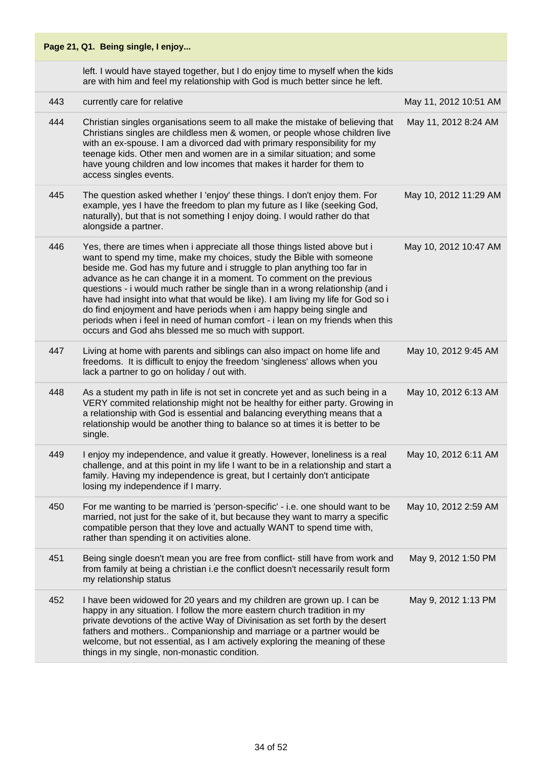|     | Page 21, Q1. Being single, I enjoy                                                                                                                                                                                                                                                                                                                                                                                                                                                                                                                                                                                                                                                       |                       |
|-----|------------------------------------------------------------------------------------------------------------------------------------------------------------------------------------------------------------------------------------------------------------------------------------------------------------------------------------------------------------------------------------------------------------------------------------------------------------------------------------------------------------------------------------------------------------------------------------------------------------------------------------------------------------------------------------------|-----------------------|
|     | left. I would have stayed together, but I do enjoy time to myself when the kids<br>are with him and feel my relationship with God is much better since he left.                                                                                                                                                                                                                                                                                                                                                                                                                                                                                                                          |                       |
| 443 | currently care for relative                                                                                                                                                                                                                                                                                                                                                                                                                                                                                                                                                                                                                                                              | May 11, 2012 10:51 AM |
| 444 | Christian singles organisations seem to all make the mistake of believing that<br>Christians singles are childless men & women, or people whose children live<br>with an ex-spouse. I am a divorced dad with primary responsibility for my<br>teenage kids. Other men and women are in a similar situation; and some<br>have young children and low incomes that makes it harder for them to<br>access singles events.                                                                                                                                                                                                                                                                   | May 11, 2012 8:24 AM  |
| 445 | The question asked whether I 'enjoy' these things. I don't enjoy them. For<br>example, yes I have the freedom to plan my future as I like (seeking God,<br>naturally), but that is not something I enjoy doing. I would rather do that<br>alongside a partner.                                                                                                                                                                                                                                                                                                                                                                                                                           | May 10, 2012 11:29 AM |
| 446 | Yes, there are times when i appreciate all those things listed above but i<br>want to spend my time, make my choices, study the Bible with someone<br>beside me. God has my future and i struggle to plan anything too far in<br>advance as he can change it in a moment. To comment on the previous<br>questions - i would much rather be single than in a wrong relationship (and i<br>have had insight into what that would be like). I am living my life for God so i<br>do find enjoyment and have periods when i am happy being single and<br>periods when i feel in need of human comfort - i lean on my friends when this<br>occurs and God ahs blessed me so much with support. | May 10, 2012 10:47 AM |
| 447 | Living at home with parents and siblings can also impact on home life and<br>freedoms. It is difficult to enjoy the freedom 'singleness' allows when you<br>lack a partner to go on holiday / out with.                                                                                                                                                                                                                                                                                                                                                                                                                                                                                  | May 10, 2012 9:45 AM  |
| 448 | As a student my path in life is not set in concrete yet and as such being in a<br>VERY commited relationship might not be healthy for either party. Growing in<br>a relationship with God is essential and balancing everything means that a<br>relationship would be another thing to balance so at times it is better to be<br>single.                                                                                                                                                                                                                                                                                                                                                 | May 10, 2012 6:13 AM  |
| 449 | I enjoy my independence, and value it greatly. However, loneliness is a real<br>challenge, and at this point in my life I want to be in a relationship and start a<br>family. Having my independence is great, but I certainly don't anticipate<br>losing my independence if I marry.                                                                                                                                                                                                                                                                                                                                                                                                    | May 10, 2012 6:11 AM  |
| 450 | For me wanting to be married is 'person-specific' - i.e. one should want to be<br>married, not just for the sake of it, but because they want to marry a specific<br>compatible person that they love and actually WANT to spend time with,<br>rather than spending it on activities alone.                                                                                                                                                                                                                                                                                                                                                                                              | May 10, 2012 2:59 AM  |
| 451 | Being single doesn't mean you are free from conflict- still have from work and<br>from family at being a christian i.e the conflict doesn't necessarily result form<br>my relationship status                                                                                                                                                                                                                                                                                                                                                                                                                                                                                            | May 9, 2012 1:50 PM   |
| 452 | I have been widowed for 20 years and my children are grown up. I can be<br>happy in any situation. I follow the more eastern church tradition in my<br>private devotions of the active Way of Divinisation as set forth by the desert<br>fathers and mothers Companionship and marriage or a partner would be<br>welcome, but not essential, as I am actively exploring the meaning of these<br>things in my single, non-monastic condition.                                                                                                                                                                                                                                             | May 9, 2012 1:13 PM   |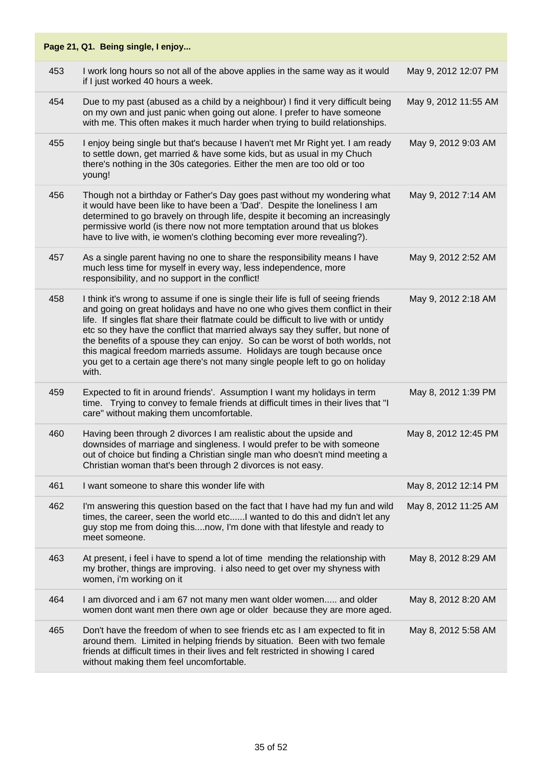|     | Page 21, Q1. Being single, I enjoy                                                                                                                                                                                                                                                                                                                                                                                                                                                                                                                                                              |                      |
|-----|-------------------------------------------------------------------------------------------------------------------------------------------------------------------------------------------------------------------------------------------------------------------------------------------------------------------------------------------------------------------------------------------------------------------------------------------------------------------------------------------------------------------------------------------------------------------------------------------------|----------------------|
| 453 | I work long hours so not all of the above applies in the same way as it would<br>if I just worked 40 hours a week.                                                                                                                                                                                                                                                                                                                                                                                                                                                                              | May 9, 2012 12:07 PM |
| 454 | Due to my past (abused as a child by a neighbour) I find it very difficult being<br>on my own and just panic when going out alone. I prefer to have someone<br>with me. This often makes it much harder when trying to build relationships.                                                                                                                                                                                                                                                                                                                                                     | May 9, 2012 11:55 AM |
| 455 | I enjoy being single but that's because I haven't met Mr Right yet. I am ready<br>to settle down, get married & have some kids, but as usual in my Chuch<br>there's nothing in the 30s categories. Either the men are too old or too<br>young!                                                                                                                                                                                                                                                                                                                                                  | May 9, 2012 9:03 AM  |
| 456 | Though not a birthday or Father's Day goes past without my wondering what<br>it would have been like to have been a 'Dad'. Despite the loneliness I am<br>determined to go bravely on through life, despite it becoming an increasingly<br>permissive world (is there now not more temptation around that us blokes<br>have to live with, ie women's clothing becoming ever more revealing?).                                                                                                                                                                                                   | May 9, 2012 7:14 AM  |
| 457 | As a single parent having no one to share the responsibility means I have<br>much less time for myself in every way, less independence, more<br>responsibility, and no support in the conflict!                                                                                                                                                                                                                                                                                                                                                                                                 | May 9, 2012 2:52 AM  |
| 458 | I think it's wrong to assume if one is single their life is full of seeing friends<br>and going on great holidays and have no one who gives them conflict in their<br>life. If singles flat share their flatmate could be difficult to live with or untidy<br>etc so they have the conflict that married always say they suffer, but none of<br>the benefits of a spouse they can enjoy. So can be worst of both worlds, not<br>this magical freedom marrieds assume. Holidays are tough because once<br>you get to a certain age there's not many single people left to go on holiday<br>with. | May 9, 2012 2:18 AM  |
| 459 | Expected to fit in around friends'. Assumption I want my holidays in term<br>time. Trying to convey to female friends at difficult times in their lives that "I<br>care" without making them uncomfortable.                                                                                                                                                                                                                                                                                                                                                                                     | May 8, 2012 1:39 PM  |
| 460 | Having been through 2 divorces I am realistic about the upside and<br>downsides of marriage and singleness. I would prefer to be with someone<br>out of choice but finding a Christian single man who doesn't mind meeting a<br>Christian woman that's been through 2 divorces is not easy.                                                                                                                                                                                                                                                                                                     | May 8, 2012 12:45 PM |
| 461 | I want someone to share this wonder life with                                                                                                                                                                                                                                                                                                                                                                                                                                                                                                                                                   | May 8, 2012 12:14 PM |
| 462 | I'm answering this question based on the fact that I have had my fun and wild<br>times, the career, seen the world etcI wanted to do this and didn't let any<br>guy stop me from doing thisnow, I'm done with that lifestyle and ready to<br>meet someone.                                                                                                                                                                                                                                                                                                                                      | May 8, 2012 11:25 AM |
| 463 | At present, i feel i have to spend a lot of time mending the relationship with<br>my brother, things are improving. i also need to get over my shyness with<br>women, i'm working on it                                                                                                                                                                                                                                                                                                                                                                                                         | May 8, 2012 8:29 AM  |
| 464 | I am divorced and i am 67 not many men want older women and older<br>women dont want men there own age or older because they are more aged.                                                                                                                                                                                                                                                                                                                                                                                                                                                     | May 8, 2012 8:20 AM  |
| 465 | Don't have the freedom of when to see friends etc as I am expected to fit in<br>around them. Limited in helping friends by situation. Been with two female<br>friends at difficult times in their lives and felt restricted in showing I cared<br>without making them feel uncomfortable.                                                                                                                                                                                                                                                                                                       | May 8, 2012 5:58 AM  |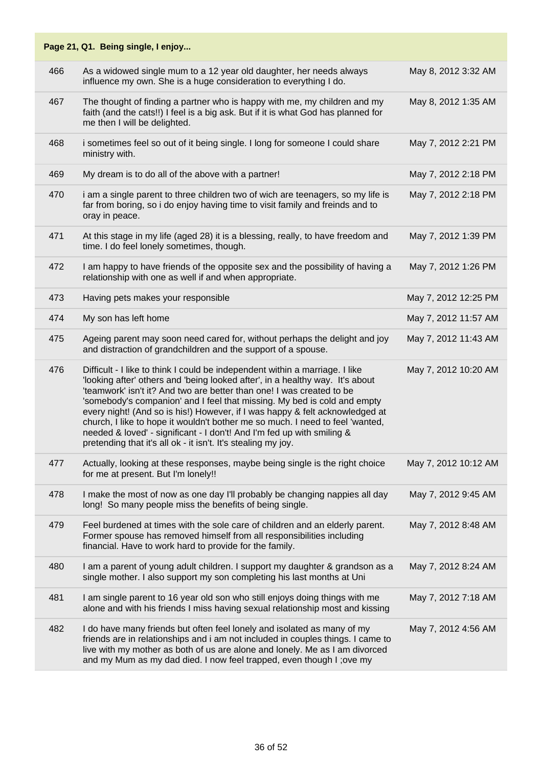|     | Page 21, Q1. Being single, I enjoy                                                                                                                                                                                                                                                                                                                                                                                                                                                                                                                                                                                             |                      |
|-----|--------------------------------------------------------------------------------------------------------------------------------------------------------------------------------------------------------------------------------------------------------------------------------------------------------------------------------------------------------------------------------------------------------------------------------------------------------------------------------------------------------------------------------------------------------------------------------------------------------------------------------|----------------------|
| 466 | As a widowed single mum to a 12 year old daughter, her needs always<br>influence my own. She is a huge consideration to everything I do.                                                                                                                                                                                                                                                                                                                                                                                                                                                                                       | May 8, 2012 3:32 AM  |
| 467 | The thought of finding a partner who is happy with me, my children and my<br>faith (and the cats!!) I feel is a big ask. But if it is what God has planned for<br>me then I will be delighted.                                                                                                                                                                                                                                                                                                                                                                                                                                 | May 8, 2012 1:35 AM  |
| 468 | i sometimes feel so out of it being single. I long for someone I could share<br>ministry with.                                                                                                                                                                                                                                                                                                                                                                                                                                                                                                                                 | May 7, 2012 2:21 PM  |
| 469 | My dream is to do all of the above with a partner!                                                                                                                                                                                                                                                                                                                                                                                                                                                                                                                                                                             | May 7, 2012 2:18 PM  |
| 470 | i am a single parent to three children two of wich are teenagers, so my life is<br>far from boring, so i do enjoy having time to visit family and freinds and to<br>oray in peace.                                                                                                                                                                                                                                                                                                                                                                                                                                             | May 7, 2012 2:18 PM  |
| 471 | At this stage in my life (aged 28) it is a blessing, really, to have freedom and<br>time. I do feel lonely sometimes, though.                                                                                                                                                                                                                                                                                                                                                                                                                                                                                                  | May 7, 2012 1:39 PM  |
| 472 | I am happy to have friends of the opposite sex and the possibility of having a<br>relationship with one as well if and when appropriate.                                                                                                                                                                                                                                                                                                                                                                                                                                                                                       | May 7, 2012 1:26 PM  |
| 473 | Having pets makes your responsible                                                                                                                                                                                                                                                                                                                                                                                                                                                                                                                                                                                             | May 7, 2012 12:25 PM |
| 474 | My son has left home                                                                                                                                                                                                                                                                                                                                                                                                                                                                                                                                                                                                           | May 7, 2012 11:57 AM |
| 475 | Ageing parent may soon need cared for, without perhaps the delight and joy<br>and distraction of grandchildren and the support of a spouse.                                                                                                                                                                                                                                                                                                                                                                                                                                                                                    | May 7, 2012 11:43 AM |
| 476 | Difficult - I like to think I could be independent within a marriage. I like<br>'looking after' others and 'being looked after', in a healthy way. It's about<br>'teamwork' isn't it? And two are better than one! I was created to be<br>'somebody's companion' and I feel that missing. My bed is cold and empty<br>every night! (And so is his!) However, if I was happy & felt acknowledged at<br>church, I like to hope it wouldn't bother me so much. I need to feel 'wanted,<br>needed & loved' - significant - I don't! And I'm fed up with smiling &<br>pretending that it's all ok - it isn't. It's stealing my joy. | May 7, 2012 10:20 AM |
| 477 | Actually, looking at these responses, maybe being single is the right choice<br>for me at present. But I'm lonely!!                                                                                                                                                                                                                                                                                                                                                                                                                                                                                                            | May 7, 2012 10:12 AM |
| 478 | I make the most of now as one day I'll probably be changing nappies all day<br>long! So many people miss the benefits of being single.                                                                                                                                                                                                                                                                                                                                                                                                                                                                                         | May 7, 2012 9:45 AM  |
| 479 | Feel burdened at times with the sole care of children and an elderly parent.<br>Former spouse has removed himself from all responsibilities including<br>financial. Have to work hard to provide for the family.                                                                                                                                                                                                                                                                                                                                                                                                               | May 7, 2012 8:48 AM  |
| 480 | I am a parent of young adult children. I support my daughter & grandson as a<br>single mother. I also support my son completing his last months at Uni                                                                                                                                                                                                                                                                                                                                                                                                                                                                         | May 7, 2012 8:24 AM  |
| 481 | I am single parent to 16 year old son who still enjoys doing things with me<br>alone and with his friends I miss having sexual relationship most and kissing                                                                                                                                                                                                                                                                                                                                                                                                                                                                   | May 7, 2012 7:18 AM  |
| 482 | I do have many friends but often feel lonely and isolated as many of my<br>friends are in relationships and i am not included in couples things. I came to<br>live with my mother as both of us are alone and lonely. Me as I am divorced<br>and my Mum as my dad died. I now feel trapped, even though I ; ove my                                                                                                                                                                                                                                                                                                             | May 7, 2012 4:56 AM  |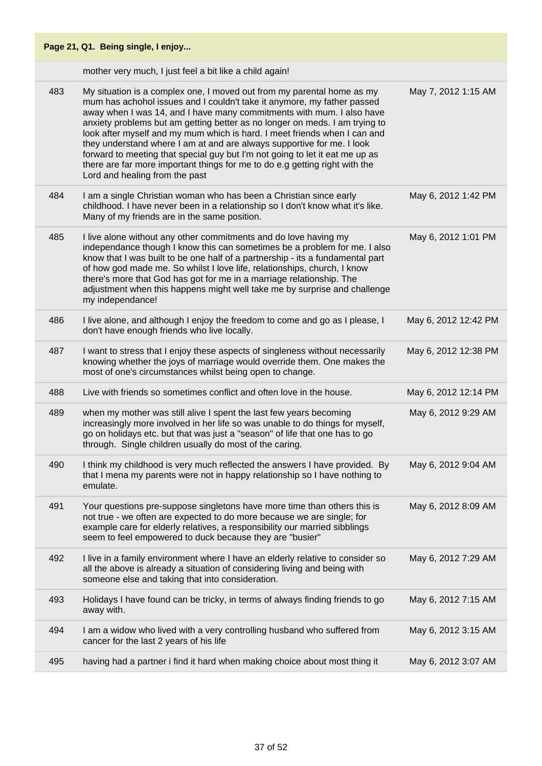|     | Page 21, Q1. Being single, I enjoy                                                                                                                                                                                                                                                                                                                                                                                                                                                                                                                                                                                                                                |                      |
|-----|-------------------------------------------------------------------------------------------------------------------------------------------------------------------------------------------------------------------------------------------------------------------------------------------------------------------------------------------------------------------------------------------------------------------------------------------------------------------------------------------------------------------------------------------------------------------------------------------------------------------------------------------------------------------|----------------------|
|     | mother very much, I just feel a bit like a child again!                                                                                                                                                                                                                                                                                                                                                                                                                                                                                                                                                                                                           |                      |
| 483 | My situation is a complex one, I moved out from my parental home as my<br>mum has achohol issues and I couldn't take it anymore, my father passed<br>away when I was 14, and I have many commitments with mum. I also have<br>anxiety problems but am getting better as no longer on meds. I am trying to<br>look after myself and my mum which is hard. I meet friends when I can and<br>they understand where I am at and are always supportive for me. I look<br>forward to meeting that special guy but I'm not going to let it eat me up as<br>there are far more important things for me to do e.g getting right with the<br>Lord and healing from the past | May 7, 2012 1:15 AM  |
| 484 | I am a single Christian woman who has been a Christian since early<br>childhood. I have never been in a relationship so I don't know what it's like.<br>Many of my friends are in the same position.                                                                                                                                                                                                                                                                                                                                                                                                                                                              | May 6, 2012 1:42 PM  |
| 485 | I live alone without any other commitments and do love having my<br>independance though I know this can sometimes be a problem for me. I also<br>know that I was built to be one half of a partnership - its a fundamental part<br>of how god made me. So whilst I love life, relationships, church, I know<br>there's more that God has got for me in a marriage relationship. The<br>adjustment when this happens might well take me by surprise and challenge<br>my independance!                                                                                                                                                                              | May 6, 2012 1:01 PM  |
| 486 | I live alone, and although I enjoy the freedom to come and go as I please, I<br>don't have enough friends who live locally.                                                                                                                                                                                                                                                                                                                                                                                                                                                                                                                                       | May 6, 2012 12:42 PM |
| 487 | I want to stress that I enjoy these aspects of singleness without necessarily<br>knowing whether the joys of marriage would override them. One makes the<br>most of one's circumstances whilst being open to change.                                                                                                                                                                                                                                                                                                                                                                                                                                              | May 6, 2012 12:38 PM |
| 488 | Live with friends so sometimes conflict and often love in the house.                                                                                                                                                                                                                                                                                                                                                                                                                                                                                                                                                                                              | May 6, 2012 12:14 PM |
| 489 | when my mother was still alive I spent the last few years becoming<br>increasingly more involved in her life so was unable to do things for myself,<br>go on holidays etc. but that was just a "season" of life that one has to go<br>through. Single children usually do most of the caring.                                                                                                                                                                                                                                                                                                                                                                     | May 6, 2012 9:29 AM  |
| 490 | I think my childhood is very much reflected the answers I have provided. By<br>that I mena my parents were not in happy relationship so I have nothing to<br>emulate.                                                                                                                                                                                                                                                                                                                                                                                                                                                                                             | May 6, 2012 9:04 AM  |
| 491 | Your questions pre-suppose singletons have more time than others this is<br>not true - we often are expected to do more because we are single; for<br>example care for elderly relatives, a responsibility our married sibblings<br>seem to feel empowered to duck because they are "busier"                                                                                                                                                                                                                                                                                                                                                                      | May 6, 2012 8:09 AM  |
| 492 | I live in a family environment where I have an elderly relative to consider so<br>all the above is already a situation of considering living and being with<br>someone else and taking that into consideration.                                                                                                                                                                                                                                                                                                                                                                                                                                                   | May 6, 2012 7:29 AM  |
| 493 | Holidays I have found can be tricky, in terms of always finding friends to go<br>away with.                                                                                                                                                                                                                                                                                                                                                                                                                                                                                                                                                                       | May 6, 2012 7:15 AM  |
| 494 | I am a widow who lived with a very controlling husband who suffered from<br>cancer for the last 2 years of his life                                                                                                                                                                                                                                                                                                                                                                                                                                                                                                                                               | May 6, 2012 3:15 AM  |
| 495 | having had a partner i find it hard when making choice about most thing it                                                                                                                                                                                                                                                                                                                                                                                                                                                                                                                                                                                        | May 6, 2012 3:07 AM  |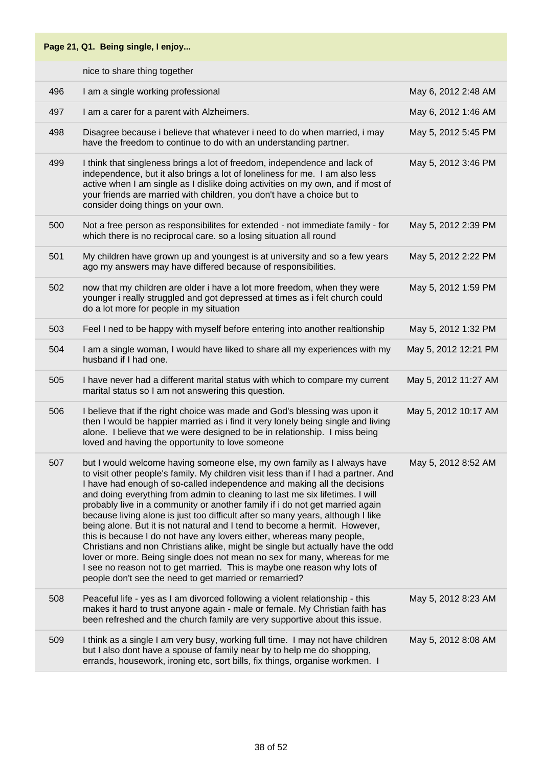# **Page 21, Q1. Being single, I enjoy...** nice to share thing together 496 I am a single working professional May 6, 2012 2:48 AM 497 I am a carer for a parent with Alzheimers. May 6, 2012 1:46 AM 498 Disagree because i believe that whatever i need to do when married, i may have the freedom to continue to do with an understanding partner. 499 I think that singleness brings a lot of freedom, independence and lack of independence, but it also brings a lot of loneliness for me. I am also less active when I am single as I dislike doing activities on my own, and if most of your friends are married with children, you don't have a choice but to consider doing things on your own. 500 Not a free person as responsibilites for extended - not immediate family - for which there is no reciprocal care. so a losing situation all round 501 My children have grown up and youngest is at university and so a few years ago my answers may have differed because of responsibilities. 502 now that my children are older i have a lot more freedom, when they were younger i really struggled and got depressed at times as i felt church could do a lot more for people in my situation

| 502 | now that my children are older i have a lot more freedom, when they were<br>younger i really struggled and got depressed at times as i felt church could<br>do a lot more for people in my situation                                                                                                                                                                                                                                                                                                                                                                                                                                                                                                                                                                                                                                                                                                                                                      | May 5, 2012 1:59 PM  |
|-----|-----------------------------------------------------------------------------------------------------------------------------------------------------------------------------------------------------------------------------------------------------------------------------------------------------------------------------------------------------------------------------------------------------------------------------------------------------------------------------------------------------------------------------------------------------------------------------------------------------------------------------------------------------------------------------------------------------------------------------------------------------------------------------------------------------------------------------------------------------------------------------------------------------------------------------------------------------------|----------------------|
| 503 | Feel I ned to be happy with myself before entering into another realtionship                                                                                                                                                                                                                                                                                                                                                                                                                                                                                                                                                                                                                                                                                                                                                                                                                                                                              | May 5, 2012 1:32 PM  |
| 504 | I am a single woman, I would have liked to share all my experiences with my<br>husband if I had one.                                                                                                                                                                                                                                                                                                                                                                                                                                                                                                                                                                                                                                                                                                                                                                                                                                                      | May 5, 2012 12:21 PM |
| 505 | I have never had a different marital status with which to compare my current<br>marital status so I am not answering this question.                                                                                                                                                                                                                                                                                                                                                                                                                                                                                                                                                                                                                                                                                                                                                                                                                       | May 5, 2012 11:27 AM |
| 506 | I believe that if the right choice was made and God's blessing was upon it<br>then I would be happier married as i find it very lonely being single and living<br>alone. I believe that we were designed to be in relationship. I miss being<br>loved and having the opportunity to love someone                                                                                                                                                                                                                                                                                                                                                                                                                                                                                                                                                                                                                                                          | May 5, 2012 10:17 AM |
| 507 | but I would welcome having someone else, my own family as I always have<br>to visit other people's family. My children visit less than if I had a partner. And<br>I have had enough of so-called independence and making all the decisions<br>and doing everything from admin to cleaning to last me six lifetimes. I will<br>probably live in a community or another family if i do not get married again<br>because living alone is just too difficult after so many years, although I like<br>being alone. But it is not natural and I tend to become a hermit. However,<br>this is because I do not have any lovers either, whereas many people,<br>Christians and non Christians alike, might be single but actually have the odd<br>lover or more. Being single does not mean no sex for many, whereas for me<br>I see no reason not to get married. This is maybe one reason why lots of<br>people don't see the need to get married or remarried? | May 5, 2012 8:52 AM  |
| 508 | Peaceful life - yes as I am divorced following a violent relationship - this<br>makes it hard to trust anyone again - male or female. My Christian faith has<br>been refreshed and the church family are very supportive about this issue.                                                                                                                                                                                                                                                                                                                                                                                                                                                                                                                                                                                                                                                                                                                | May 5, 2012 8:23 AM  |
| 509 | I think as a single I am very busy, working full time. I may not have children<br>but I also dont have a spouse of family near by to help me do shopping,<br>errands, housework, ironing etc, sort bills, fix things, organise workmen. I                                                                                                                                                                                                                                                                                                                                                                                                                                                                                                                                                                                                                                                                                                                 | May 5, 2012 8:08 AM  |

May 5, 2012 5:45 PM

May 5, 2012 3:46 PM

May 5, 2012 2:39 PM

May 5, 2012 2:22 PM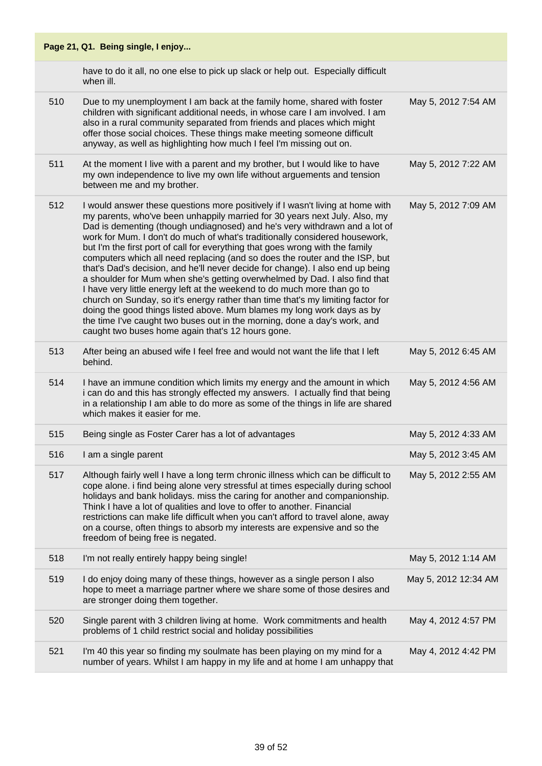|     | Page 21, Q1. Being single, I enjoy                                                                                                                                                                                                                                                                                                                                                                                                                                                                                                                                                                                                                                                                                                                                                                                                                                                                                                                                                                                                   |                      |
|-----|--------------------------------------------------------------------------------------------------------------------------------------------------------------------------------------------------------------------------------------------------------------------------------------------------------------------------------------------------------------------------------------------------------------------------------------------------------------------------------------------------------------------------------------------------------------------------------------------------------------------------------------------------------------------------------------------------------------------------------------------------------------------------------------------------------------------------------------------------------------------------------------------------------------------------------------------------------------------------------------------------------------------------------------|----------------------|
|     | have to do it all, no one else to pick up slack or help out. Especially difficult<br>when ill.                                                                                                                                                                                                                                                                                                                                                                                                                                                                                                                                                                                                                                                                                                                                                                                                                                                                                                                                       |                      |
| 510 | Due to my unemployment I am back at the family home, shared with foster<br>children with significant additional needs, in whose care I am involved. I am<br>also in a rural community separated from friends and places which might<br>offer those social choices. These things make meeting someone difficult<br>anyway, as well as highlighting how much I feel I'm missing out on.                                                                                                                                                                                                                                                                                                                                                                                                                                                                                                                                                                                                                                                | May 5, 2012 7:54 AM  |
| 511 | At the moment I live with a parent and my brother, but I would like to have<br>my own independence to live my own life without arguements and tension<br>between me and my brother.                                                                                                                                                                                                                                                                                                                                                                                                                                                                                                                                                                                                                                                                                                                                                                                                                                                  | May 5, 2012 7:22 AM  |
| 512 | I would answer these questions more positively if I wasn't living at home with<br>my parents, who've been unhappily married for 30 years next July. Also, my<br>Dad is dementing (though undiagnosed) and he's very withdrawn and a lot of<br>work for Mum. I don't do much of what's traditionally considered housework,<br>but I'm the first port of call for everything that goes wrong with the family<br>computers which all need replacing (and so does the router and the ISP, but<br>that's Dad's decision, and he'll never decide for change). I also end up being<br>a shoulder for Mum when she's getting overwhelmed by Dad. I also find that<br>I have very little energy left at the weekend to do much more than go to<br>church on Sunday, so it's energy rather than time that's my limiting factor for<br>doing the good things listed above. Mum blames my long work days as by<br>the time I've caught two buses out in the morning, done a day's work, and<br>caught two buses home again that's 12 hours gone. | May 5, 2012 7:09 AM  |
| 513 | After being an abused wife I feel free and would not want the life that I left<br>behind.                                                                                                                                                                                                                                                                                                                                                                                                                                                                                                                                                                                                                                                                                                                                                                                                                                                                                                                                            | May 5, 2012 6:45 AM  |
| 514 | I have an immune condition which limits my energy and the amount in which<br>i can do and this has strongly effected my answers. I actually find that being<br>in a relationship I am able to do more as some of the things in life are shared<br>which makes it easier for me.                                                                                                                                                                                                                                                                                                                                                                                                                                                                                                                                                                                                                                                                                                                                                      | May 5, 2012 4:56 AM  |
| 515 | Being single as Foster Carer has a lot of advantages                                                                                                                                                                                                                                                                                                                                                                                                                                                                                                                                                                                                                                                                                                                                                                                                                                                                                                                                                                                 | May 5, 2012 4:33 AM  |
| 516 | I am a single parent                                                                                                                                                                                                                                                                                                                                                                                                                                                                                                                                                                                                                                                                                                                                                                                                                                                                                                                                                                                                                 | May 5, 2012 3:45 AM  |
| 517 | Although fairly well I have a long term chronic illness which can be difficult to<br>cope alone. i find being alone very stressful at times especially during school<br>holidays and bank holidays. miss the caring for another and companionship.<br>Think I have a lot of qualities and love to offer to another. Financial<br>restrictions can make life difficult when you can't afford to travel alone, away<br>on a course, often things to absorb my interests are expensive and so the<br>freedom of being free is negated.                                                                                                                                                                                                                                                                                                                                                                                                                                                                                                  | May 5, 2012 2:55 AM  |
| 518 | I'm not really entirely happy being single!                                                                                                                                                                                                                                                                                                                                                                                                                                                                                                                                                                                                                                                                                                                                                                                                                                                                                                                                                                                          | May 5, 2012 1:14 AM  |
| 519 | I do enjoy doing many of these things, however as a single person I also<br>hope to meet a marriage partner where we share some of those desires and<br>are stronger doing them together.                                                                                                                                                                                                                                                                                                                                                                                                                                                                                                                                                                                                                                                                                                                                                                                                                                            | May 5, 2012 12:34 AM |
| 520 | Single parent with 3 children living at home. Work commitments and health<br>problems of 1 child restrict social and holiday possibilities                                                                                                                                                                                                                                                                                                                                                                                                                                                                                                                                                                                                                                                                                                                                                                                                                                                                                           | May 4, 2012 4:57 PM  |
| 521 | I'm 40 this year so finding my soulmate has been playing on my mind for a<br>number of years. Whilst I am happy in my life and at home I am unhappy that                                                                                                                                                                                                                                                                                                                                                                                                                                                                                                                                                                                                                                                                                                                                                                                                                                                                             | May 4, 2012 4:42 PM  |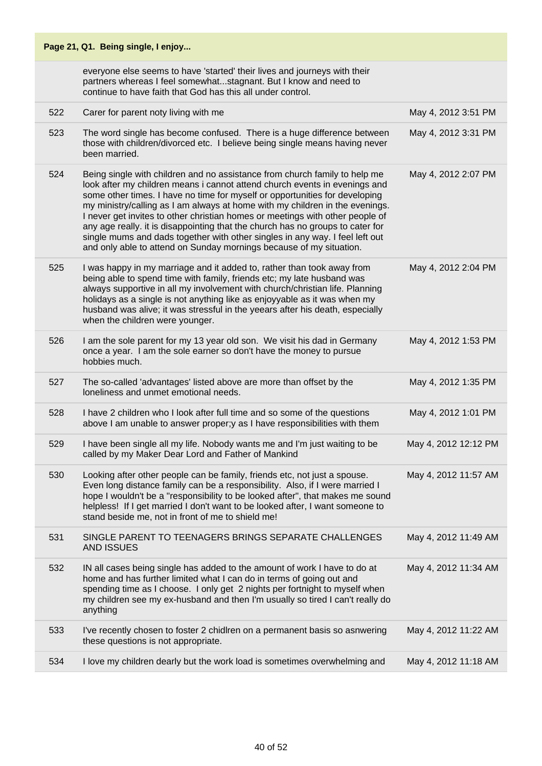|     | Page 21, Q1. Being single, I enjoy                                                                                                                                                                                                                                                                                                                                                                                                                                                                                                                                                                                                                |                      |
|-----|---------------------------------------------------------------------------------------------------------------------------------------------------------------------------------------------------------------------------------------------------------------------------------------------------------------------------------------------------------------------------------------------------------------------------------------------------------------------------------------------------------------------------------------------------------------------------------------------------------------------------------------------------|----------------------|
|     | everyone else seems to have 'started' their lives and journeys with their<br>partners whereas I feel somewhatstagnant. But I know and need to<br>continue to have faith that God has this all under control.                                                                                                                                                                                                                                                                                                                                                                                                                                      |                      |
| 522 | Carer for parent noty living with me                                                                                                                                                                                                                                                                                                                                                                                                                                                                                                                                                                                                              | May 4, 2012 3:51 PM  |
| 523 | The word single has become confused. There is a huge difference between<br>those with children/divorced etc. I believe being single means having never<br>been married.                                                                                                                                                                                                                                                                                                                                                                                                                                                                           | May 4, 2012 3:31 PM  |
| 524 | Being single with children and no assistance from church family to help me<br>look after my children means i cannot attend church events in evenings and<br>some other times. I have no time for myself or opportunities for developing<br>my ministry/calling as I am always at home with my children in the evenings.<br>I never get invites to other christian homes or meetings with other people of<br>any age really. it is disappointing that the church has no groups to cater for<br>single mums and dads together with other singles in any way. I feel left out<br>and only able to attend on Sunday mornings because of my situation. | May 4, 2012 2:07 PM  |
| 525 | I was happy in my marriage and it added to, rather than took away from<br>being able to spend time with family, friends etc; my late husband was<br>always supportive in all my involvement with church/christian life. Planning<br>holidays as a single is not anything like as enjoyyable as it was when my<br>husband was alive; it was stressful in the yeears after his death, especially<br>when the children were younger.                                                                                                                                                                                                                 | May 4, 2012 2:04 PM  |
| 526 | I am the sole parent for my 13 year old son. We visit his dad in Germany<br>once a year. I am the sole earner so don't have the money to pursue<br>hobbies much.                                                                                                                                                                                                                                                                                                                                                                                                                                                                                  | May 4, 2012 1:53 PM  |
| 527 | The so-called 'advantages' listed above are more than offset by the<br>loneliness and unmet emotional needs.                                                                                                                                                                                                                                                                                                                                                                                                                                                                                                                                      | May 4, 2012 1:35 PM  |
| 528 | I have 2 children who I look after full time and so some of the questions<br>above I am unable to answer proper;y as I have responsibilities with them                                                                                                                                                                                                                                                                                                                                                                                                                                                                                            | May 4, 2012 1:01 PM  |
| 529 | I have been single all my life. Nobody wants me and I'm just waiting to be<br>called by my Maker Dear Lord and Father of Mankind                                                                                                                                                                                                                                                                                                                                                                                                                                                                                                                  | May 4, 2012 12:12 PM |
| 530 | Looking after other people can be family, friends etc, not just a spouse.<br>Even long distance family can be a responsibility. Also, if I were married I<br>hope I wouldn't be a "responsibility to be looked after", that makes me sound<br>helpless! If I get married I don't want to be looked after, I want someone to<br>stand beside me, not in front of me to shield me!                                                                                                                                                                                                                                                                  | May 4, 2012 11:57 AM |
| 531 | SINGLE PARENT TO TEENAGERS BRINGS SEPARATE CHALLENGES<br><b>AND ISSUES</b>                                                                                                                                                                                                                                                                                                                                                                                                                                                                                                                                                                        | May 4, 2012 11:49 AM |
| 532 | IN all cases being single has added to the amount of work I have to do at<br>home and has further limited what I can do in terms of going out and<br>spending time as I choose. I only get 2 nights per fortnight to myself when<br>my children see my ex-husband and then I'm usually so tired I can't really do<br>anything                                                                                                                                                                                                                                                                                                                     | May 4, 2012 11:34 AM |
| 533 | I've recently chosen to foster 2 chidiren on a permanent basis so asnwering<br>these questions is not appropriate.                                                                                                                                                                                                                                                                                                                                                                                                                                                                                                                                | May 4, 2012 11:22 AM |
| 534 | I love my children dearly but the work load is sometimes overwhelming and                                                                                                                                                                                                                                                                                                                                                                                                                                                                                                                                                                         | May 4, 2012 11:18 AM |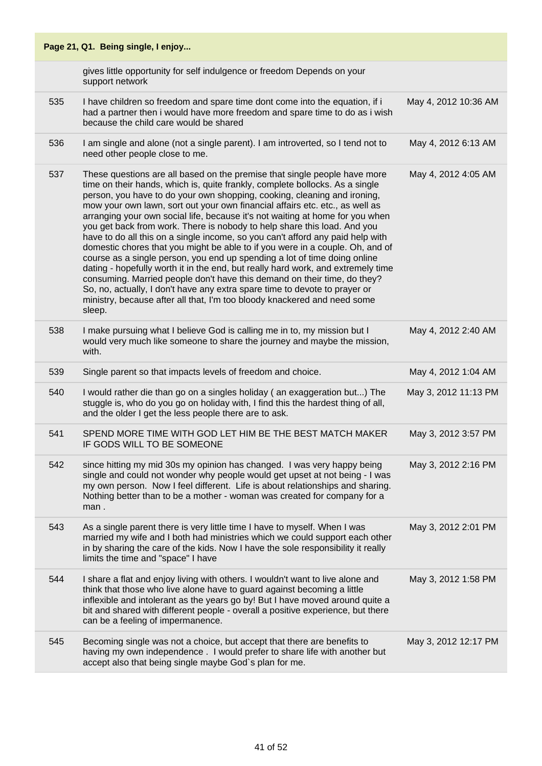|     | Page 21, Q1. Being single, I enjoy                                                                                                                                                                                                                                                                                                                                                                                                                                                                                                                                                                                                                                                                                                                                                                                                                                                                                                                                                                                                                                     |                      |
|-----|------------------------------------------------------------------------------------------------------------------------------------------------------------------------------------------------------------------------------------------------------------------------------------------------------------------------------------------------------------------------------------------------------------------------------------------------------------------------------------------------------------------------------------------------------------------------------------------------------------------------------------------------------------------------------------------------------------------------------------------------------------------------------------------------------------------------------------------------------------------------------------------------------------------------------------------------------------------------------------------------------------------------------------------------------------------------|----------------------|
|     | gives little opportunity for self indulgence or freedom Depends on your<br>support network                                                                                                                                                                                                                                                                                                                                                                                                                                                                                                                                                                                                                                                                                                                                                                                                                                                                                                                                                                             |                      |
| 535 | I have children so freedom and spare time dont come into the equation, if i<br>had a partner then i would have more freedom and spare time to do as i wish<br>because the child care would be shared                                                                                                                                                                                                                                                                                                                                                                                                                                                                                                                                                                                                                                                                                                                                                                                                                                                                   | May 4, 2012 10:36 AM |
| 536 | I am single and alone (not a single parent). I am introverted, so I tend not to<br>need other people close to me.                                                                                                                                                                                                                                                                                                                                                                                                                                                                                                                                                                                                                                                                                                                                                                                                                                                                                                                                                      | May 4, 2012 6:13 AM  |
| 537 | These questions are all based on the premise that single people have more<br>time on their hands, which is, quite frankly, complete bollocks. As a single<br>person, you have to do your own shopping, cooking, cleaning and ironing,<br>mow your own lawn, sort out your own financial affairs etc. etc., as well as<br>arranging your own social life, because it's not waiting at home for you when<br>you get back from work. There is nobody to help share this load. And you<br>have to do all this on a single income, so you can't afford any paid help with<br>domestic chores that you might be able to if you were in a couple. Oh, and of<br>course as a single person, you end up spending a lot of time doing online<br>dating - hopefully worth it in the end, but really hard work, and extremely time<br>consuming. Married people don't have this demand on their time, do they?<br>So, no, actually, I don't have any extra spare time to devote to prayer or<br>ministry, because after all that, I'm too bloody knackered and need some<br>sleep. | May 4, 2012 4:05 AM  |
| 538 | I make pursuing what I believe God is calling me in to, my mission but I<br>would very much like someone to share the journey and maybe the mission,<br>with.                                                                                                                                                                                                                                                                                                                                                                                                                                                                                                                                                                                                                                                                                                                                                                                                                                                                                                          | May 4, 2012 2:40 AM  |
| 539 | Single parent so that impacts levels of freedom and choice.                                                                                                                                                                                                                                                                                                                                                                                                                                                                                                                                                                                                                                                                                                                                                                                                                                                                                                                                                                                                            | May 4, 2012 1:04 AM  |
| 540 | I would rather die than go on a singles holiday (an exaggeration but) The<br>stuggle is, who do you go on holiday with, I find this the hardest thing of all,<br>and the older I get the less people there are to ask.                                                                                                                                                                                                                                                                                                                                                                                                                                                                                                                                                                                                                                                                                                                                                                                                                                                 | May 3, 2012 11:13 PM |
| 541 | SPEND MORE TIME WITH GOD LET HIM BE THE BEST MATCH MAKER<br>IF GODS WILL TO BE SOMEONE                                                                                                                                                                                                                                                                                                                                                                                                                                                                                                                                                                                                                                                                                                                                                                                                                                                                                                                                                                                 | May 3, 2012 3:57 PM  |
| 542 | since hitting my mid 30s my opinion has changed. I was very happy being<br>single and could not wonder why people would get upset at not being - I was<br>my own person. Now I feel different. Life is about relationships and sharing.<br>Nothing better than to be a mother - woman was created for company for a<br>man.                                                                                                                                                                                                                                                                                                                                                                                                                                                                                                                                                                                                                                                                                                                                            | May 3, 2012 2:16 PM  |
| 543 | As a single parent there is very little time I have to myself. When I was<br>married my wife and I both had ministries which we could support each other<br>in by sharing the care of the kids. Now I have the sole responsibility it really<br>limits the time and "space" I have                                                                                                                                                                                                                                                                                                                                                                                                                                                                                                                                                                                                                                                                                                                                                                                     | May 3, 2012 2:01 PM  |
| 544 | I share a flat and enjoy living with others. I wouldn't want to live alone and<br>think that those who live alone have to guard against becoming a little<br>inflexible and intolerant as the years go by! But I have moved around quite a<br>bit and shared with different people - overall a positive experience, but there<br>can be a feeling of impermanence.                                                                                                                                                                                                                                                                                                                                                                                                                                                                                                                                                                                                                                                                                                     | May 3, 2012 1:58 PM  |
| 545 | Becoming single was not a choice, but accept that there are benefits to<br>having my own independence . I would prefer to share life with another but<br>accept also that being single maybe God's plan for me.                                                                                                                                                                                                                                                                                                                                                                                                                                                                                                                                                                                                                                                                                                                                                                                                                                                        | May 3, 2012 12:17 PM |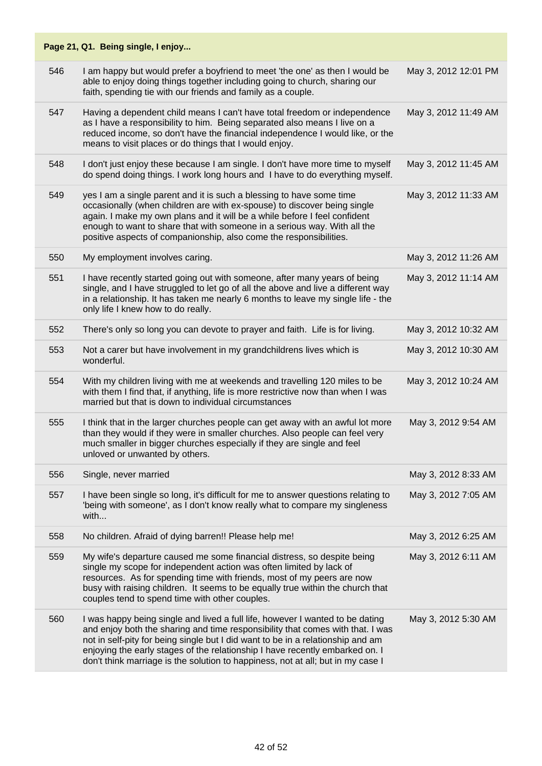|     | Page 21, Q1. Being single, I enjoy                                                                                                                                                                                                                                                                                                                                                                                    |                      |
|-----|-----------------------------------------------------------------------------------------------------------------------------------------------------------------------------------------------------------------------------------------------------------------------------------------------------------------------------------------------------------------------------------------------------------------------|----------------------|
| 546 | I am happy but would prefer a boyfriend to meet 'the one' as then I would be<br>able to enjoy doing things together including going to church, sharing our<br>faith, spending tie with our friends and family as a couple.                                                                                                                                                                                            | May 3, 2012 12:01 PM |
| 547 | Having a dependent child means I can't have total freedom or independence<br>as I have a responsibility to him. Being separated also means I live on a<br>reduced income, so don't have the financial independence I would like, or the<br>means to visit places or do things that I would enjoy.                                                                                                                     | May 3, 2012 11:49 AM |
| 548 | I don't just enjoy these because I am single. I don't have more time to myself<br>do spend doing things. I work long hours and I have to do everything myself.                                                                                                                                                                                                                                                        | May 3, 2012 11:45 AM |
| 549 | yes I am a single parent and it is such a blessing to have some time<br>occasionally (when children are with ex-spouse) to discover being single<br>again. I make my own plans and it will be a while before I feel confident<br>enough to want to share that with someone in a serious way. With all the<br>positive aspects of companionship, also come the responsibilities.                                       | May 3, 2012 11:33 AM |
| 550 | My employment involves caring.                                                                                                                                                                                                                                                                                                                                                                                        | May 3, 2012 11:26 AM |
| 551 | I have recently started going out with someone, after many years of being<br>single, and I have struggled to let go of all the above and live a different way<br>in a relationship. It has taken me nearly 6 months to leave my single life - the<br>only life I knew how to do really.                                                                                                                               | May 3, 2012 11:14 AM |
| 552 | There's only so long you can devote to prayer and faith. Life is for living.                                                                                                                                                                                                                                                                                                                                          | May 3, 2012 10:32 AM |
| 553 | Not a carer but have involvement in my grandchildrens lives which is<br>wonderful.                                                                                                                                                                                                                                                                                                                                    | May 3, 2012 10:30 AM |
| 554 | With my children living with me at weekends and travelling 120 miles to be<br>with them I find that, if anything, life is more restrictive now than when I was<br>married but that is down to individual circumstances                                                                                                                                                                                                | May 3, 2012 10:24 AM |
| 555 | I think that in the larger churches people can get away with an awful lot more<br>than they would if they were in smaller churches. Also people can feel very<br>much smaller in bigger churches especially if they are single and feel<br>unloved or unwanted by others.                                                                                                                                             | May 3, 2012 9:54 AM  |
| 556 | Single, never married                                                                                                                                                                                                                                                                                                                                                                                                 | May 3, 2012 8:33 AM  |
| 557 | I have been single so long, it's difficult for me to answer questions relating to<br>'being with someone', as I don't know really what to compare my singleness<br>with                                                                                                                                                                                                                                               | May 3, 2012 7:05 AM  |
| 558 | No children. Afraid of dying barren!! Please help me!                                                                                                                                                                                                                                                                                                                                                                 | May 3, 2012 6:25 AM  |
| 559 | My wife's departure caused me some financial distress, so despite being<br>single my scope for independent action was often limited by lack of<br>resources. As for spending time with friends, most of my peers are now<br>busy with raising children. It seems to be equally true within the church that<br>couples tend to spend time with other couples.                                                          | May 3, 2012 6:11 AM  |
| 560 | I was happy being single and lived a full life, however I wanted to be dating<br>and enjoy both the sharing and time responsibility that comes with that. I was<br>not in self-pity for being single but I did want to be in a relationship and am<br>enjoying the early stages of the relationship I have recently embarked on. I<br>don't think marriage is the solution to happiness, not at all; but in my case I | May 3, 2012 5:30 AM  |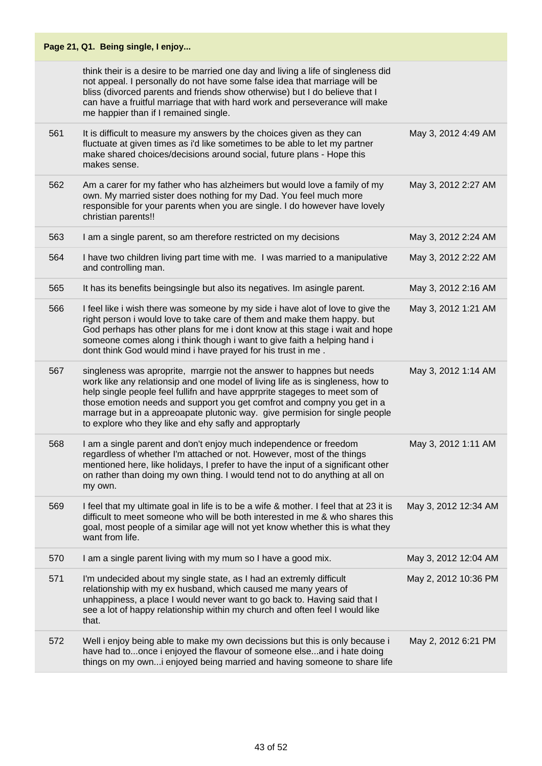|     | Page 21, Q1. Being single, I enjoy                                                                                                                                                                                                                                                                                                                                                                                                                         |                      |
|-----|------------------------------------------------------------------------------------------------------------------------------------------------------------------------------------------------------------------------------------------------------------------------------------------------------------------------------------------------------------------------------------------------------------------------------------------------------------|----------------------|
|     | think their is a desire to be married one day and living a life of singleness did<br>not appeal. I personally do not have some false idea that marriage will be<br>bliss (divorced parents and friends show otherwise) but I do believe that I<br>can have a fruitful marriage that with hard work and perseverance will make<br>me happier than if I remained single.                                                                                     |                      |
| 561 | It is difficult to measure my answers by the choices given as they can<br>fluctuate at given times as i'd like sometimes to be able to let my partner<br>make shared choices/decisions around social, future plans - Hope this<br>makes sense.                                                                                                                                                                                                             | May 3, 2012 4:49 AM  |
| 562 | Am a carer for my father who has alzheimers but would love a family of my<br>own. My married sister does nothing for my Dad. You feel much more<br>responsible for your parents when you are single. I do however have lovely<br>christian parents!!                                                                                                                                                                                                       | May 3, 2012 2:27 AM  |
| 563 | I am a single parent, so am therefore restricted on my decisions                                                                                                                                                                                                                                                                                                                                                                                           | May 3, 2012 2:24 AM  |
| 564 | I have two children living part time with me. I was married to a manipulative<br>and controlling man.                                                                                                                                                                                                                                                                                                                                                      | May 3, 2012 2:22 AM  |
| 565 | It has its benefits beingsingle but also its negatives. Im asingle parent.                                                                                                                                                                                                                                                                                                                                                                                 | May 3, 2012 2:16 AM  |
| 566 | I feel like i wish there was someone by my side i have alot of love to give the<br>right person i would love to take care of them and make them happy. but<br>God perhaps has other plans for me i dont know at this stage i wait and hope<br>someone comes along i think though i want to give faith a helping hand i<br>dont think God would mind i have prayed for his trust in me.                                                                     | May 3, 2012 1:21 AM  |
| 567 | singleness was aproprite, marrgie not the answer to happnes but needs<br>work like any relationsip and one model of living life as is singleness, how to<br>help single people feel fullifn and have apprprite stageges to meet som of<br>those emotion needs and support you get comfrot and compny you get in a<br>marrage but in a appreoapate plutonic way. give permision for single people<br>to explore who they like and ehy safly and approptarly | May 3, 2012 1:14 AM  |
| 568 | I am a single parent and don't enjoy much independence or freedom<br>regardless of whether I'm attached or not. However, most of the things<br>mentioned here, like holidays, I prefer to have the input of a significant other<br>on rather than doing my own thing. I would tend not to do anything at all on<br>my own.                                                                                                                                 | May 3, 2012 1:11 AM  |
| 569 | I feel that my ultimate goal in life is to be a wife & mother. I feel that at 23 it is<br>difficult to meet someone who will be both interested in me & who shares this<br>goal, most people of a similar age will not yet know whether this is what they<br>want from life.                                                                                                                                                                               | May 3, 2012 12:34 AM |
| 570 | I am a single parent living with my mum so I have a good mix.                                                                                                                                                                                                                                                                                                                                                                                              | May 3, 2012 12:04 AM |
| 571 | I'm undecided about my single state, as I had an extremly difficult<br>relationship with my ex husband, which caused me many years of<br>unhappiness, a place I would never want to go back to. Having said that I<br>see a lot of happy relationship within my church and often feel I would like<br>that.                                                                                                                                                | May 2, 2012 10:36 PM |
| 572 | Well i enjoy being able to make my own decissions but this is only because i<br>have had toonce i enjoyed the flavour of someone elseand i hate doing<br>things on my owni enjoyed being married and having someone to share life                                                                                                                                                                                                                          | May 2, 2012 6:21 PM  |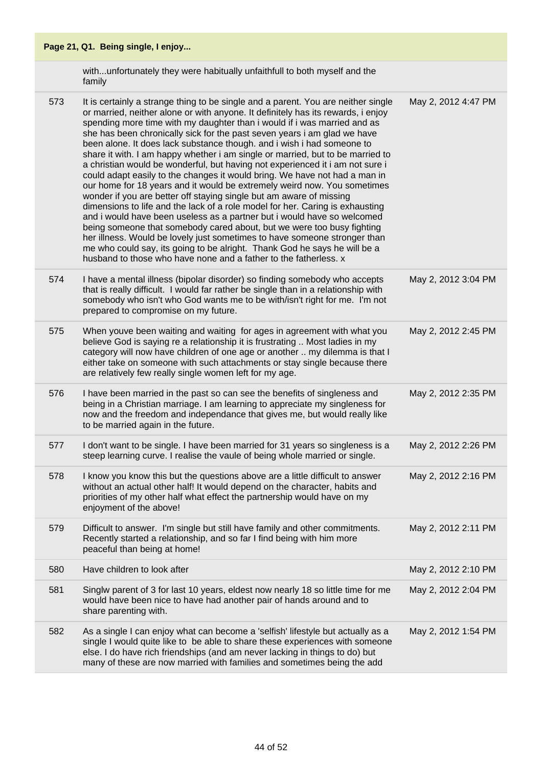with...unfortunately they were habitually unfaithfull to both myself and the family

573 It is certainly a strange thing to be single and a parent. You are neither single or married, neither alone or with anyone. It definitely has its rewards, i enjoy spending more time with my daughter than i would if i was married and as she has been chronically sick for the past seven years i am glad we have been alone. It does lack substance though. and i wish i had someone to share it with. I am happy whether i am single or married, but to be married to a christian would be wonderful, but having not experienced it i am not sure i could adapt easily to the changes it would bring. We have not had a man in our home for 18 years and it would be extremely weird now. You sometimes wonder if you are better off staying single but am aware of missing dimensions to life and the lack of a role model for her. Caring is exhausting and i would have been useless as a partner but i would have so welcomed being someone that somebody cared about, but we were too busy fighting her illness. Would be lovely just sometimes to have someone stronger than me who could say, its going to be alright. Thank God he says he will be a husband to those who have none and a father to the fatherless. x May 2, 2012 4:47 PM 574 I have a mental illness (bipolar disorder) so finding somebody who accepts that is really difficult. I would far rather be single than in a relationship with somebody who isn't who God wants me to be with/isn't right for me. I'm not prepared to compromise on my future. May 2, 2012 3:04 PM 575 When youve been waiting and waiting for ages in agreement with what you believe God is saying re a relationship it is frustrating .. Most ladies in my category will now have children of one age or another .. my dilemma is that I either take on someone with such attachments or stay single because there are relatively few really single women left for my age. May 2, 2012 2:45 PM 576 I have been married in the past so can see the benefits of singleness and being in a Christian marriage. I am learning to appreciate my singleness for now and the freedom and independance that gives me, but would really like to be married again in the future. May 2, 2012 2:35 PM 577 I don't want to be single. I have been married for 31 years so singleness is a steep learning curve. I realise the vaule of being whole married or single. May 2, 2012 2:26 PM 578 I know you know this but the questions above are a little difficult to answer without an actual other half! It would depend on the character, habits and priorities of my other half what effect the partnership would have on my enjoyment of the above! May 2, 2012 2:16 PM 579 Difficult to answer. I'm single but still have family and other commitments. Recently started a relationship, and so far I find being with him more peaceful than being at home! May 2, 2012 2:11 PM 580 Have children to look after May 2, 2012 2:10 PM 581 Singlw parent of 3 for last 10 years, eldest now nearly 18 so little time for me would have been nice to have had another pair of hands around and to share parenting with. May 2, 2012 2:04 PM 582 As a single I can enjoy what can become a 'selfish' lifestyle but actually as a single I would quite like to be able to share these experiences with someone else. I do have rich friendships (and am never lacking in things to do) but many of these are now married with families and sometimes being the add May 2, 2012 1:54 PM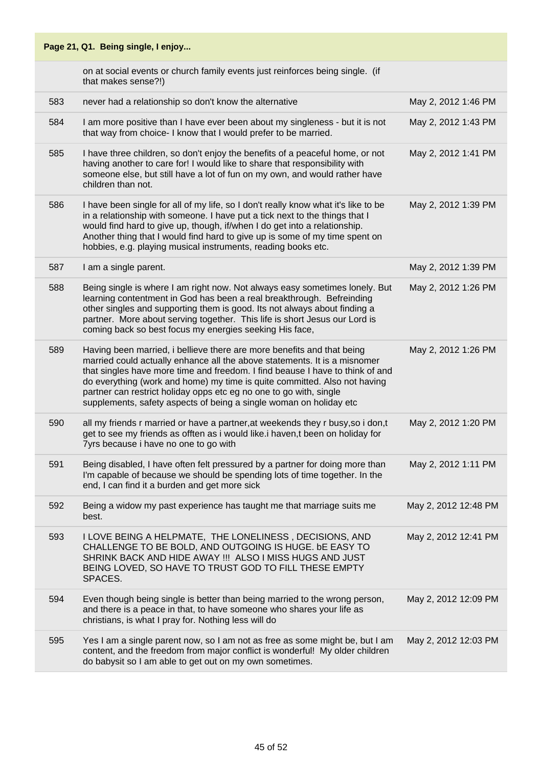|     | Page 21, Q1. Being single, I enjoy                                                                                                                                                                                                                                                                                                                                                                                                                            |                      |
|-----|---------------------------------------------------------------------------------------------------------------------------------------------------------------------------------------------------------------------------------------------------------------------------------------------------------------------------------------------------------------------------------------------------------------------------------------------------------------|----------------------|
|     | on at social events or church family events just reinforces being single. (if<br>that makes sense?!)                                                                                                                                                                                                                                                                                                                                                          |                      |
| 583 | never had a relationship so don't know the alternative                                                                                                                                                                                                                                                                                                                                                                                                        | May 2, 2012 1:46 PM  |
| 584 | I am more positive than I have ever been about my singleness - but it is not<br>that way from choice- I know that I would prefer to be married.                                                                                                                                                                                                                                                                                                               | May 2, 2012 1:43 PM  |
| 585 | I have three children, so don't enjoy the benefits of a peaceful home, or not<br>having another to care for! I would like to share that responsibility with<br>someone else, but still have a lot of fun on my own, and would rather have<br>children than not.                                                                                                                                                                                               | May 2, 2012 1:41 PM  |
| 586 | I have been single for all of my life, so I don't really know what it's like to be<br>in a relationship with someone. I have put a tick next to the things that I<br>would find hard to give up, though, if/when I do get into a relationship.<br>Another thing that I would find hard to give up is some of my time spent on<br>hobbies, e.g. playing musical instruments, reading books etc.                                                                | May 2, 2012 1:39 PM  |
| 587 | I am a single parent.                                                                                                                                                                                                                                                                                                                                                                                                                                         | May 2, 2012 1:39 PM  |
| 588 | Being single is where I am right now. Not always easy sometimes lonely. But<br>learning contentment in God has been a real breakthrough. Befreinding<br>other singles and supporting them is good. Its not always about finding a<br>partner. More about serving together. This life is short Jesus our Lord is<br>coming back so best focus my energies seeking His face,                                                                                    | May 2, 2012 1:26 PM  |
| 589 | Having been married, i bellieve there are more benefits and that being<br>married could actually enhance all the above statements. It is a misnomer<br>that singles have more time and freedom. I find beause I have to think of and<br>do everything (work and home) my time is quite committed. Also not having<br>partner can restrict holiday opps etc eg no one to go with, single<br>supplements, safety aspects of being a single woman on holiday etc | May 2, 2012 1:26 PM  |
| 590 | all my friends r married or have a partner, at weekends they r busy, so i don, t<br>get to see my friends as offten as i would like.i haven,t been on holiday for<br>7yrs because i have no one to go with                                                                                                                                                                                                                                                    | May 2, 2012 1:20 PM  |
| 591 | Being disabled, I have often felt pressured by a partner for doing more than<br>I'm capable of because we should be spending lots of time together. In the<br>end, I can find it a burden and get more sick                                                                                                                                                                                                                                                   | May 2, 2012 1:11 PM  |
| 592 | Being a widow my past experience has taught me that marriage suits me<br>best.                                                                                                                                                                                                                                                                                                                                                                                | May 2, 2012 12:48 PM |
| 593 | I LOVE BEING A HELPMATE, THE LONELINESS, DECISIONS, AND<br>CHALLENGE TO BE BOLD, AND OUTGOING IS HUGE. bE EASY TO<br>SHRINK BACK AND HIDE AWAY !!! ALSO I MISS HUGS AND JUST<br>BEING LOVED, SO HAVE TO TRUST GOD TO FILL THESE EMPTY<br>SPACES.                                                                                                                                                                                                              | May 2, 2012 12:41 PM |
| 594 | Even though being single is better than being married to the wrong person,<br>and there is a peace in that, to have someone who shares your life as<br>christians, is what I pray for. Nothing less will do                                                                                                                                                                                                                                                   | May 2, 2012 12:09 PM |
| 595 | Yes I am a single parent now, so I am not as free as some might be, but I am<br>content, and the freedom from major conflict is wonderful! My older children<br>do babysit so I am able to get out on my own sometimes.                                                                                                                                                                                                                                       | May 2, 2012 12:03 PM |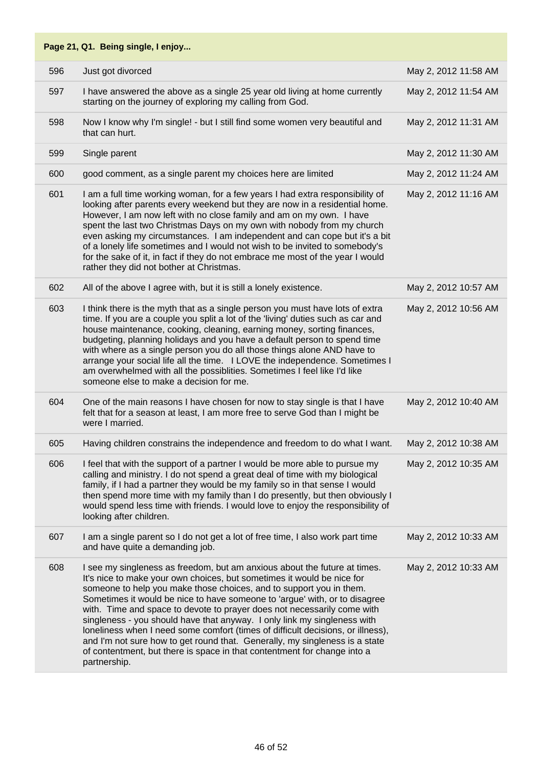|     | Page 21, Q1. Being single, I enjoy                                                                                                                                                                                                                                                                                                                                                                                                                                                                                                                                                                                                                                                                                            |                      |
|-----|-------------------------------------------------------------------------------------------------------------------------------------------------------------------------------------------------------------------------------------------------------------------------------------------------------------------------------------------------------------------------------------------------------------------------------------------------------------------------------------------------------------------------------------------------------------------------------------------------------------------------------------------------------------------------------------------------------------------------------|----------------------|
| 596 | Just got divorced                                                                                                                                                                                                                                                                                                                                                                                                                                                                                                                                                                                                                                                                                                             | May 2, 2012 11:58 AM |
| 597 | I have answered the above as a single 25 year old living at home currently<br>starting on the journey of exploring my calling from God.                                                                                                                                                                                                                                                                                                                                                                                                                                                                                                                                                                                       | May 2, 2012 11:54 AM |
| 598 | Now I know why I'm single! - but I still find some women very beautiful and<br>that can hurt.                                                                                                                                                                                                                                                                                                                                                                                                                                                                                                                                                                                                                                 | May 2, 2012 11:31 AM |
| 599 | Single parent                                                                                                                                                                                                                                                                                                                                                                                                                                                                                                                                                                                                                                                                                                                 | May 2, 2012 11:30 AM |
| 600 | good comment, as a single parent my choices here are limited                                                                                                                                                                                                                                                                                                                                                                                                                                                                                                                                                                                                                                                                  | May 2, 2012 11:24 AM |
| 601 | I am a full time working woman, for a few years I had extra responsibility of<br>looking after parents every weekend but they are now in a residential home.<br>However, I am now left with no close family and am on my own. I have<br>spent the last two Christmas Days on my own with nobody from my church<br>even asking my circumstances. I am independent and can cope but it's a bit<br>of a lonely life sometimes and I would not wish to be invited to somebody's<br>for the sake of it, in fact if they do not embrace me most of the year I would<br>rather they did not bother at Christmas.                                                                                                                     | May 2, 2012 11:16 AM |
| 602 | All of the above I agree with, but it is still a lonely existence.                                                                                                                                                                                                                                                                                                                                                                                                                                                                                                                                                                                                                                                            | May 2, 2012 10:57 AM |
| 603 | I think there is the myth that as a single person you must have lots of extra<br>time. If you are a couple you split a lot of the 'living' duties such as car and<br>house maintenance, cooking, cleaning, earning money, sorting finances,<br>budgeting, planning holidays and you have a default person to spend time<br>with where as a single person you do all those things alone AND have to<br>arrange your social life all the time. I LOVE the independence. Sometimes I<br>am overwhelmed with all the possiblities. Sometimes I feel like I'd like<br>someone else to make a decision for me.                                                                                                                      | May 2, 2012 10:56 AM |
| 604 | One of the main reasons I have chosen for now to stay single is that I have<br>felt that for a season at least, I am more free to serve God than I might be<br>were I married.                                                                                                                                                                                                                                                                                                                                                                                                                                                                                                                                                | May 2, 2012 10:40 AM |
| 605 | Having children constrains the independence and freedom to do what I want.                                                                                                                                                                                                                                                                                                                                                                                                                                                                                                                                                                                                                                                    | May 2, 2012 10:38 AM |
| 606 | I feel that with the support of a partner I would be more able to pursue my<br>calling and ministry. I do not spend a great deal of time with my biological<br>family, if I had a partner they would be my family so in that sense I would<br>then spend more time with my family than I do presently, but then obviously I<br>would spend less time with friends. I would love to enjoy the responsibility of<br>looking after children.                                                                                                                                                                                                                                                                                     | May 2, 2012 10:35 AM |
| 607 | I am a single parent so I do not get a lot of free time, I also work part time<br>and have quite a demanding job.                                                                                                                                                                                                                                                                                                                                                                                                                                                                                                                                                                                                             | May 2, 2012 10:33 AM |
| 608 | I see my singleness as freedom, but am anxious about the future at times.<br>It's nice to make your own choices, but sometimes it would be nice for<br>someone to help you make those choices, and to support you in them.<br>Sometimes it would be nice to have someone to 'argue' with, or to disagree<br>with. Time and space to devote to prayer does not necessarily come with<br>singleness - you should have that anyway. I only link my singleness with<br>loneliness when I need some comfort (times of difficult decisions, or illness),<br>and I'm not sure how to get round that. Generally, my singleness is a state<br>of contentment, but there is space in that contentment for change into a<br>partnership. | May 2, 2012 10:33 AM |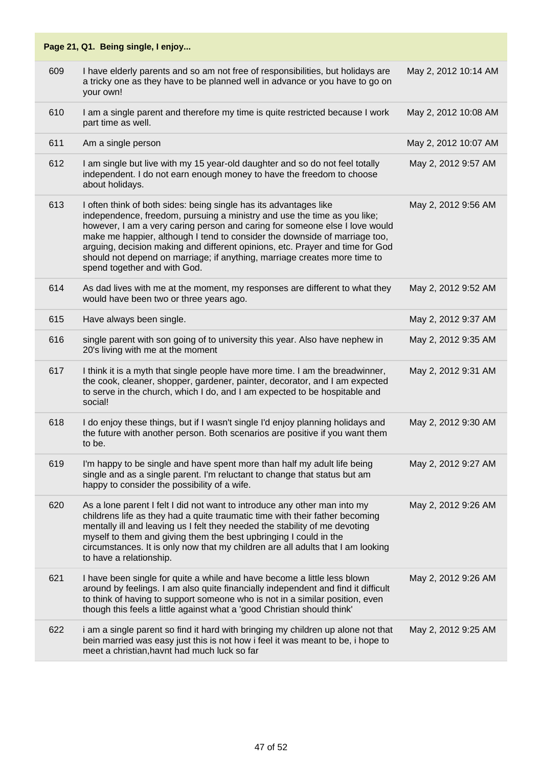| 609 | I have elderly parents and so am not free of responsibilities, but holidays are<br>a tricky one as they have to be planned well in advance or you have to go on<br>your own!                                                                                                                                                                                                                                                                                                                             | May 2, 2012 10:14 AM |
|-----|----------------------------------------------------------------------------------------------------------------------------------------------------------------------------------------------------------------------------------------------------------------------------------------------------------------------------------------------------------------------------------------------------------------------------------------------------------------------------------------------------------|----------------------|
| 610 | I am a single parent and therefore my time is quite restricted because I work<br>part time as well.                                                                                                                                                                                                                                                                                                                                                                                                      | May 2, 2012 10:08 AM |
| 611 | Am a single person                                                                                                                                                                                                                                                                                                                                                                                                                                                                                       | May 2, 2012 10:07 AM |
| 612 | I am single but live with my 15 year-old daughter and so do not feel totally<br>independent. I do not earn enough money to have the freedom to choose<br>about holidays.                                                                                                                                                                                                                                                                                                                                 | May 2, 2012 9:57 AM  |
| 613 | I often think of both sides: being single has its advantages like<br>independence, freedom, pursuing a ministry and use the time as you like;<br>however, I am a very caring person and caring for someone else I love would<br>make me happier, although I tend to consider the downside of marriage too,<br>arguing, decision making and different opinions, etc. Prayer and time for God<br>should not depend on marriage; if anything, marriage creates more time to<br>spend together and with God. | May 2, 2012 9:56 AM  |
| 614 | As dad lives with me at the moment, my responses are different to what they<br>would have been two or three years ago.                                                                                                                                                                                                                                                                                                                                                                                   | May 2, 2012 9:52 AM  |
| 615 | Have always been single.                                                                                                                                                                                                                                                                                                                                                                                                                                                                                 | May 2, 2012 9:37 AM  |
| 616 | single parent with son going of to university this year. Also have nephew in<br>20's living with me at the moment                                                                                                                                                                                                                                                                                                                                                                                        | May 2, 2012 9:35 AM  |
| 617 | I think it is a myth that single people have more time. I am the breadwinner,<br>the cook, cleaner, shopper, gardener, painter, decorator, and I am expected<br>to serve in the church, which I do, and I am expected to be hospitable and<br>social!                                                                                                                                                                                                                                                    | May 2, 2012 9:31 AM  |
| 618 | I do enjoy these things, but if I wasn't single I'd enjoy planning holidays and<br>the future with another person. Both scenarios are positive if you want them<br>to be.                                                                                                                                                                                                                                                                                                                                | May 2, 2012 9:30 AM  |
| 619 | I'm happy to be single and have spent more than half my adult life being<br>single and as a single parent. I'm reluctant to change that status but am<br>happy to consider the possibility of a wife.                                                                                                                                                                                                                                                                                                    | May 2, 2012 9:27 AM  |
| 620 | As a lone parent I felt I did not want to introduce any other man into my<br>childrens life as they had a quite traumatic time with their father becoming<br>mentally ill and leaving us I felt they needed the stability of me devoting<br>myself to them and giving them the best upbringing I could in the<br>circumstances. It is only now that my children are all adults that I am looking<br>to have a relationship.                                                                              | May 2, 2012 9:26 AM  |
| 621 | I have been single for quite a while and have become a little less blown<br>around by feelings. I am also quite financially independent and find it difficult<br>to think of having to support someone who is not in a similar position, even<br>though this feels a little against what a 'good Christian should think'                                                                                                                                                                                 | May 2, 2012 9:26 AM  |
| 622 | i am a single parent so find it hard with bringing my children up alone not that<br>bein married was easy just this is not how i feel it was meant to be, i hope to<br>meet a christian, havnt had much luck so far                                                                                                                                                                                                                                                                                      | May 2, 2012 9:25 AM  |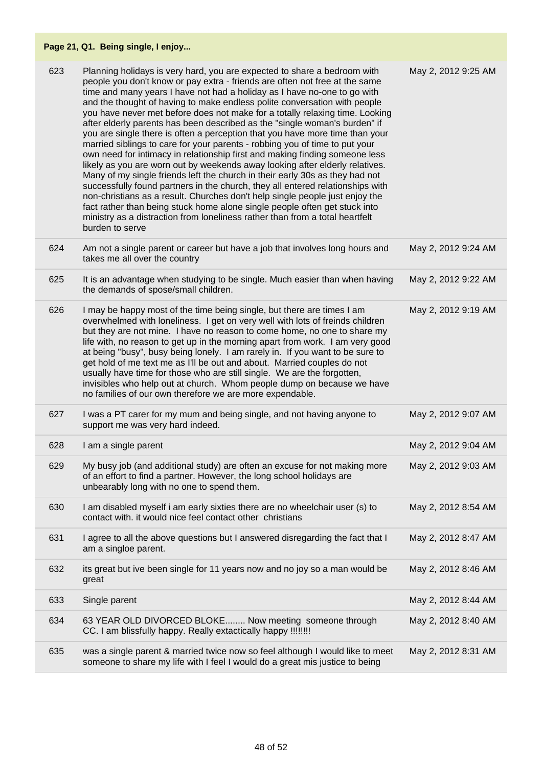| 623 | Planning holidays is very hard, you are expected to share a bedroom with<br>people you don't know or pay extra - friends are often not free at the same<br>time and many years I have not had a holiday as I have no-one to go with<br>and the thought of having to make endless polite conversation with people<br>you have never met before does not make for a totally relaxing time. Looking<br>after elderly parents has been described as the "single woman's burden" if<br>you are single there is often a perception that you have more time than your<br>married siblings to care for your parents - robbing you of time to put your<br>own need for intimacy in relationship first and making finding someone less<br>likely as you are worn out by weekends away looking after elderly relatives.<br>Many of my single friends left the church in their early 30s as they had not<br>successfully found partners in the church, they all entered relationships with<br>non-christians as a result. Churches don't help single people just enjoy the<br>fact rather than being stuck home alone single people often get stuck into<br>ministry as a distraction from loneliness rather than from a total heartfelt<br>burden to serve | May 2, 2012 9:25 AM |
|-----|-------------------------------------------------------------------------------------------------------------------------------------------------------------------------------------------------------------------------------------------------------------------------------------------------------------------------------------------------------------------------------------------------------------------------------------------------------------------------------------------------------------------------------------------------------------------------------------------------------------------------------------------------------------------------------------------------------------------------------------------------------------------------------------------------------------------------------------------------------------------------------------------------------------------------------------------------------------------------------------------------------------------------------------------------------------------------------------------------------------------------------------------------------------------------------------------------------------------------------------------------|---------------------|
| 624 | Am not a single parent or career but have a job that involves long hours and<br>takes me all over the country                                                                                                                                                                                                                                                                                                                                                                                                                                                                                                                                                                                                                                                                                                                                                                                                                                                                                                                                                                                                                                                                                                                                   | May 2, 2012 9:24 AM |
| 625 | It is an advantage when studying to be single. Much easier than when having<br>the demands of spose/small children.                                                                                                                                                                                                                                                                                                                                                                                                                                                                                                                                                                                                                                                                                                                                                                                                                                                                                                                                                                                                                                                                                                                             | May 2, 2012 9:22 AM |
| 626 | I may be happy most of the time being single, but there are times I am<br>overwhelmed with loneliness. I get on very well with lots of freinds children<br>but they are not mine. I have no reason to come home, no one to share my<br>life with, no reason to get up in the morning apart from work. I am very good<br>at being "busy", busy being lonely. I am rarely in. If you want to be sure to<br>get hold of me text me as I'll be out and about. Married couples do not<br>usually have time for those who are still single. We are the forgotten,<br>invisibles who help out at church. Whom people dump on because we have<br>no families of our own therefore we are more expendable.                                                                                                                                                                                                                                                                                                                                                                                                                                                                                                                                               | May 2, 2012 9:19 AM |
| 627 | I was a PT carer for my mum and being single, and not having anyone to<br>support me was very hard indeed.                                                                                                                                                                                                                                                                                                                                                                                                                                                                                                                                                                                                                                                                                                                                                                                                                                                                                                                                                                                                                                                                                                                                      | May 2, 2012 9:07 AM |
| 628 | I am a single parent                                                                                                                                                                                                                                                                                                                                                                                                                                                                                                                                                                                                                                                                                                                                                                                                                                                                                                                                                                                                                                                                                                                                                                                                                            | May 2, 2012 9:04 AM |
| 629 | My busy job (and additional study) are often an excuse for not making more<br>of an effort to find a partner. However, the long school holidays are<br>unbearably long with no one to spend them.                                                                                                                                                                                                                                                                                                                                                                                                                                                                                                                                                                                                                                                                                                                                                                                                                                                                                                                                                                                                                                               | May 2, 2012 9:03 AM |
| 630 | I am disabled myself i am early sixties there are no wheelchair user (s) to<br>contact with. it would nice feel contact other christians                                                                                                                                                                                                                                                                                                                                                                                                                                                                                                                                                                                                                                                                                                                                                                                                                                                                                                                                                                                                                                                                                                        | May 2, 2012 8:54 AM |
| 631 | I agree to all the above questions but I answered disregarding the fact that I<br>am a singloe parent.                                                                                                                                                                                                                                                                                                                                                                                                                                                                                                                                                                                                                                                                                                                                                                                                                                                                                                                                                                                                                                                                                                                                          | May 2, 2012 8:47 AM |
| 632 | its great but ive been single for 11 years now and no joy so a man would be<br>great                                                                                                                                                                                                                                                                                                                                                                                                                                                                                                                                                                                                                                                                                                                                                                                                                                                                                                                                                                                                                                                                                                                                                            | May 2, 2012 8:46 AM |
| 633 | Single parent                                                                                                                                                                                                                                                                                                                                                                                                                                                                                                                                                                                                                                                                                                                                                                                                                                                                                                                                                                                                                                                                                                                                                                                                                                   | May 2, 2012 8:44 AM |
| 634 | 63 YEAR OLD DIVORCED BLOKE Now meeting someone through<br>CC. I am blissfully happy. Really extactically happy !!!!!!!!                                                                                                                                                                                                                                                                                                                                                                                                                                                                                                                                                                                                                                                                                                                                                                                                                                                                                                                                                                                                                                                                                                                         | May 2, 2012 8:40 AM |
| 635 | was a single parent & married twice now so feel although I would like to meet<br>someone to share my life with I feel I would do a great mis justice to being                                                                                                                                                                                                                                                                                                                                                                                                                                                                                                                                                                                                                                                                                                                                                                                                                                                                                                                                                                                                                                                                                   | May 2, 2012 8:31 AM |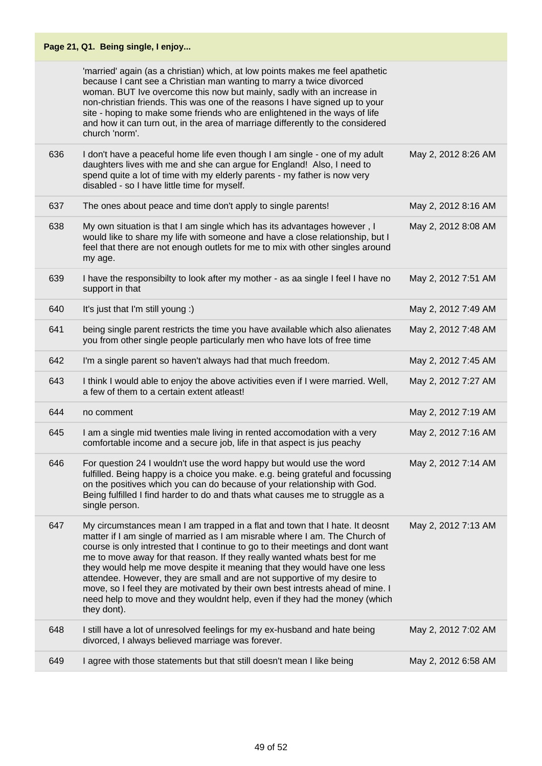|     | Page 21, Q1. Being single, I enjoy                                                                                                                                                                                                                                                                                                                                                                                                                                                                                                                                                                                                                               |                     |
|-----|------------------------------------------------------------------------------------------------------------------------------------------------------------------------------------------------------------------------------------------------------------------------------------------------------------------------------------------------------------------------------------------------------------------------------------------------------------------------------------------------------------------------------------------------------------------------------------------------------------------------------------------------------------------|---------------------|
|     | 'married' again (as a christian) which, at low points makes me feel apathetic<br>because I cant see a Christian man wanting to marry a twice divorced<br>woman. BUT Ive overcome this now but mainly, sadly with an increase in<br>non-christian friends. This was one of the reasons I have signed up to your<br>site - hoping to make some friends who are enlightened in the ways of life<br>and how it can turn out, in the area of marriage differently to the considered<br>church 'norm'.                                                                                                                                                                 |                     |
| 636 | I don't have a peaceful home life even though I am single - one of my adult<br>daughters lives with me and she can argue for England! Also, I need to<br>spend quite a lot of time with my elderly parents - my father is now very<br>disabled - so I have little time for myself.                                                                                                                                                                                                                                                                                                                                                                               | May 2, 2012 8:26 AM |
| 637 | The ones about peace and time don't apply to single parents!                                                                                                                                                                                                                                                                                                                                                                                                                                                                                                                                                                                                     | May 2, 2012 8:16 AM |
| 638 | My own situation is that I am single which has its advantages however, I<br>would like to share my life with someone and have a close relationship, but I<br>feel that there are not enough outlets for me to mix with other singles around<br>my age.                                                                                                                                                                                                                                                                                                                                                                                                           | May 2, 2012 8:08 AM |
| 639 | I have the responsibilty to look after my mother - as aa single I feel I have no<br>support in that                                                                                                                                                                                                                                                                                                                                                                                                                                                                                                                                                              | May 2, 2012 7:51 AM |
| 640 | It's just that I'm still young :)                                                                                                                                                                                                                                                                                                                                                                                                                                                                                                                                                                                                                                | May 2, 2012 7:49 AM |
| 641 | being single parent restricts the time you have available which also alienates<br>you from other single people particularly men who have lots of free time                                                                                                                                                                                                                                                                                                                                                                                                                                                                                                       | May 2, 2012 7:48 AM |
| 642 | I'm a single parent so haven't always had that much freedom.                                                                                                                                                                                                                                                                                                                                                                                                                                                                                                                                                                                                     | May 2, 2012 7:45 AM |
| 643 | I think I would able to enjoy the above activities even if I were married. Well,<br>a few of them to a certain extent atleast!                                                                                                                                                                                                                                                                                                                                                                                                                                                                                                                                   | May 2, 2012 7:27 AM |
| 644 | no comment                                                                                                                                                                                                                                                                                                                                                                                                                                                                                                                                                                                                                                                       | May 2, 2012 7:19 AM |
| 645 | I am a single mid twenties male living in rented accomodation with a very<br>comfortable income and a secure job, life in that aspect is jus peachy                                                                                                                                                                                                                                                                                                                                                                                                                                                                                                              | May 2, 2012 7:16 AM |
| 646 | For question 24 I wouldn't use the word happy but would use the word<br>fulfilled. Being happy is a choice you make. e.g. being grateful and focussing<br>on the positives which you can do because of your relationship with God.<br>Being fulfilled I find harder to do and thats what causes me to struggle as a<br>single person.                                                                                                                                                                                                                                                                                                                            | May 2, 2012 7:14 AM |
| 647 | My circumstances mean I am trapped in a flat and town that I hate. It deosnt<br>matter if I am single of married as I am misrable where I am. The Church of<br>course is only intrested that I continue to go to their meetings and dont want<br>me to move away for that reason. If they really wanted whats best for me<br>they would help me move despite it meaning that they would have one less<br>attendee. However, they are small and are not supportive of my desire to<br>move, so I feel they are motivated by their own best intrests ahead of mine. I<br>need help to move and they wouldnt help, even if they had the money (which<br>they dont). | May 2, 2012 7:13 AM |
| 648 | I still have a lot of unresolved feelings for my ex-husband and hate being<br>divorced, I always believed marriage was forever.                                                                                                                                                                                                                                                                                                                                                                                                                                                                                                                                  | May 2, 2012 7:02 AM |
| 649 | I agree with those statements but that still doesn't mean I like being                                                                                                                                                                                                                                                                                                                                                                                                                                                                                                                                                                                           | May 2, 2012 6:58 AM |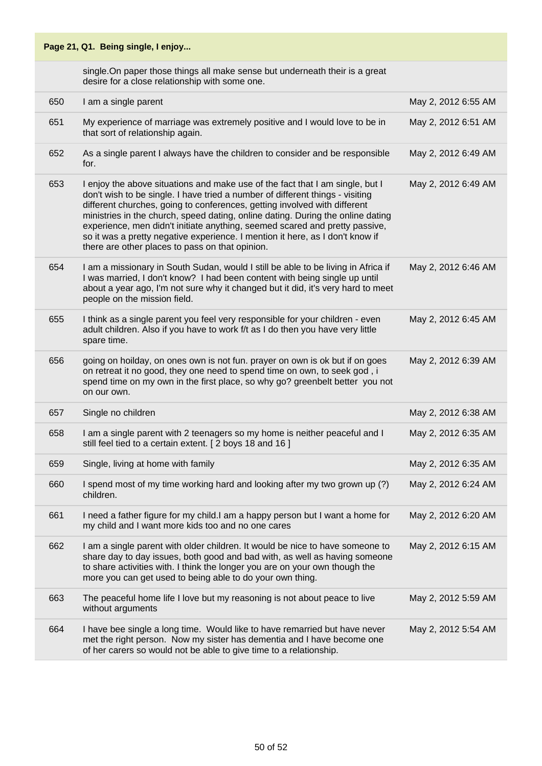#### **Page 21, Q1. Being single, I enjoy...** single.On paper those things all make sense but underneath their is a great desire for a close relationship with some one. 650 I am a single parent May 2, 2012 6:55 AM 651 My experience of marriage was extremely positive and I would love to be in that sort of relationship again. May 2, 2012 6:51 AM 652 As a single parent I always have the children to consider and be responsible for. May 2, 2012 6:49 AM 653 I enjoy the above situations and make use of the fact that I am single, but I don't wish to be single. I have tried a number of different things - visiting different churches, going to conferences, getting involved with different ministries in the church, speed dating, online dating. During the online dating experience, men didn't initiate anything, seemed scared and pretty passive, so it was a pretty negative experience. I mention it here, as I don't know if there are other places to pass on that opinion. May 2, 2012 6:49 AM 654 I am a missionary in South Sudan, would I still be able to be living in Africa if I was married, I don't know? I had been content with being single up until about a year ago, I'm not sure why it changed but it did, it's very hard to meet people on the mission field. May 2, 2012 6:46 AM 655 I think as a single parent you feel very responsible for your children - even adult children. Also if you have to work f/t as I do then you have very little spare time. May 2, 2012 6:45 AM 656 going on hoilday, on ones own is not fun. prayer on own is ok but if on goes on retreat it no good, they one need to spend time on own, to seek god , i spend time on my own in the first place, so why go? greenbelt better you not on our own. May 2, 2012 6:39 AM 657 Single no children May 2, 2012 6:38 AM 658 I am a single parent with 2 teenagers so my home is neither peaceful and I still feel tied to a certain extent. [ 2 boys 18 and 16 ] May 2, 2012 6:35 AM 659 Single, living at home with family May 2, 2012 6:35 AM 660 I spend most of my time working hard and looking after my two grown up (?) children. May 2, 2012 6:24 AM 661 I need a father figure for my child.I am a happy person but I want a home for my child and I want more kids too and no one cares May 2, 2012 6:20 AM 662 I am a single parent with older children. It would be nice to have someone to share day to day issues, both good and bad with, as well as having someone to share activities with. I think the longer you are on your own though the more you can get used to being able to do your own thing. May 2, 2012 6:15 AM 663 The peaceful home life I love but my reasoning is not about peace to live without arguments May 2, 2012 5:59 AM 664 I have bee single a long time. Would like to have remarried but have never met the right person. Now my sister has dementia and I have become one of her carers so would not be able to give time to a relationship. May 2, 2012 5:54 AM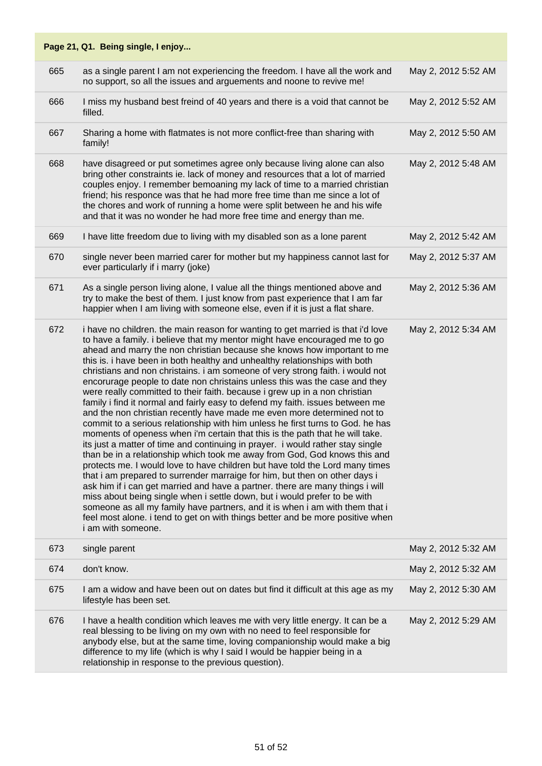|     | Page 21, Q1. Being single, I enjoy                                                                                                                                                                                                                                                                                                                                                                                                                                                                                                                                                                                                                                                                                                                                                                                                                                                                                                                                                                                                                                                                                                                                                                                                                                                                                                                                                                                                                                                                                                                                                  |                     |
|-----|-------------------------------------------------------------------------------------------------------------------------------------------------------------------------------------------------------------------------------------------------------------------------------------------------------------------------------------------------------------------------------------------------------------------------------------------------------------------------------------------------------------------------------------------------------------------------------------------------------------------------------------------------------------------------------------------------------------------------------------------------------------------------------------------------------------------------------------------------------------------------------------------------------------------------------------------------------------------------------------------------------------------------------------------------------------------------------------------------------------------------------------------------------------------------------------------------------------------------------------------------------------------------------------------------------------------------------------------------------------------------------------------------------------------------------------------------------------------------------------------------------------------------------------------------------------------------------------|---------------------|
| 665 | as a single parent I am not experiencing the freedom. I have all the work and<br>no support, so all the issues and arguements and noone to revive me!                                                                                                                                                                                                                                                                                                                                                                                                                                                                                                                                                                                                                                                                                                                                                                                                                                                                                                                                                                                                                                                                                                                                                                                                                                                                                                                                                                                                                               | May 2, 2012 5:52 AM |
| 666 | I miss my husband best freind of 40 years and there is a void that cannot be<br>filled.                                                                                                                                                                                                                                                                                                                                                                                                                                                                                                                                                                                                                                                                                                                                                                                                                                                                                                                                                                                                                                                                                                                                                                                                                                                                                                                                                                                                                                                                                             | May 2, 2012 5:52 AM |
| 667 | Sharing a home with flatmates is not more conflict-free than sharing with<br>family!                                                                                                                                                                                                                                                                                                                                                                                                                                                                                                                                                                                                                                                                                                                                                                                                                                                                                                                                                                                                                                                                                                                                                                                                                                                                                                                                                                                                                                                                                                | May 2, 2012 5:50 AM |
| 668 | have disagreed or put sometimes agree only because living alone can also<br>bring other constraints ie. lack of money and resources that a lot of married<br>couples enjoy. I remember bemoaning my lack of time to a married christian<br>friend; his responce was that he had more free time than me since a lot of<br>the chores and work of running a home were split between he and his wife<br>and that it was no wonder he had more free time and energy than me.                                                                                                                                                                                                                                                                                                                                                                                                                                                                                                                                                                                                                                                                                                                                                                                                                                                                                                                                                                                                                                                                                                            | May 2, 2012 5:48 AM |
| 669 | I have litte freedom due to living with my disabled son as a lone parent                                                                                                                                                                                                                                                                                                                                                                                                                                                                                                                                                                                                                                                                                                                                                                                                                                                                                                                                                                                                                                                                                                                                                                                                                                                                                                                                                                                                                                                                                                            | May 2, 2012 5:42 AM |
| 670 | single never been married carer for mother but my happiness cannot last for<br>ever particularly if i marry (joke)                                                                                                                                                                                                                                                                                                                                                                                                                                                                                                                                                                                                                                                                                                                                                                                                                                                                                                                                                                                                                                                                                                                                                                                                                                                                                                                                                                                                                                                                  | May 2, 2012 5:37 AM |
| 671 | As a single person living alone, I value all the things mentioned above and<br>try to make the best of them. I just know from past experience that I am far<br>happier when I am living with someone else, even if it is just a flat share.                                                                                                                                                                                                                                                                                                                                                                                                                                                                                                                                                                                                                                                                                                                                                                                                                                                                                                                                                                                                                                                                                                                                                                                                                                                                                                                                         | May 2, 2012 5:36 AM |
| 672 | i have no children. the main reason for wanting to get married is that i'd love<br>to have a family. i believe that my mentor might have encouraged me to go<br>ahead and marry the non christian because she knows how important to me<br>this is. i have been in both healthy and unhealthy relationships with both<br>christians and non christains. i am someone of very strong faith. i would not<br>encorurage people to date non christains unless this was the case and they<br>were really committed to their faith. because i grew up in a non christian<br>family i find it normal and fairly easy to defend my faith. issues between me<br>and the non christian recently have made me even more determined not to<br>commit to a serious relationship with him unless he first turns to God. he has<br>moments of openess when i'm certain that this is the path that he will take.<br>its just a matter of time and continuing in prayer. i would rather stay single<br>than be in a relationship which took me away from God, God knows this and<br>protects me. I would love to have children but have told the Lord many times<br>that i am prepared to surrender marraige for him, but then on other days i<br>ask him if i can get married and have a partner. there are many things i will<br>miss about being single when i settle down, but i would prefer to be with<br>someone as all my family have partners, and it is when i am with them that i<br>feel most alone. i tend to get on with things better and be more positive when<br>i am with someone. | May 2, 2012 5:34 AM |
| 673 | single parent                                                                                                                                                                                                                                                                                                                                                                                                                                                                                                                                                                                                                                                                                                                                                                                                                                                                                                                                                                                                                                                                                                                                                                                                                                                                                                                                                                                                                                                                                                                                                                       | May 2, 2012 5:32 AM |
| 674 | don't know.                                                                                                                                                                                                                                                                                                                                                                                                                                                                                                                                                                                                                                                                                                                                                                                                                                                                                                                                                                                                                                                                                                                                                                                                                                                                                                                                                                                                                                                                                                                                                                         | May 2, 2012 5:32 AM |
| 675 | I am a widow and have been out on dates but find it difficult at this age as my<br>lifestyle has been set.                                                                                                                                                                                                                                                                                                                                                                                                                                                                                                                                                                                                                                                                                                                                                                                                                                                                                                                                                                                                                                                                                                                                                                                                                                                                                                                                                                                                                                                                          | May 2, 2012 5:30 AM |
| 676 | I have a health condition which leaves me with very little energy. It can be a<br>real blessing to be living on my own with no need to feel responsible for<br>anybody else, but at the same time, loving companionship would make a big<br>difference to my life (which is why I said I would be happier being in a<br>relationship in response to the previous question).                                                                                                                                                                                                                                                                                                                                                                                                                                                                                                                                                                                                                                                                                                                                                                                                                                                                                                                                                                                                                                                                                                                                                                                                         | May 2, 2012 5:29 AM |